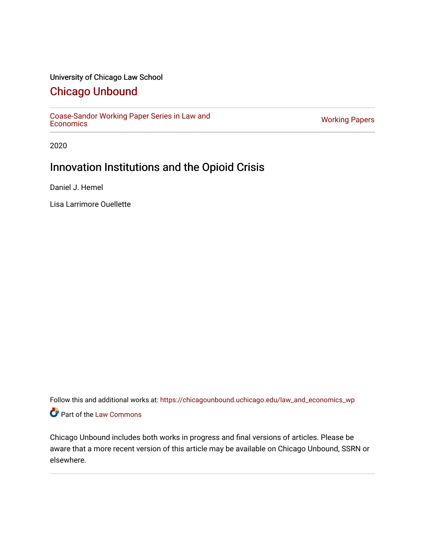#### University of Chicago Law School

## [Chicago Unbound](https://chicagounbound.uchicago.edu/)

[Coase-Sandor Working Paper Series in Law and](https://chicagounbound.uchicago.edu/law_and_economics_wp) [Economics](https://chicagounbound.uchicago.edu/law_and_economics_wp) [Working Papers](https://chicagounbound.uchicago.edu/working_papers) 

2020

# Innovation Institutions and the Opioid Crisis

Daniel J. Hemel

Lisa Larrimore Ouellette

Follow this and additional works at: [https://chicagounbound.uchicago.edu/law\\_and\\_economics\\_wp](https://chicagounbound.uchicago.edu/law_and_economics_wp?utm_source=chicagounbound.uchicago.edu%2Flaw_and_economics_wp%2F44&utm_medium=PDF&utm_campaign=PDFCoverPages)  Part of the [Law Commons](http://network.bepress.com/hgg/discipline/578?utm_source=chicagounbound.uchicago.edu%2Flaw_and_economics_wp%2F44&utm_medium=PDF&utm_campaign=PDFCoverPages)

Chicago Unbound includes both works in progress and final versions of articles. Please be aware that a more recent version of this article may be available on Chicago Unbound, SSRN or elsewhere.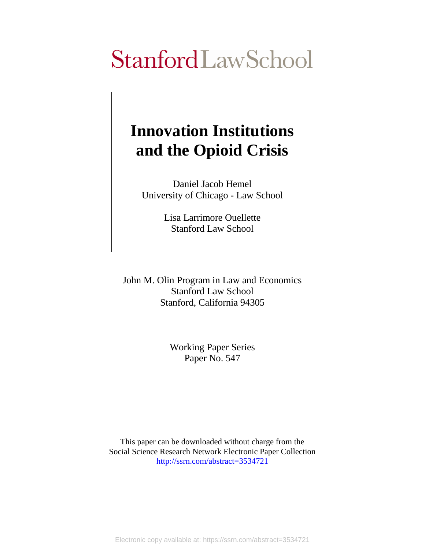# StanfordLawSchool

# **Innovation Institutions and the Opioid Crisis**

Daniel Jacob Hemel University of Chicago - Law School

> Lisa Larrimore Ouellette Stanford Law School

John M. Olin Program in Law and Economics Stanford Law School Stanford, California 94305

> Working Paper Series Paper No. 547

This paper can be downloaded without charge from the Social Science Research Network Electronic Paper Collection [http://ssrn.com/abstract=3534721](http://ssrn.com/abstract=3074923)

Electronic copy available at: https://ssrn.com/abstract=3534721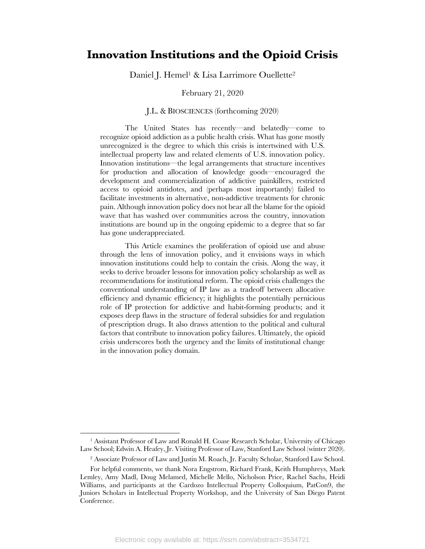### **Innovation Institutions and the Opioid Crisis**

Daniel J. Hemel<sup>1</sup> & Lisa Larrimore Ouellette<sup>2</sup>

February 21, 2020

#### J.L. & BIOSCIENCES (forthcoming 2020)

The United States has recently—and belatedly—come to recognize opioid addiction as a public health crisis. What has gone mostly unrecognized is the degree to which this crisis is intertwined with U.S. intellectual property law and related elements of U.S. innovation policy. Innovation institutions—the legal arrangements that structure incentives for production and allocation of knowledge goods—encouraged the development and commercialization of addictive painkillers, restricted access to opioid antidotes, and (perhaps most importantly) failed to facilitate investments in alternative, non-addictive treatments for chronic pain. Although innovation policy does not bear all the blame for the opioid wave that has washed over communities across the country, innovation institutions are bound up in the ongoing epidemic to a degree that so far has gone underappreciated.

This Article examines the proliferation of opioid use and abuse through the lens of innovation policy, and it envisions ways in which innovation institutions could help to contain the crisis. Along the way, it seeks to derive broader lessons for innovation policy scholarship as well as recommendations for institutional reform. The opioid crisis challenges the conventional understanding of IP law as a tradeoff between allocative efficiency and dynamic efficiency; it highlights the potentially pernicious role of IP protection for addictive and habit-forming products; and it exposes deep flaws in the structure of federal subsidies for and regulation of prescription drugs. It also draws attention to the political and cultural factors that contribute to innovation policy failures. Ultimately, the opioid crisis underscores both the urgency and the limits of institutional change in the innovation policy domain.

<sup>1</sup> Assistant Professor of Law and Ronald H. Coase Research Scholar, University of Chicago Law School; Edwin A. Heafey, Jr. Visiting Professor of Law, Stanford Law School (winter 2020).

<sup>2</sup> Associate Professor of Law and Justin M. Roach, Jr. Faculty Scholar, Stanford Law School.

For helpful comments, we thank Nora Engstrom, Richard Frank, Keith Humphreys, Mark Lemley, Amy Madl, Doug Melamed, Michelle Mello, Nicholson Price, Rachel Sachs, Heidi Williams, and participants at the Cardozo Intellectual Property Colloquium, PatCon9, the Juniors Scholars in Intellectual Property Workshop, and the University of San Diego Patent Conference.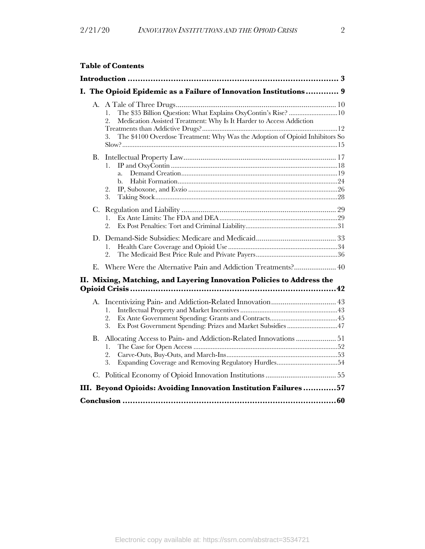|    | <b>Table of Contents</b>                                                                                                                                             |  |
|----|----------------------------------------------------------------------------------------------------------------------------------------------------------------------|--|
|    |                                                                                                                                                                      |  |
|    | I. The Opioid Epidemic as a Failure of Innovation Institutions 9                                                                                                     |  |
|    | 1.<br>2.<br>Medication Assisted Treatment: Why Is It Harder to Access Addiction<br>The \$4100 Overdose Treatment: Why Was the Adoption of Opioid Inhibitors So<br>3. |  |
| В. | 1.<br>a.<br>b.<br>2.<br>3.                                                                                                                                           |  |
| C. | $1_{-}$<br>2.                                                                                                                                                        |  |
|    | 1.<br>2.                                                                                                                                                             |  |
| E. | Where Were the Alternative Pain and Addiction Treatments? 40                                                                                                         |  |
|    | II. Mixing, Matching, and Layering Innovation Policies to Address the                                                                                                |  |
|    | 1.<br>2.<br>3.<br>Ex Post Government Spending: Prizes and Market Subsidies 47                                                                                        |  |
| В. | Allocating Access to Pain- and Addiction-Related Innovations  51<br>1.<br>2.<br>3.                                                                                   |  |
|    |                                                                                                                                                                      |  |
|    | III. Beyond Opioids: Avoiding Innovation Institution Failures57                                                                                                      |  |

|--|--|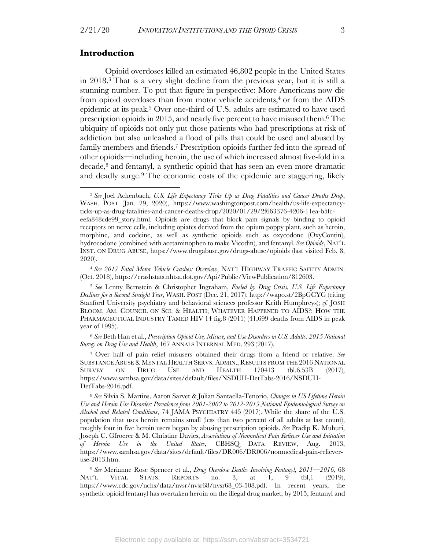#### **Introduction**

Opioid overdoses killed an estimated 46,802 people in the United States in 2018. <sup>3</sup> That is a very slight decline from the previous year, but it is still a stunning number. To put that figure in perspective: More Americans now die from opioid overdoses than from motor vehicle accidents, $4$  or from the AIDS epidemic at its peak. <sup>5</sup> Over one-third of U.S. adults are estimated to have used prescription opioids in 2015, and nearly five percent to have misused them.6 The ubiquity of opioids not only put those patients who had prescriptions at risk of addiction but also unleashed a flood of pills that could be used and abused by family members and friends.7 Prescription opioids further fed into the spread of other opioids—including heroin, the use of which increased almost five-fold in a decade, <sup>8</sup> and fentanyl, a synthetic opioid that has seen an even more dramatic and deadly surge.9 The economic costs of the epidemic are staggering, likely

<sup>4</sup> *See 2017 Fatal Motor Vehicle Crashes: Overview*, NAT'L HIGHWAY TRAFFIC SAFETY ADMIN. (Oct. 2018), https://crashstats.nhtsa.dot.gov/Api/Public/ViewPublication/812603.

<sup>5</sup> *See* Lenny Bernstein & Christopher Ingraham, *Fueled by Drug Crisis, U.S. Life Expectancy Declines for a Second Straight Year*, WASH. POST (Dec. 21, 2017), http://wapo.st/2BpGCYG (citing Stanford University psychiatry and behavioral sciences professor Keith Humphreys); *cf.* JOSH BLOOM, AM. COUNCIL ON SCI. & HEALTH, WHATEVER HAPPENED TO AIDS?: HOW THE PHARMACEUTICAL INDUSTRY TAMED HIV 14 fig.8 (2011) (41,699 deaths from AIDS in peak year of 1995).

<sup>6</sup> *See* Beth Han et al., *Prescription Opioid Use, Misuse, and Use Disorders in U.S. Adults: 2015 National Survey on Drug Use and Health*, 167 ANNALS INTERNAL MED. 293 (2017).

<sup>7</sup> Over half of pain relief misusers obtained their drugs from a friend or relative. *See* SUBSTANCE ABUSE & MENTAL HEALTH SERVS. ADMIN., RESULTS FROM THE 2016 NATIONAL SURVEY ON DRUG USE AND HEALTH 170413 tbl.6.53B (2017), https://www.samhsa.gov/data/sites/default/files/NSDUH-DetTabs-2016/NSDUH-DetTabs-2016.pdf.

<sup>8</sup> *See* Silvia S. Martins, Aaron Sarvet & Julian Santaella-Tenorio, *Changes in US Lifetime Heroin Use and Heroin Use Disorder: Prevalence from 2001-2002 to 2012-2013 National Epidemiological Survey on Alcohol and Related Conditions*, 74 JAMA PSYCHIATRY 445 (2017). While the share of the U.S. population that uses heroin remains small (less than two percent of all adults at last count), roughly four in five heroin users began by abusing prescription opioids. *See* Pradip K. Muhuri, Joseph C. Gfroerer & M. Christine Davies, *Associations of Nonmedical Pain Reliever Use and Initiation of Heroin Use in the United States*, CBHSQ DATA REVIEW, Aug. 2013, https://www.samhsa.gov/data/sites/default/files/DR006/DR006/nonmedical-pain-relieveruse-2013.htm.

<sup>9</sup> *See* Merianne Rose Spencer et al., *Drug Overdose Deaths Involving Fentanyl, 2011—2016*, 68 NAT'L VITAL STATS. REPORTS no. 3, at 1, 9 tbl,1 (2019), https://www.cdc.gov/nchs/data/nvsr/nvsr68/nvsr68\_03-508.pdf. In recent years, the synthetic opioid fentanyl has overtaken heroin on the illegal drug market; by 2015, fentanyl and

<sup>3</sup> *See* Joel Achenbach, *U.S. Life Expectancy Ticks Up as Drug Fatalities and Cancer Deaths Drop*, WASH. POST (Jan. 29, 2020), https://www.washingtonpost.com/health/us-life-expectancyticks-up-as-drug-fatalities-and-cancer-deaths-drop/2020/01/29/2f663376-4206-11ea-b5fceefa848cde99\_story.html. Opioids are drugs that block pain signals by binding to opioid receptors on nerve cells, including opiates derived from the opium poppy plant, such as heroin, morphine, and codeine, as well as synthetic opioids such as oxycodone (OxyContin), hydrocodone (combined with acetaminophen to make Vicodin), and fentanyl. *See Opioids*, NAT'L INST. ON DRUG ABUSE, https://www.drugabuse.gov/drugs-abuse/opioids (last visited Feb. 8, 2020).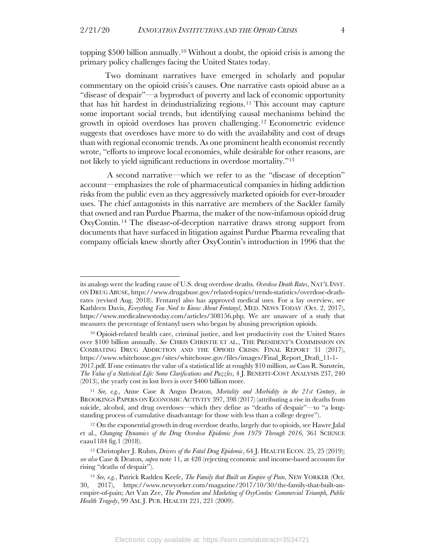topping \$500 billion annually.10 Without a doubt, the opioid crisis is among the primary policy challenges facing the United States today.

Two dominant narratives have emerged in scholarly and popular commentary on the opioid crisis's causes. One narrative casts opioid abuse as a "disease of despair"—a byproduct of poverty and lack of economic opportunity that has hit hardest in deindustrializing regions.11 This account may capture some important social trends, but identifying causal mechanisms behind the growth in opioid overdoses has proven challenging.12 Econometric evidence suggests that overdoses have more to do with the availability and cost of drugs than with regional economic trends. As one prominent health economist recently wrote, "efforts to improve local economies, while desirable for other reasons, are not likely to yield significant reductions in overdose mortality."13

A second narrative—which we refer to as the "disease of deception" account—emphasizes the role of pharmaceutical companies in hiding addiction risks from the public even as they aggressively marketed opioids for ever-broader uses. The chief antagonists in this narrative are members of the Sackler family that owned and ran Purdue Pharma, the maker of the now-infamous opioid drug OxyContin. <sup>14</sup> The disease-of-deception narrative draws strong support from documents that have surfaced in litigation against Purdue Pharma revealing that company officials knew shortly after OxyContin's introduction in 1996 that the

its analogs were the leading cause of U.S. drug overdose deaths. *Overdose Death Rates*, NAT'L INST. ON DRUG ABUSE, https://www.drugabuse.gov/related-topics/trends-statistics/overdose-deathrates (revised Aug. 2018). Fentanyl also has approved medical uses. For a lay overview, see Kathleen Davis, *Everything You Need to Know About Fentanyl*, MED. NEWS TODAY (Oct. 2, 2017), https://www.medicalnewstoday.com/articles/308156.php. We are unaware of a study that measures the percentage of fentanyl users who began by abusing prescription opioids.

<sup>10</sup> Opioid-related health care, criminal justice, and lost productivity cost the United States over \$100 billion annually. *See* CHRIS CHRISTIE ET AL., THE PRESIDENT'S COMMISSION ON COMBATING DRUG ADDICTION AND THE OPIOID CRISIS: FINAL REPORT 31 (2017), https://www.whitehouse.gov/sites/whitehouse.gov/files/images/Final\_Report\_Draft\_11-1- 2017.pdf. If one estimates the value of a statistical life at roughly \$10 million, *see* Cass R. Sunstein, *The Value of a Statistical Life: Some Clarifications and Puzzles*, 4 J. BENEFIT-COST ANALYSIS 237, 240 (2013), the yearly cost in lost lives is over \$400 billion more.

<sup>11</sup> *See, e.g.*, Anne Case & Angus Deaton, *Mortality and Morbidity in the 21st Century*, *in* BROOKINGS PAPERS ON ECONOMIC ACTIVITY 397, 398 (2017) (attributing a rise in deaths from suicide, alcohol, and drug overdoses—which they define as "deaths of despair"—to "a longstanding process of cumulative disadvantage for those with less than a college degree").

<sup>12</sup> On the exponential growth in drug overdose deaths, largely due to opioids, see Hawre Jalal et al., *Changing Dynamics of the Drug Overdose Epidemic from 1979 Through 2016*, 361 SCIENCE eaau1184 fig.1 (2018).

<sup>13</sup> Christopher J. Ruhm, *Drivers of the Fatal Drug Epidemic*, 64 J. HEALTH ECON. 25, 25 (2019); *see also* Case & Deaton, *supra* note 11, at 428 (rejecting economic and income-based accounts for rising "deaths of despair").

<sup>14</sup> *See, e.g.*, Patrick Radden Keefe, *The Family that Built an Empire of Pain*, NEW YORKER (Oct. 30, 2017), https://www.newyorker.com/magazine/2017/10/30/the-family-that-built-anempire-of-pain; Art Van Zee, *The Promotion and Marketing of OxyContin: Commercial Triumph, Public Health Tragedy*, 99 AM. J. PUB. HEALTH 221, 221 (2009).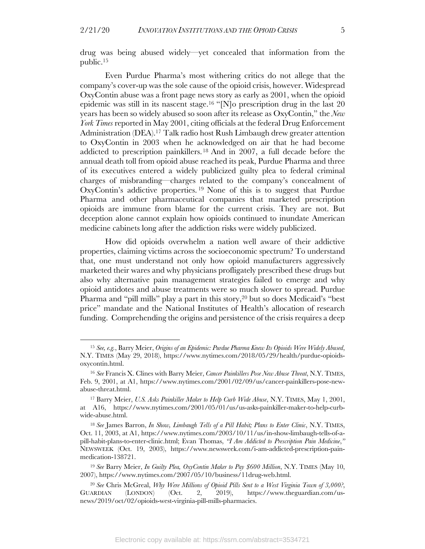drug was being abused widely—yet concealed that information from the public.15

Even Purdue Pharma's most withering critics do not allege that the company's cover-up was the sole cause of the opioid crisis, however. Widespread OxyContin abuse was a front page news story as early as 2001, when the opioid epidemic was still in its nascent stage.<sup>16</sup> "[N]o prescription drug in the last 20 years has been so widely abused so soon after its release as OxyContin," the *New York Times* reported in May 2001, citing officials at the federal Drug Enforcement Administration (DEA). <sup>17</sup> Talk radio host Rush Limbaugh drew greater attention to OxyContin in 2003 when he acknowledged on air that he had become addicted to prescription painkillers.18 And in 2007, a full decade before the annual death toll from opioid abuse reached its peak, Purdue Pharma and three of its executives entered a widely publicized guilty plea to federal criminal charges of misbranding—charges related to the company's concealment of OxyContin's addictive properties. <sup>19</sup> None of this is to suggest that Purdue Pharma and other pharmaceutical companies that marketed prescription opioids are immune from blame for the current crisis. They are not. But deception alone cannot explain how opioids continued to inundate American medicine cabinets long after the addiction risks were widely publicized.

How did opioids overwhelm a nation well aware of their addictive properties, claiming victims across the socioeconomic spectrum? To understand that, one must understand not only how opioid manufacturers aggressively marketed their wares and why physicians profligately prescribed these drugs but also why alternative pain management strategies failed to emerge and why opioid antidotes and abuse treatments were so much slower to spread. Purdue Pharma and "pill mills" play a part in this story,<sup>20</sup> but so does Medicaid's "best price" mandate and the National Institutes of Health's allocation of research funding. Comprehending the origins and persistence of the crisis requires a deep

<sup>15</sup> *See, e.g.*, Barry Meier, *Origins of an Epidemic: Purdue Pharma Knew Its Opioids Were Widely Abused*, N.Y. TIMES (May 29, 2018), https://www.nytimes.com/2018/05/29/health/purdue-opioidsoxycontin.html.

<sup>16</sup> *See* Francis X. Clines with Barry Meier, *Cancer Painkillers Pose New Abuse Threat*, N.Y. TIMES, Feb. 9, 2001, at A1, https://www.nytimes.com/2001/02/09/us/cancer-painkillers-pose-newabuse-threat.html.

<sup>17</sup> Barry Meier, *U.S. Asks Painkiller Maker to Help Curb Wide Abuse*, N.Y. TIMES, May 1, 2001, at A16, https://www.nytimes.com/2001/05/01/us/us-asks-painkiller-maker-to-help-curbwide-abuse.html.

<sup>18</sup> *See* James Barron, *In Show, Limbaugh Tells of a Pill Habit; Plans to Enter Clinic*, N.Y. TIMES, Oct. 11, 2003, at A1, https://www.nytimes.com/2003/10/11/us/in-show-limbaugh-tells-of-apill-habit-plans-to-enter-clinic.html; Evan Thomas, *"I Am Addicted to Prescription Pain Medicine*,*"* NEWSWEEK (Oct. 19, 2003), https://www.newsweek.com/i-am-addicted-prescription-painmedication-138721.

<sup>19</sup> *See* Barry Meier, *In Guilty Plea, OxyContin Maker to Pay \$600 Million*, N.Y. TIMES (May 10, 2007), https://www.nytimes.com/2007/05/10/business/11drug-web.html.

<sup>20</sup> *See* Chris McGreal, *Why Were Millions of Opioid Pills Sent to a West Virginia Town of 3,000?*, GUARDIAN (LONDON) (Oct. 2, 2019), https://www.theguardian.com/usnews/2019/oct/02/opioids-west-virginia-pill-mills-pharmacies.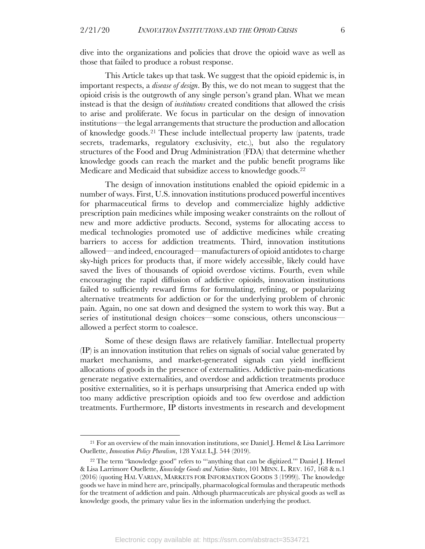dive into the organizations and policies that drove the opioid wave as well as those that failed to produce a robust response.

This Article takes up that task. We suggest that the opioid epidemic is, in important respects, a *disease of design*. By this, we do not mean to suggest that the opioid crisis is the outgrowth of any single person's grand plan. What we mean instead is that the design of *institutions* created conditions that allowed the crisis to arise and proliferate. We focus in particular on the design of innovation institutions—the legal arrangements that structure the production and allocation of knowledge goods.21 These include intellectual property law (patents, trade secrets, trademarks, regulatory exclusivity, etc.), but also the regulatory structures of the Food and Drug Administration (FDA) that determine whether knowledge goods can reach the market and the public benefit programs like Medicare and Medicaid that subsidize access to knowledge goods.22

The design of innovation institutions enabled the opioid epidemic in a number of ways. First, U.S. innovation institutions produced powerful incentives for pharmaceutical firms to develop and commercialize highly addictive prescription pain medicines while imposing weaker constraints on the rollout of new and more addictive products. Second, systems for allocating access to medical technologies promoted use of addictive medicines while creating barriers to access for addiction treatments. Third, innovation institutions allowed—and indeed, encouraged—manufacturers of opioid antidotes to charge sky-high prices for products that, if more widely accessible, likely could have saved the lives of thousands of opioid overdose victims. Fourth, even while encouraging the rapid diffusion of addictive opioids, innovation institutions failed to sufficiently reward firms for formulating, refining, or popularizing alternative treatments for addiction or for the underlying problem of chronic pain. Again, no one sat down and designed the system to work this way. But a series of institutional design choices—some conscious, others unconscious allowed a perfect storm to coalesce.

Some of these design flaws are relatively familiar. Intellectual property (IP) is an innovation institution that relies on signals of social value generated by market mechanisms, and market-generated signals can yield inefficient allocations of goods in the presence of externalities. Addictive pain-medications generate negative externalities, and overdose and addiction treatments produce positive externalities, so it is perhaps unsurprising that America ended up with too many addictive prescription opioids and too few overdose and addiction treatments. Furthermore, IP distorts investments in research and development

<sup>21</sup> For an overview of the main innovation institutions, see Daniel J. Hemel & Lisa Larrimore Ouellette, *Innovation Policy Pluralism*, 128 YALE L.J. 544 (2019).

<sup>&</sup>lt;sup>22</sup> The term "knowledge good" refers to "'anything that can be digitized." Daniel J. Hemel & Lisa Larrimore Ouellette, *Knowledge Goods and Nation-States*, 101 MINN. L. REV. 167, 168 & n.1 (2016) (quoting HAL VARIAN, MARKETS FOR INFORMATION GOODS 3 (1999)). The knowledge goods we have in mind here are, principally, pharmacological formulas and therapeutic methods for the treatment of addiction and pain. Although pharmaceuticals are physical goods as well as knowledge goods, the primary value lies in the information underlying the product.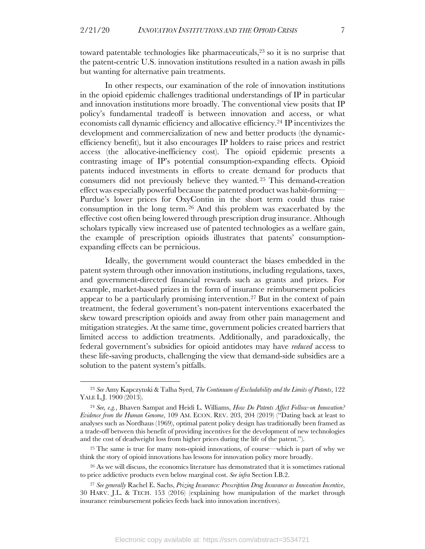toward patentable technologies like pharmaceuticals, <sup>23</sup> so it is no surprise that the patent-centric U.S. innovation institutions resulted in a nation awash in pills but wanting for alternative pain treatments.

In other respects, our examination of the role of innovation institutions in the opioid epidemic challenges traditional understandings of IP in particular and innovation institutions more broadly. The conventional view posits that IP policy's fundamental tradeoff is between innovation and access, or what economists call dynamic efficiency and allocative efficiency.24 IP incentivizes the development and commercialization of new and better products (the dynamicefficiency benefit), but it also encourages IP holders to raise prices and restrict access (the allocative-inefficiency cost). The opioid epidemic presents a contrasting image of IP's potential consumption-expanding effects. Opioid patents induced investments in efforts to create demand for products that consumers did not previously believe they wanted. <sup>25</sup> This demand-creation effect was especially powerful because the patented product was habit-forming— Purdue's lower prices for OxyContin in the short term could thus raise consumption in the long term.26 And this problem was exacerbated by the effective cost often being lowered through prescription drug insurance. Although scholars typically view increased use of patented technologies as a welfare gain, the example of prescription opioids illustrates that patents' consumptionexpanding effects can be pernicious.

Ideally, the government would counteract the biases embedded in the patent system through other innovation institutions, including regulations, taxes, and government-directed financial rewards such as grants and prizes. For example, market-based prizes in the form of insurance reimbursement policies appear to be a particularly promising intervention. <sup>27</sup> But in the context of pain treatment, the federal government's non-patent interventions exacerbated the skew toward prescription opioids and away from other pain management and mitigation strategies. At the same time, government policies created barriers that limited access to addiction treatments. Additionally, and paradoxically, the federal government's subsidies for opioid antidotes may have *reduced* access to these life-saving products, challenging the view that demand-side subsidies are a solution to the patent system's pitfalls.

<sup>23</sup> *See* Amy Kapczynski & Talha Syed, *The Continuum of Excludability and the Limits of Patents*, 122 YALE L.J. 1900 (2013).

<sup>24</sup> *See, e.g.*, Bhaven Sampat and Heidi L. Williams, *How Do Patents Affect Follow-on Innovation? Evidence from the Human Genome*, 109 AM. ECON. REV. 203, 204 (2019) ("Dating back at least to analyses such as Nordhaus (1969), optimal patent policy design has traditionally been framed as a trade-off between this benefit of providing incentives for the development of new technologies and the cost of deadweight loss from higher prices during the life of the patent.").

<sup>25</sup> The same is true for many non-opioid innovations, of course—which is part of why we think the story of opioid innovations has lessons for innovation policy more broadly.

<sup>&</sup>lt;sup>26</sup> As we will discuss, the economics literature has demonstrated that it is sometimes rational to price addictive products even below marginal cost. *See infra* Section I.B.2.

<sup>27</sup> *See generally* Rachel E. Sachs, *Prizing Insurance: Prescription Drug Insurance as Innovation Incentive*, 30 HARV. J.L. & TECH. 153 (2016) (explaining how manipulation of the market through insurance reimbursement policies feeds back into innovation incentives).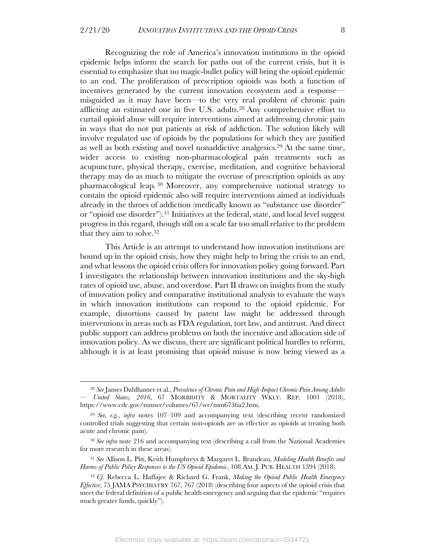Recognizing the role of America's innovation institutions in the opioid epidemic helps inform the search for paths out of the current crisis, but it is essential to emphasize that no magic-bullet policy will bring the opioid epidemic to an end. The proliferation of prescription opioids was both a function of incentives generated by the current innovation ecosystem and a response misguided as it may have been—to the very real problem of chronic pain afflicting an estimated one in five U.S. adults.28 Any comprehensive effort to curtail opioid abuse will require interventions aimed at addressing chronic pain in ways that do not put patients at risk of addiction. The solution likely will involve regulated use of opioids by the populations for which they are justified as well as both existing and novel nonaddictive analgesics. <sup>29</sup> At the same time, wider access to existing non-pharmacological pain treatments such as acupuncture, physical therapy, exercise, meditation, and cognitive behavioral therapy may do as much to mitigate the overuse of prescription opioids as any pharmacological leap. <sup>30</sup> Moreover, any comprehensive national strategy to contain the opioid epidemic also will require interventions aimed at individuals already in the throes of addiction (medically known as "substance use disorder" or "opioid use disorder"). <sup>31</sup> Initiatives at the federal, state, and local level suggest progress in this regard, though still on a scale far too small relative to the problem that they aim to solve.32

This Article is an attempt to understand how innovation institutions are bound up in the opioid crisis, how they might help to bring the crisis to an end, and what lessons the opioid crisis offers for innovation policy going forward. Part I investigates the relationship between innovation institutions and the sky-high rates of opioid use, abuse, and overdose. Part II draws on insights from the study of innovation policy and comparative institutional analysis to evaluate the ways in which innovation institutions can respond to the opioid epidemic. For example, distortions caused by patent law might be addressed through interventions in areas such as FDA regulation, tort law, and antitrust. And direct public support can address problems on both the incentive and allocation side of innovation policy. As we discuss, there are significant political hurdles to reform, although it is at least promising that opioid misuse is now being viewed as a

<sup>28</sup> *See* James Dahlhamer et al., *Prevalence of Chronic Pain and High-Impact Chronic Pain Among Adults — United States, 2016*, 67 MORBIDITY & MORTALITY WKLY. REP. 1001 (2018), https://www.cdc.gov/mmwr/volumes/67/wr/mm6736a2.htm.

<sup>29</sup> *See, e.g.*, *infra* notes 107–109 and accompanying text (describing recent randomized controlled trials suggesting that certain non-opioids are as effective as opioids at treating both acute and chronic pain).

<sup>30</sup> *See infra* note 216 and accompanying text (describing a call from the National Academies for more research in these areas).

<sup>31</sup> *See* Allison L. Pitt, Keith Humphreys & Margaret L. Brandeau, *Modeling Health Benefits and Harms of Public Policy Responses to the US Opioid Epidemic*, 108 AM. J. PUB. HEALTH 1394 (2018).

<sup>32</sup> *Cf.* Rebecca L. Haffajee & Richard G. Frank, *Making the Opioid Public Health Emergency Effective*, 75 JAMA PSYCHIATRY 767, 767 (2018) (describing four aspects of the opioid crisis that meet the federal definition of a public health emergency and arguing that the epidemic "requires much greater funds, quickly").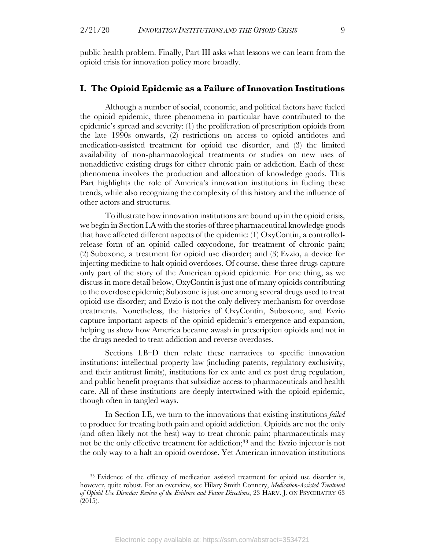public health problem. Finally, Part III asks what lessons we can learn from the opioid crisis for innovation policy more broadly.

#### **I. The Opioid Epidemic as a Failure of Innovation Institutions**

Although a number of social, economic, and political factors have fueled the opioid epidemic, three phenomena in particular have contributed to the epidemic's spread and severity: (1) the proliferation of prescription opioids from the late 1990s onwards, (2) restrictions on access to opioid antidotes and medication-assisted treatment for opioid use disorder, and (3) the limited availability of non-pharmacological treatments or studies on new uses of nonaddictive existing drugs for either chronic pain or addiction. Each of these phenomena involves the production and allocation of knowledge goods. This Part highlights the role of America's innovation institutions in fueling these trends, while also recognizing the complexity of this history and the influence of other actors and structures.

To illustrate how innovation institutions are bound up in the opioid crisis, we begin in Section I.A with the stories of three pharmaceutical knowledge goods that have affected different aspects of the epidemic: (1) OxyContin, a controlledrelease form of an opioid called oxycodone, for treatment of chronic pain; (2) Suboxone, a treatment for opioid use disorder; and (3) Evzio, a device for injecting medicine to halt opioid overdoses. Of course, these three drugs capture only part of the story of the American opioid epidemic. For one thing, as we discuss in more detail below, OxyContin is just one of many opioids contributing to the overdose epidemic; Suboxone is just one among several drugs used to treat opioid use disorder; and Evzio is not the only delivery mechanism for overdose treatments. Nonetheless, the histories of OxyContin, Suboxone, and Evzio capture important aspects of the opioid epidemic's emergence and expansion, helping us show how America became awash in prescription opioids and not in the drugs needed to treat addiction and reverse overdoses.

Sections I.B–D then relate these narratives to specific innovation institutions: intellectual property law (including patents, regulatory exclusivity, and their antitrust limits), institutions for ex ante and ex post drug regulation, and public benefit programs that subsidize access to pharmaceuticals and health care. All of these institutions are deeply intertwined with the opioid epidemic, though often in tangled ways.

In Section I.E, we turn to the innovations that existing institutions *failed* to produce for treating both pain and opioid addiction. Opioids are not the only (and often likely not the best) way to treat chronic pain; pharmaceuticals may not be the only effective treatment for addiction; <sup>33</sup> and the Evzio injector is not the only way to a halt an opioid overdose. Yet American innovation institutions

<sup>&</sup>lt;sup>33</sup> Evidence of the efficacy of medication assisted treatment for opioid use disorder is, however, quite robust. For an overview, see Hilary Smith Connery, *Medication-Assisted Treatment of Opioid Use Disorder: Review of the Evidence and Future Directions*, 23 HARV. J. ON PSYCHIATRY 63 (2015).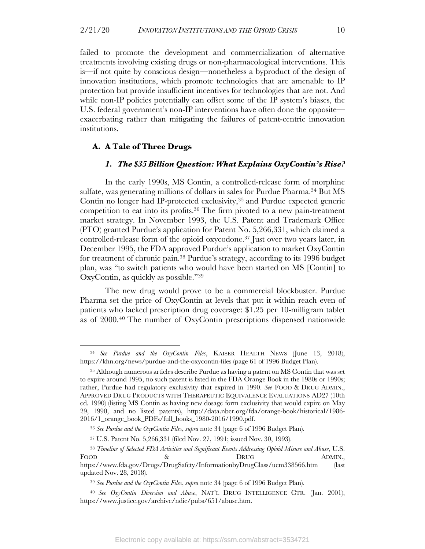failed to promote the development and commercialization of alternative treatments involving existing drugs or non-pharmacological interventions. This is—if not quite by conscious design—nonetheless a byproduct of the design of innovation institutions, which promote technologies that are amenable to IP protection but provide insufficient incentives for technologies that are not. And while non-IP policies potentially can offset some of the IP system's biases, the U.S. federal government's non-IP interventions have often done the opposite exacerbating rather than mitigating the failures of patent-centric innovation institutions.

#### **A. A Tale of Three Drugs**

#### *1. The \$35 Billion Question: What Explains OxyContin's Rise?*

In the early 1990s, MS Contin, a controlled-release form of morphine sulfate, was generating millions of dollars in sales for Purdue Pharma.34 But MS Contin no longer had IP-protected exclusivity,<sup>35</sup> and Purdue expected generic competition to eat into its profits.36 The firm pivoted to a new pain-treatment market strategy. In November 1993, the U.S. Patent and Trademark Office (PTO) granted Purdue's application for Patent No. 5,266,331, which claimed a controlled-release form of the opioid oxycodone.37 Just over two years later, in December 1995, the FDA approved Purdue's application to market OxyContin for treatment of chronic pain.38 Purdue's strategy, according to its 1996 budget plan, was "to switch patients who would have been started on MS [Contin] to OxyContin, as quickly as possible."39

The new drug would prove to be a commercial blockbuster. Purdue Pharma set the price of OxyContin at levels that put it within reach even of patients who lacked prescription drug coverage: \$1.25 per 10-milligram tablet as of 2000.40 The number of OxyContin prescriptions dispensed nationwide

<sup>34</sup> *See Purdue and the OxyContin Files*, KAISER HEALTH NEWS (June 13, 2018), https://khn.org/news/purdue-and-the-oxycontin-files (page 61 of 1996 Budget Plan).

<sup>35</sup> Although numerous articles describe Purdue as having a patent on MS Contin that was set to expire around 1995, no such patent is listed in the FDA Orange Book in the 1980s or 1990s; rather, Purdue had regulatory exclusivity that expired in 1990. *See* FOOD & DRUG ADMIN., APPROVED DRUG PRODUCTS WITH THERAPEUTIC EQUIVALENCE EVALUATIONS AD27 (10th ed. 1990) (listing MS Contin as having new dosage form exclusivity that would expire on May 29, 1990, and no listed patents), http://data.nber.org/fda/orange-book/historical/1986- 2016/1\_orange\_book\_PDFs/full\_books\_1980-2016/1990.pdf.

<sup>36</sup> *See Purdue and the OxyContin Files*, *supra* note 34 (page 6 of 1996 Budget Plan).

<sup>37</sup> U.S. Patent No. 5,266,331 (filed Nov. 27, 1991; issued Nov. 30, 1993).

<sup>38</sup> *Timeline of Selected FDA Activities and Significant Events Addressing Opioid Misuse and Abuse*, U.S. FOOD 8 & DRUG ADMIN., https://www.fda.gov/Drugs/DrugSafety/InformationbyDrugClass/ucm338566.htm (last updated Nov. 28, 2018).

<sup>39</sup> *See Purdue and the OxyContin Files*, *supra* note 34 (page 6 of 1996 Budget Plan).

<sup>40</sup> *See OxyContin Diversion and Abuse*, NAT'L DRUG INTELLIGENCE CTR. (Jan. 2001), https://www.justice.gov/archive/ndic/pubs/651/abuse.htm.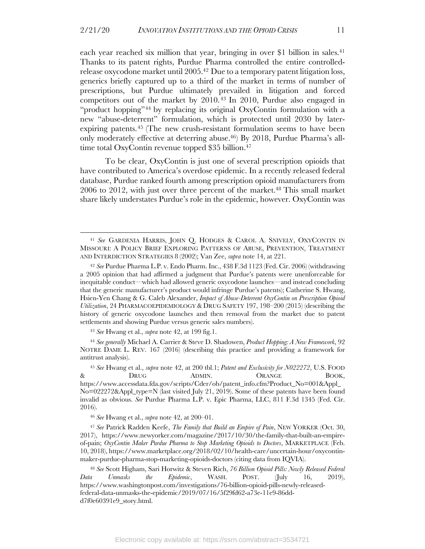each year reached six million that year, bringing in over \$1 billion in sales. 41 Thanks to its patent rights, Purdue Pharma controlled the entire controlledrelease oxycodone market until 2005.42 Due to a temporary patent litigation loss, generics briefly captured up to a third of the market in terms of number of prescriptions, but Purdue ultimately prevailed in litigation and forced competitors out of the market by 2010. <sup>43</sup> In 2010, Purdue also engaged in "product hopping"<sup>44</sup> by replacing its original OxyContin formulation with a new "abuse-deterrent" formulation, which is protected until 2030 by laterexpiring patents.<sup>45</sup> (The new crush-resistant formulation seems to have been only moderately effective at deterring abuse.46) By 2018, Purdue Pharma's alltime total OxyContin revenue topped \$35 billion.<sup>47</sup>

To be clear, OxyContin is just one of several prescription opioids that have contributed to America's overdose epidemic. In a recently released federal database, Purdue ranked fourth among prescription opioid manufacturers from  $2006$  to  $2012$ , with just over three percent of the market.<sup>48</sup> This small market share likely understates Purdue's role in the epidemic, however. OxyContin was

<sup>41</sup> *See* GARDENIA HARRIS, JOHN Q. HODGES & CAROL A. SNIVELY, OXYCONTIN IN MISSOURI: A POLICY BRIEF EXPLORING PATTERNS OF ABUSE, PREVENTION, TREATMENT AND INTERDICTION STRATEGIES 8 (2002); Van Zee, *supra* note 14, at 221.

<sup>42</sup> *See* Purdue Pharma L.P. v. Endo Pharm. Inc., 438 F.3d 1123 (Fed. Cir. 2006) (withdrawing a 2005 opinion that had affirmed a judgment that Purdue's patents were unenforceable for inequitable conduct—which had allowed generic oxycodone launches—and instead concluding that the generic manufacturer's product would infringe Purdue's patents); Catherine S. Hwang, Hsien-Yen Chang & G. Caleb Alexander, *Impact of Abuse-Deterrent OxyContin on Prescription Opioid Utilization*, 24 PHARMACOEPIDEMIOLOGY & DRUG SAFETY 197, 198–200 (2015) (describing the history of generic oxycodone launches and then removal from the market due to patent settlements and showing Purdue versus generic sales numbers).

<sup>43</sup> *See* Hwang et al., *supra* note 42, at 199 fig.1.

<sup>44</sup> *See generally* Michael A. Carrier & Steve D. Shadowen, *Product Hopping: A New Framework*, 92 NOTRE DAME L. REV. 167 (2016) (describing this practice and providing a framework for antitrust analysis).

<sup>45</sup> *See* Hwang et al., *supra* note 42, at 200 tbl.1; *Patent and Exclusivity for N022272*, U.S. FOOD & DRUG ADMIN. ORANGE BOOK, https://www.accessdata.fda.gov/scripts/Cder/ob/patent\_info.cfm?Product\_No=001&Appl\_ No=022272&Appl\_type=N (last visited July 21, 2019). Some of these patents have been found invalid as obvious. *See* Purdue Pharma L.P. v. Epic Pharma, LLC, 811 F.3d 1345 (Fed. Cir. 2016).

<sup>46</sup> *See* Hwang et al., *supra* note 42, at 200–01.

<sup>47</sup> *See* Patrick Radden Keefe, *The Family that Build an Empire of Pain*, NEW YORKER (Oct. 30, 2017), https://www.newyorker.com/magazine/2017/10/30/the-family-that-built-an-empireof-pain; *OxyContin Maker Purdue Pharma to Stop Marketing Opioids to Doctors*, MARKETPLACE (Feb. 10, 2018), https://www.marketplace.org/2018/02/10/health-care/uncertain-hour/oxycontinmaker-purdue-pharma-stop-marketing-opioids-doctors (citing data from IQVIA).

<sup>48</sup> *See* Scott Higham, Sari Horwitz & Steven Rich, *76 Billion Opioid Pills: Newly Released Federal Data Unmasks the Epidemic*, WASH. POST. (July 16, 2019), https://www.washingtonpost.com/investigations/76-billion-opioid-pills-newly-releasedfederal-data-unmasks-the-epidemic/2019/07/16/5f29fd62-a73e-11e9-86ddd7f0e60391e9\_story.html.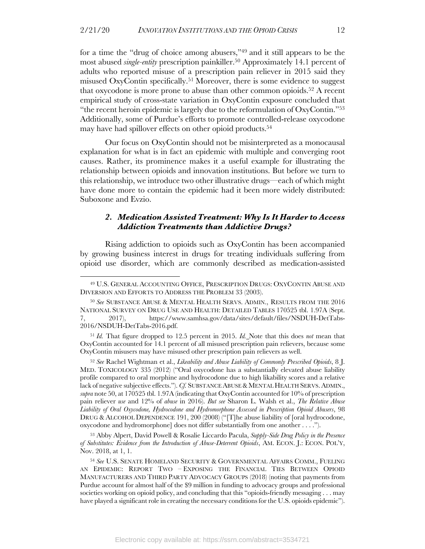for a time the "drug of choice among abusers,"49 and it still appears to be the most abused *single-entity* prescription painkiller.50 Approximately 14.1 percent of adults who reported misuse of a prescription pain reliever in 2015 said they misused OxyContin specifically.51 Moreover, there is some evidence to suggest that oxycodone is more prone to abuse than other common opioids.<sup>52</sup> A recent empirical study of cross-state variation in OxyContin exposure concluded that "the recent heroin epidemic is largely due to the reformulation of OxyContin."53 Additionally, some of Purdue's efforts to promote controlled-release oxycodone may have had spillover effects on other opioid products.<sup>54</sup>

Our focus on OxyContin should not be misinterpreted as a monocausal explanation for what is in fact an epidemic with multiple and converging root causes. Rather, its prominence makes it a useful example for illustrating the relationship between opioids and innovation institutions. But before we turn to this relationship, we introduce two other illustrative drugs—each of which might have done more to contain the epidemic had it been more widely distributed: Suboxone and Evzio.

#### *2. Medication Assisted Treatment: Why Is It Harder to Access Addiction Treatments than Addictive Drugs?*

Rising addiction to opioids such as OxyContin has been accompanied by growing business interest in drugs for treating individuals suffering from opioid use disorder, which are commonly described as medication-assisted

<sup>51</sup> *Id.* That figure dropped to 12.5 percent in 2015. *Id.* Note that this does *not* mean that OxyContin accounted for 14.1 percent of all misused prescription pain relievers, because some OxyContin misusers may have misused other prescription pain relievers as well.

<sup>52</sup> *See* Rachel Wightman et al., *Likeability and Abuse Liability of Commonly Prescribed Opioids*, 8 J. MED. TOXICOLOGY 335 (2012) ("Oral oxycodone has a substantially elevated abuse liability profile compared to oral morphine and hydrocodone due to high likability scores and a relative lack of negative subjective effects."). *Cf.* SUBSTANCE ABUSE & MENTAL HEALTH SERVS. ADMIN., *supra* note 50, at 170525 tbl. 1.97A (indicating that OxyContin accounted for 10% of prescription pain reliever *use* and 12% of *abuse* in 2016). *But see* Sharon L. Walsh et al., *The Relative Abuse Liability of Oral Oxycodone, Hydrocodone and Hydromorphone Assessed in Prescription Opioid Abusers*, 98 DRUG & ALCOHOL DEPENDENCE 191, 200 (2008) ("[T]he abuse liability of [oral hydrocodone, oxycodone and hydromorphone] does not differ substantially from one another . . . .").

<sup>53</sup> Abby Alpert, David Powell & Rosalie Liccardo Pacula, *Supply-Side Drug Policy in the Presence of Substitutes: Evidence from the Introduction of Abuse-Deterrent Opioids*, AM. ECON. J.: ECON. POL'Y, Nov. 2018, at 1, 1.

<sup>54</sup> *See* U.S. SENATE HOMELAND SECURITY & GOVERNMENTAL AFFAIRS COMM., FUELING AN EPIDEMIC: REPORT TWO – EXPOSING THE FINANCIAL TIES BETWEEN OPIOID MANUFACTURERS AND THIRD PARTY ADVOCACY GROUPS (2018) (noting that payments from Purdue account for almost half of the \$9 million in funding to advocacy groups and professional societies working on opioid policy, and concluding that this "opioids-friendly messaging . . . may have played a significant role in creating the necessary conditions for the U.S. opioids epidemic").

<sup>49</sup> U.S. GENERAL ACCOUNTING OFFICE, PRESCRIPTION DRUGS: OXYCONTIN ABUSE AND DIVERSION AND EFFORTS TO ADDRESS THE PROBLEM 33 (2003).

<sup>50</sup> *See* SUBSTANCE ABUSE & MENTAL HEALTH SERVS. ADMIN., RESULTS FROM THE 2016 NATIONAL SURVEY ON DRUG USE AND HEALTH: DETAILED TABLES 170525 tbl. 1.97A (Sept. 7, 2017), https://www.samhsa.gov/data/sites/default/files/NSDUH-DetTabs-2016/NSDUH-DetTabs-2016.pdf.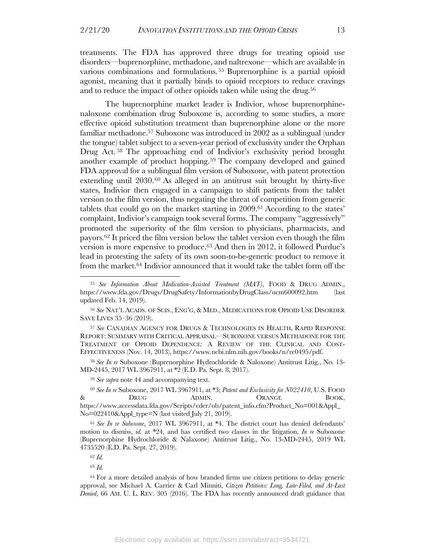treatments. The FDA has approved three drugs for treating opioid use disorders—buprenorphine, methadone, and naltrexone—which are available in various combinations and formulations. <sup>55</sup> Buprenorphine is a partial opioid agonist, meaning that it partially binds to opioid receptors to reduce cravings and to reduce the impact of other opioids taken while using the drug.<sup>56</sup>

The buprenorphine market leader is Indivior, whose buprenorphinenaloxone combination drug Suboxone is, according to some studies, a more effective opioid substitution treatment than buprenorphine alone or the more familiar methadone.57 Suboxone was introduced in 2002 as a sublingual (under the tongue) tablet subject to a seven-year period of exclusivity under the Orphan Drug Act. <sup>58</sup> The approaching end of Indivior's exclusivity period brought another example of product hopping.59 The company developed and gained FDA approval for a sublingual film version of Suboxone, with patent protection extending until 2030.60 As alleged in an antitrust suit brought by thirty-five states, Indivior then engaged in a campaign to shift patients from the tablet version to the film version, thus negating the threat of competition from generic tablets that could go on the market starting in 2009.61 According to the states' complaint, Indivior's campaign took several forms. The company "aggressively" promoted the superiority of the film version to physicians, pharmacists, and payors.<sup>62</sup> It priced the film version below the tablet version even though the film version is more expensive to produce.63 And then in 2012, it followed Purdue's lead in protesting the safety of its own soon-to-be-generic product to remove it from the market.64 Indivior announced that it would take the tablet form off the

<sup>57</sup> *See* CANADIAN AGENCY FOR DRUGS & TECHNOLOGIES IN HEALTH, RAPID RESPONSE REPORT: SUMMARY WITH CRITICAL APPRAISAL—SUBOXONE VERSUS METHADONE FOR THE TREATMENT OF OPIOID DEPENDENCE: A REVIEW OF THE CLINICAL AND COST-EFFECTIVENESS (Nov. 14, 2013), https://www.ncbi.nlm.nih.gov/books/n/rc0495/pdf.

<sup>58</sup> *See In re* Suboxone (Buprenorphine Hydrochloride & Naloxone) Antitrust Litig., No. 13- MD-2445, 2017 WL 3967911, at \*2 (E.D. Pa. Sept. 8, 2017).

<sup>59</sup> *See supra* note 44 and accompanying text.

<sup>60</sup> *See In re* Suboxone, 2017 WL 3967911, at \*3; *Patent and Exclusivity for N022410*, U.S. FOOD & DRUG ADMIN. ORANGE BOOK, https://www.accessdata.fda.gov/Scripts/cder/ob/patent\_info.cfm?Product\_No=001&Appl\_ No=022410&Appl\_type=N (last visited July 21, 2019).

<sup>61</sup> *See In re Suboxone*, 2017 WL 3967911, at \*4. The district court has denied defendants' motion to dismiss, *id.* at \*24, and has certified two classes in the litigation, *In re* Suboxone (Buprenorphine Hydrochloride & Nalaxone) Antitrust Litig., No. 13-MD-2445, 2019 WL 4735520 (E.D. Pa. Sept. 27, 2019).

<sup>63</sup> *Id.*

<sup>64</sup> For a more detailed analysis of how branded firms use citizen petitions to delay generic approval, see Michael A. Carrier & Carl Minniti, *Citizen Petitions: Long, Late-Filed, and At-Last Denied*, 66 AM. U. L. REV. 305 (2016). The FDA has recently announced draft guidance that

<sup>55</sup> *See Information About Medication-Assisted Treatment (MAT)*, FOOD & DRUG ADMIN., https://www.fda.gov/Drugs/DrugSafety/InformationbyDrugClass/ucm600092.htm (last updated Feb. 14, 2019).

<sup>56</sup> *See* NAT'L ACADS. OF SCIS., ENG'G, & MED., MEDICATIONS FOR OPIOID USE DISORDER SAVE LIVES 35–36 (2019).

<sup>62</sup> *Id.*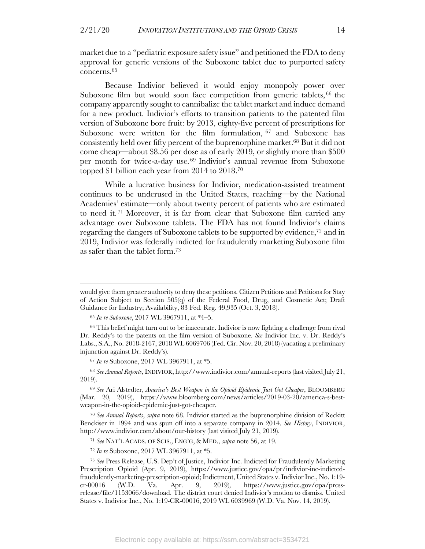market due to a "pediatric exposure safety issue" and petitioned the FDA to deny approval for generic versions of the Suboxone tablet due to purported safety concerns.65

Because Indivior believed it would enjoy monopoly power over Suboxone film but would soon face competition from generic tablets, <sup>66</sup> the company apparently sought to cannibalize the tablet market and induce demand for a new product. Indivior's efforts to transition patients to the patented film version of Suboxone bore fruit: by 2013, eighty-five percent of prescriptions for Suboxone were written for the film formulation, <sup>67</sup> and Suboxone has consistently held over fifty percent of the buprenorphine market.68 But it did not come cheap—about \$8.56 per dose as of early 2019, or slightly more than \$500 per month for twice-a-day use. <sup>69</sup> Indivior's annual revenue from Suboxone topped \$1 billion each year from 2014 to 2018.70

While a lucrative business for Indivior, medication-assisted treatment continues to be underused in the United States, reaching—by the National Academies' estimate—only about twenty percent of patients who are estimated to need it. <sup>71</sup> Moreover, it is far from clear that Suboxone film carried any advantage over Suboxone tablets. The FDA has not found Indivior's claims regarding the dangers of Suboxone tablets to be supported by evidence, <sup>72</sup> and in 2019, Indivior was federally indicted for fraudulently marketing Suboxone film as safer than the tablet form.73

<sup>68</sup> *See Annual Reports*, INDIVIOR, http://www.indivior.com/annual-reports (last visited July 21, 2019).

<sup>69</sup> *See* Ari Alstedter, *America's Best Weapon in the Opioid Epidemic Just Got Cheaper*, BLOOMBERG (Mar. 20, 2019), https://www.bloomberg.com/news/articles/2019-03-20/america-s-bestweapon-in-the-opioid-epidemic-just-got-cheaper.

<sup>70</sup> *See Annual Reports*, *supra* note 68. Indivior started as the buprenorphine division of Reckitt Benckiser in 1994 and was spun off into a separate company in 2014. *See History*, INDIVIOR, http://www.indivior.com/about/our-history (last visited July 21, 2019).

<sup>71</sup> *See* NAT'L ACADS. OF SCIS., ENG'G, & MED., *supra* note 56, at 19.

<sup>72</sup> *In re* Suboxone, 2017 WL 3967911, at \*5.

<sup>73</sup> *See* Press Release, U.S. Dep't of Justice, Indivior Inc. Indicted for Fraudulently Marketing Prescription Opioid (Apr. 9, 2019), https://www.justice.gov/opa/pr/indivior-inc-indictedfraudulently-marketing-prescription-opioid; Indictment, United States v. Indivior Inc., No. 1:19 cr-00016 (W.D. Va. Apr. 9, 2019), https://www.justice.gov/opa/pressrelease/file/1153066/download. The district court denied Indivior's motion to dismiss. United States v. Indivior Inc., No. 1:19-CR-00016, 2019 WL 6039969 (W.D. Va. Nov. 14, 2019).

would give them greater authority to deny these petitions. Citizen Petitions and Petitions for Stay of Action Subject to Section 505(q) of the Federal Food, Drug, and Cosmetic Act; Draft Guidance for Industry; Availability, 83 Fed. Reg. 49,935 (Oct. 3, 2018).

<sup>65</sup> *In re Suboxone*, 2017 WL 3967911, at \*4–5.

<sup>&</sup>lt;sup>66</sup> This belief might turn out to be inaccurate. Indivior is now fighting a challenge from rival Dr. Reddy's to the patents on the film version of Suboxone. *See* Indivior Inc. v. Dr. Reddy's Labs., S.A., No. 2018-2167, 2018 WL 6069706 (Fed. Cir. Nov. 20, 2018) (vacating a preliminary injunction against Dr. Reddy's).

<sup>67</sup> *In re* Suboxone, 2017 WL 3967911, at \*5.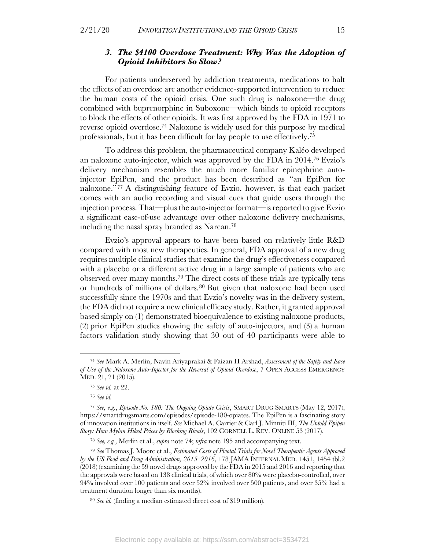#### *3. The \$4100 Overdose Treatment: Why Was the Adoption of Opioid Inhibitors So Slow?*

For patients underserved by addiction treatments, medications to halt the effects of an overdose are another evidence-supported intervention to reduce the human costs of the opioid crisis. One such drug is naloxone—the drug combined with buprenorphine in Suboxone—which binds to opioid receptors to block the effects of other opioids. It was first approved by the FDA in 1971 to reverse opioid overdose.74 Naloxone is widely used for this purpose by medical professionals, but it has been difficult for lay people to use effectively.75

To address this problem, the pharmaceutical company Kaléo developed an naloxone auto-injector, which was approved by the FDA in 2014.76 Evzio's delivery mechanism resembles the much more familiar epinephrine autoinjector EpiPen, and the product has been described as "an EpiPen for naloxone."77 A distinguishing feature of Evzio, however, is that each packet comes with an audio recording and visual cues that guide users through the injection process. That—plus the auto-injector format—is reported to give Evzio a significant ease-of-use advantage over other naloxone delivery mechanisms, including the nasal spray branded as Narcan. 78

Evzio's approval appears to have been based on relatively little R&D compared with most new therapeutics. In general, FDA approval of a new drug requires multiple clinical studies that examine the drug's effectiveness compared with a placebo or a different active drug in a large sample of patients who are observed over many months.79 The direct costs of these trials are typically tens or hundreds of millions of dollars.80 But given that naloxone had been used successfully since the 1970s and that Evzio's novelty was in the delivery system, the FDA did not require a new clinical efficacy study. Rather, it granted approval based simply on (1) demonstrated bioequivalence to existing naloxone products, (2) prior EpiPen studies showing the safety of auto-injectors, and (3) a human factors validation study showing that 30 out of 40 participants were able to

<sup>74</sup> *See* Mark A. Merlin, Navin Ariyaprakai & Faizan H Arshad, *Assessment of the Safety and Ease of Use of the Naloxone Auto-Injector for the Reversal of Opioid Overdose*, 7 OPEN ACCESS EMERGENCY MED. 21, 21 (2015).

<sup>75</sup> *See id.* at 22.

<sup>76</sup> *See id.*

<sup>77</sup> *See, e.g.*, *Episode No. 180: The Ongoing Opiate Crisis*, SMART DRUG SMARTS (May 12, 2017), https://smartdrugsmarts.com/episodes/episode-180-opiates. The EpiPen is a fascinating story of innovation institutions in itself. *See* Michael A. Carrier & Carl J. Minniti III, *The Untold Epipen Story: How Mylan Hiked Prices by Blocking Rivals*, 102 CORNELL L. REV. ONLINE 53 (2017).

<sup>78</sup> *See, e.g.*, Merlin et al., *supra* note 74; *infra* note 195 and accompanying text.

<sup>79</sup> *See* Thomas J. Moore et al., *Estimated Costs of Pivotal Trials for Novel Therapeutic Agents Approved by the US Food and Drug Administration, 2015–2016*, 178 JAMA INTERNAL MED. 1451, 1454 tbl.2 (2018) (examining the 59 novel drugs approved by the FDA in 2015 and 2016 and reporting that the approvals were based on 138 clinical trials, of which over 80% were placebo-controlled, over 94% involved over 100 patients and over 52% involved over 500 patients, and over 35% had a treatment duration longer than six months).

<sup>80</sup> *See id.* (finding a median estimated direct cost of \$19 million).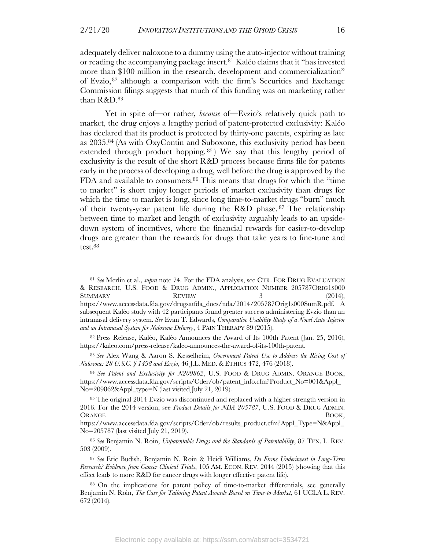adequately deliver naloxone to a dummy using the auto-injector without training or reading the accompanying package insert. <sup>81</sup> Kaléo claims that it "has invested more than \$100 million in the research, development and commercialization" of Evzio,  $82$  although a comparison with the firm's Securities and Exchange Commission filings suggests that much of this funding was on marketing rather than R&D.83

Yet in spite of—or rather*, because* of—Evzio's relatively quick path to market, the drug enjoys a lengthy period of patent-protected exclusivity: Kaléo has declared that its product is protected by thirty-one patents, expiring as late as 2035. <sup>84</sup> (As with OxyContin and Suboxone, this exclusivity period has been extended through product hopping.<sup>85</sup>) We say that this lengthy period of exclusivity is the result of the short R&D process because firms file for patents early in the process of developing a drug, well before the drug is approved by the FDA and available to consumers.86 This means that drugs for which the "time to market" is short enjoy longer periods of market exclusivity than drugs for which the time to market is long, since long time-to-market drugs "burn" much of their twenty-year patent life during the R&D phase. <sup>87</sup> The relationship between time to market and length of exclusivity arguably leads to an upsidedown system of incentives, where the financial rewards for easier-to-develop drugs are greater than the rewards for drugs that take years to fine-tune and test.88

<sup>83</sup> *See* Alex Wang & Aaron S. Kesselheim, *Government Patent Use to Address the Rising Cost of Naloxone: 28 U.S.C. § 1498 and Evzio*, 46 J.L. MED. & ETHICS 472, 476 (2018).

<sup>84</sup> *See Patent and Exclusivity for N209862*, U.S. FOOD & DRUG ADMIN. ORANGE BOOK, https://www.accessdata.fda.gov/scripts/Cder/ob/patent\_info.cfm?Product\_No=001&Appl\_ No=209862&Appl\_type=N (last visited July 21, 2019).

<sup>81</sup> *See* Merlin et al., *supra* note 74. For the FDA analysis, see CTR. FOR DRUG EVALUATION & RESEARCH, U.S. FOOD & DRUG ADMIN., APPLICATION NUMBER 205787ORIG1S000 SUMMARY REVIEW 3 (2014), https://www.accessdata.fda.gov/drugsatfda\_docs/nda/2014/205787Orig1s000SumR.pdf. A subsequent Kaléo study with 42 participants found greater success administering Evzio than an intranasal delivery system. *See* Evan T. Edwards, *Comparative Usability Study of a Novel Auto-Injector and an Intranasal System for Naloxone Delivery*, 4 PAIN THERAPY 89 (2015).

<sup>82</sup> Press Release, Kaléo, Kaléo Announces the Award of Its 100th Patent (Jan. 25, 2016), https://kaleo.com/press-release/kaleo-announces-the-award-of-its-100th-patent.

<sup>85</sup> The original 2014 Evzio was discontinued and replaced with a higher strength version in 2016. For the 2014 version, see *Product Details for NDA 205787*, U.S. FOOD & DRUG ADMIN. ORANGE BOOK,

https://www.accessdata.fda.gov/scripts/Cder/ob/results\_product.cfm?Appl\_Type=N&Appl\_ No=205787 (last visited July 21, 2019).

<sup>86</sup> *See* Benjamin N. Roin, *Unpatentable Drugs and the Standards of Patentability*, 87 TEX. L. REV. 503 (2009).

<sup>87</sup> *See* Eric Budish, Benjamin N. Roin & Heidi Williams, *Do Firms Underinvest in Long-Term Research? Evidence from Cancer Clinical Trials*, 105 AM. ECON. REV. 2044 (2015) (showing that this effect leads to more R&D for cancer drugs with longer effective patent life).

<sup>88</sup> On the implications for patent policy of time-to-market differentials, see generally Benjamin N. Roin, *The Case for Tailoring Patent Awards Based on Time-to-Market*, 61 UCLA L. REV. 672 (2014).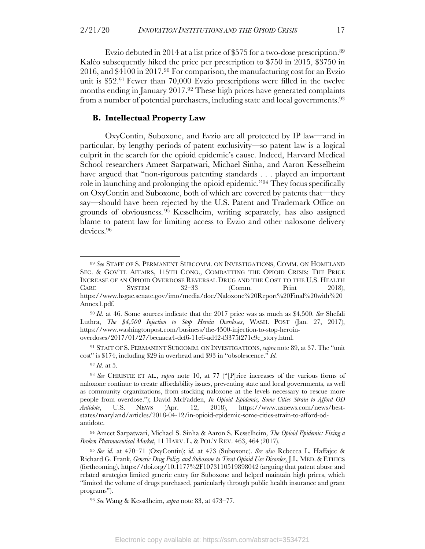Evzio debuted in 2014 at a list price of \$575 for a two-dose prescription.<sup>89</sup> Kaléo subsequently hiked the price per prescription to \$750 in 2015, \$3750 in 2016, and \$4100 in 2017.90 For comparison, the manufacturing cost for an Evzio unit is \$52.91 Fewer than 70,000 Evzio prescriptions were filled in the twelve months ending in January 2017.<sup>92</sup> These high prices have generated complaints from a number of potential purchasers, including state and local governments.93

#### **B. Intellectual Property Law**

OxyContin, Suboxone, and Evzio are all protected by IP law—and in particular, by lengthy periods of patent exclusivity—so patent law is a logical culprit in the search for the opioid epidemic's cause. Indeed, Harvard Medical School researchers Ameet Sarpatwari, Michael Sinha, and Aaron Kesselheim have argued that "non-rigorous patenting standards . . . played an important role in launching and prolonging the opioid epidemic."94 They focus specifically on OxyContin and Suboxone, both of which are covered by patents that—they say—should have been rejected by the U.S. Patent and Trademark Office on grounds of obviousness. <sup>95</sup> Kesselheim, writing separately, has also assigned blame to patent law for limiting access to Evzio and other naloxone delivery devices.96

<sup>92</sup> *Id.* at 5.

<sup>94</sup> Ameet Sarpatwari, Michael S. Sinha & Aaron S. Kesselheim, *The Opioid Epidemic: Fixing a Broken Pharmaceutical Market*, 11 HARV. L. & POL'Y REV. 463, 464 (2017).

<sup>89</sup> *See* STAFF OF S. PERMANENT SUBCOMM. ON INVESTIGATIONS, COMM. ON HOMELAND SEC. & GOV'TL AFFAIRS, 115TH CONG., COMBATTING THE OPIOID CRISIS: THE PRICE INCREASE OF AN OPIOID OVERDOSE REVERSAL DRUG AND THE COST TO THE U.S. HEALTH CARE SYSTEM  $32-33$  (Comm. Print 2018), https://www.hsgac.senate.gov/imo/media/doc/Naloxone%20Report%20Final%20with%20 Annex1.pdf.

<sup>90</sup> *Id.* at 46. Some sources indicate that the 2017 price was as much as \$4,500. *See* Shefali Luthra, *The \$4,500 Injection to Stop Heroin Overdoses*, WASH. POST (Jan. 27, 2017), https://www.washingtonpost.com/business/the-4500-injection-to-stop-heroinoverdoses/2017/01/27/becaaca4-dcf6-11e6-ad42-f3375f271c9c\_story.html.

<sup>91</sup> STAFF OF S. PERMANENT SUBCOMM. ON INVESTIGATIONS, *supra* note 89, at 37. The "unit cost" is \$174, including \$29 in overhead and \$93 in "obsolescence." *Id.*

<sup>93</sup> *See* CHRISTIE ET AL., *supra* note 10, at 77 ("[P]rice increases of the various forms of naloxone continue to create affordability issues, preventing state and local governments, as well as community organizations, from stocking naloxone at the levels necessary to rescue more people from overdose."); David McFadden, *In Opioid Epidemic, Some Cities Strain to Afford OD Antidote*, U.S. NEWS (Apr. 12, 2018), https://www.usnews.com/news/beststates/maryland/articles/2018-04-12/in-opioid-epidemic-some-cities-strain-to-afford-odantidote.

<sup>95</sup> *See id.* at 470–71 (OxyContin); *id.* at 473 (Suboxone). *See also* Rebecca L. Haffajee & Richard G. Frank, *Generic Drug Policy and Suboxone to Treat Opioid Use Disorder*, J.L. MED. & ETHICS (forthcoming), https://doi.org/10.1177%2F1073110519898042 (arguing that patent abuse and related strategies limited generic entry for Suboxone and helped maintain high prices, which "limited the volume of drugs purchased, particularly through public health insurance and grant programs").

<sup>96</sup> *See* Wang & Kesselheim, *supra* note 83, at 473–77.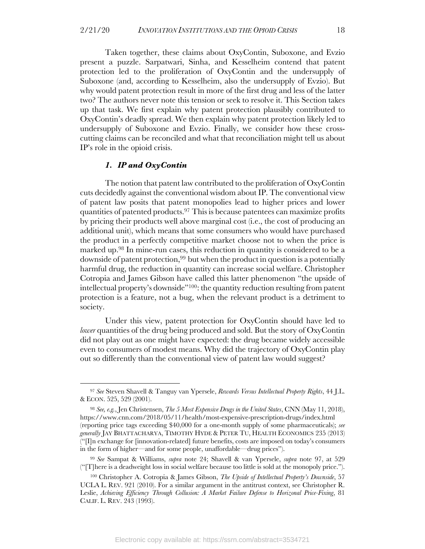Taken together, these claims about OxyContin, Suboxone, and Evzio present a puzzle. Sarpatwari, Sinha, and Kesselheim contend that patent protection led to the proliferation of OxyContin and the undersupply of Suboxone (and, according to Kesselheim, also the undersupply of Evzio). But why would patent protection result in more of the first drug and less of the latter two? The authors never note this tension or seek to resolve it. This Section takes up that task. We first explain why patent protection plausibly contributed to OxyContin's deadly spread. We then explain why patent protection likely led to undersupply of Suboxone and Evzio. Finally, we consider how these crosscutting claims can be reconciled and what that reconciliation might tell us about IP's role in the opioid crisis.

#### *1. IP and OxyContin*

The notion that patent law contributed to the proliferation of OxyContin cuts decidedly against the conventional wisdom about IP. The conventional view of patent law posits that patent monopolies lead to higher prices and lower quantities of patented products.97 This is because patentees can maximize profits by pricing their products well above marginal cost (i.e., the cost of producing an additional unit), which means that some consumers who would have purchased the product in a perfectly competitive market choose not to when the price is marked up.98 In mine-run cases, this reduction in quantity is considered to be a downside of patent protection,99 but when the product in question is a potentially harmful drug, the reduction in quantity can increase social welfare. Christopher Cotropia and James Gibson have called this latter phenomenon "the upside of intellectual property's downside"100: the quantity reduction resulting from patent protection is a feature, not a bug, when the relevant product is a detriment to society.

Under this view, patent protection for OxyContin should have led to *lower* quantities of the drug being produced and sold. But the story of OxyContin did not play out as one might have expected: the drug became widely accessible even to consumers of modest means. Why did the trajectory of OxyContin play out so differently than the conventional view of patent law would suggest?

<sup>97</sup> *See* Steven Shavell & Tanguy van Ypersele, *Rewards Versus Intellectual Property Rights*, 44 J.L. & ECON. 525, 529 (2001).

<sup>98</sup> *See, e.g.*, Jen Christensen, *The 5 Most Expensive Drugs in the United States*, CNN (May 11, 2018), https://www.cnn.com/2018/05/11/health/most-expensive-prescription-drugs/index.html (reporting price tags exceeding \$40,000 for a one-month supply of some pharmaceuticals); *see generally* JAY BHATTACHARYA, TIMOTHY HYDE & PETER TU, HEALTH ECONOMICS 235 (2013) ("[I]n exchange for [innovation-related] future benefits, costs are imposed on today's consumers in the form of higher—and for some people, unaffordable—drug prices").

<sup>99</sup> *See* Sampat & Williams, *supra* note 24; Shavell & van Ypersele, *supra* note 97, at 529 ("[T]here is a deadweight loss in social welfare because too little is sold at the monopoly price.").

<sup>100</sup> Christopher A. Cotropia & James Gibson, *The Upside of Intellectual Property's Downside*, 57 UCLA L. REV. 921 (2010). For a similar argument in the antitrust context, see Christopher R. Leslie, *Achieving Efficiency Through Collusion: A Market Failure Defense to Horizonal Price-Fixing*, 81 CALIF. L. REV. 243 (1993).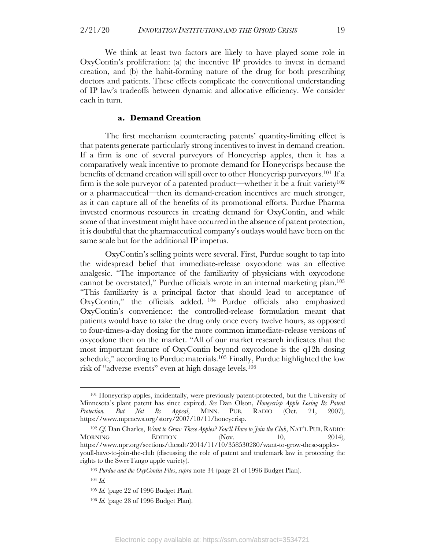We think at least two factors are likely to have played some role in OxyContin's proliferation: (a) the incentive IP provides to invest in demand creation, and (b) the habit-forming nature of the drug for both prescribing doctors and patients. These effects complicate the conventional understanding of IP law's tradeoffs between dynamic and allocative efficiency. We consider each in turn.

#### **a. Demand Creation**

The first mechanism counteracting patents' quantity-limiting effect is that patents generate particularly strong incentives to invest in demand creation. If a firm is one of several purveyors of Honeycrisp apples, then it has a comparatively weak incentive to promote demand for Honeycrisps because the benefits of demand creation will spill over to other Honeycrisp purveyors.101 If a firm is the sole purveyor of a patented product—whether it be a fruit variety<sup>102</sup> or a pharmaceutical—then its demand-creation incentives are much stronger, as it can capture all of the benefits of its promotional efforts. Purdue Pharma invested enormous resources in creating demand for OxyContin, and while some of that investment might have occurred in the absence of patent protection, it is doubtful that the pharmaceutical company's outlays would have been on the same scale but for the additional IP impetus.

OxyContin's selling points were several. First, Purdue sought to tap into the widespread belief that immediate-release oxycodone was an effective analgesic. "The importance of the familiarity of physicians with oxycodone cannot be overstated," Purdue officials wrote in an internal marketing plan.103 "This familiarity is a principal factor that should lead to acceptance of OxyContin," the officials added. <sup>104</sup> Purdue officials also emphasized OxyContin's convenience: the controlled-release formulation meant that patients would have to take the drug only once every twelve hours, as opposed to four-times-a-day dosing for the more common immediate-release versions of oxycodone then on the market. "All of our market research indicates that the most important feature of OxyContin beyond oxycodone is the q12h dosing schedule," according to Purdue materials.105 Finally, Purdue highlighted the low risk of "adverse events" even at high dosage levels.106

<sup>101</sup> Honeycrisp apples, incidentally, were previously patent-protected, but the University of Minnesota's plant patent has since expired. *See* Dan Olson, *Honeycrisp Apple Losing Its Patent Protection, But Not Its Appeal*, MINN. PUB. RADIO (Oct. 21, 2007), https://www.mprnews.org/story/2007/10/11/honeycrisp.

<sup>102</sup> *Cf.* Dan Charles, *Want to Grow These Apples? You'll Have to Join the Club*, NAT'L PUB. RADIO: MORNING EDITION (Nov.  $10,$  2014), https://www.npr.org/sections/thesalt/2014/11/10/358530280/want-to-grow-these-applesyoull-have-to-join-the-club (discussing the role of patent and trademark law in protecting the rights to the SweeTango apple variety).

<sup>103</sup> *Purdue and the OxyContin Files*, *supra* note 34 (page 21 of 1996 Budget Plan).

<sup>104</sup> *Id.*

<sup>105</sup> *Id.* (page 22 of 1996 Budget Plan).

<sup>106</sup> *Id.* (page 28 of 1996 Budget Plan).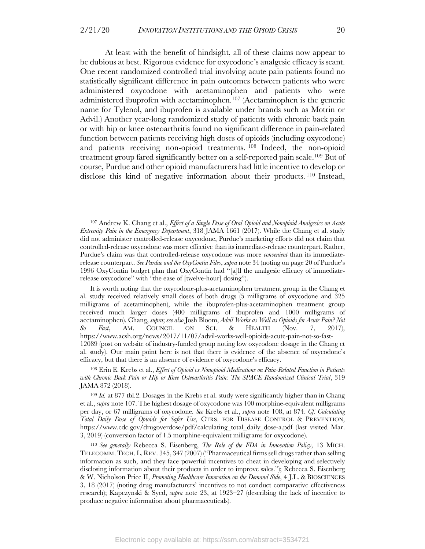At least with the benefit of hindsight, all of these claims now appear to be dubious at best. Rigorous evidence for oxycodone's analgesic efficacy is scant. One recent randomized controlled trial involving acute pain patients found no statistically significant difference in pain outcomes between patients who were administered oxycodone with acetaminophen and patients who were administered ibuprofen with acetaminophen.107 (Acetaminophen is the generic name for Tylenol, and ibuprofen is available under brands such as Motrin or Advil.) Another year-long randomized study of patients with chronic back pain or with hip or knee osteoarthritis found no significant difference in pain-related function between patients receiving high doses of opioids (including oxycodone) and patients receiving non-opioid treatments. <sup>108</sup> Indeed, the non-opioid treatment group fared significantly better on a self-reported pain scale.109 But of course, Purdue and other opioid manufacturers had little incentive to develop or disclose this kind of negative information about their products. <sup>110</sup> Instead,

<sup>107</sup> Andrew K. Chang et al., *Effect of a Single Dose of Oral Opioid and Nonopioid Analgesics on Acute Extremity Pain in the Emergency Department*, 318 JAMA 1661 (2017). While the Chang et al. study did not administer controlled-release oxycodone, Purdue's marketing efforts did not claim that controlled-release oxycodone was more effective than its immediate-release counterpart. Rather, Purdue's claim was that controlled-release oxycodone was more *convenient* than its immediaterelease counterpart. *See Purdue and the OxyContin Files*, *supra* note 34 (noting on page 20 of Purdue's 1996 OxyContin budget plan that OxyContin had "[a]ll the analgesic efficacy of immediaterelease oxycodone" with "the ease of [twelve-hour] dosing").

It is worth noting that the oxycodone-plus-acetaminophen treatment group in the Chang et al. study received relatively small doses of both drugs (5 milligrams of oxycodone and 325 milligrams of acetaminophen), while the ibuprofen-plus-acetaminophen treatment group received much larger doses (400 milligrams of ibuprofen and 1000 milligrams of acetaminophen). Chang, *supra*; *see also* Josh Bloom, *Advil Works as Well as Opioids for Acute Pain? Not So Fast*, AM. COUNCIL ON SCI. & HEALTH (Nov. 7, 2017), https://www.acsh.org/news/2017/11/07/advil-works-well-opioids-acute-pain-not-so-fast-12089 (post on website of industry-funded group noting low oxycodone dosage in the Chang et al. study). Our main point here is not that there is evidence of the absence of oxycodone's efficacy, but that there is an absence of evidence of oxycodone's efficacy.

<sup>108</sup> Erin E. Krebs et al., *Effect of Opioid vs Nonopioid Medications on Pain-Related Function in Patients with Chronic Back Pain or Hip or Knee Osteoarthritis Pain: The SPACE Randomized Clinical Trial*, 319 JAMA 872 (2018).

<sup>109</sup> *Id.* at 877 tbl.2. Dosages in the Krebs et al. study were significantly higher than in Chang et al., *supra* note 107. The highest dosage of oxycodone was 100 morphine-equivalent milligrams per day, or 67 milligrams of oxycodone. *See* Krebs et al., *supra* note 108, at 874. *Cf. Calculating Total Daily Dose of Opioids for Safer Use*, CTRS. FOR DISEASE CONTROL & PREVENTION, https://www.cdc.gov/drugoverdose/pdf/calculating\_total\_daily\_dose-a.pdf (last visited Mar. 3, 2019) (conversion factor of 1.5 morphine-equivalent milligrams for oxycodone).

<sup>110</sup> *See generally* Rebecca S. Eisenberg, *The Role of the FDA in Innovation Policy*, 13 MICH. TELECOMM.TECH. L. REV. 345, 347 (2007) ("Pharmaceutical firms sell drugs rather than selling information as such, and they face powerful incentives to cheat in developing and selectively disclosing information about their products in order to improve sales."); Rebecca S. Eisenberg & W. Nicholson Price II, *Promoting Healthcare Innovation on the Demand Side*, 4 J.L. & BIOSCIENCES 3, 18 (2017) (noting drug manufacturers' incentives to not conduct comparative effectiveness research); Kapczynski & Syed, *supra* note 23, at 1923–27 (describing the lack of incentive to produce negative information about pharmaceuticals).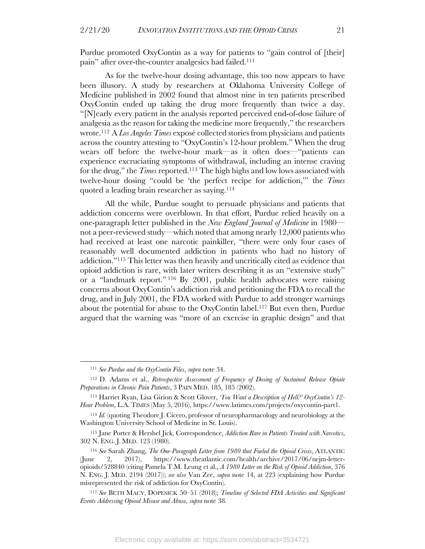Purdue promoted OxyContin as a way for patients to "gain control of [their] pain" after over-the-counter analgesics had failed.111

As for the twelve-hour dosing advantage, this too now appears to have been illusory. A study by researchers at Oklahoma University College of Medicine published in 2002 found that almost nine in ten patients prescribed OxyContin ended up taking the drug more frequently than twice a day. "[N]early every patient in the analysis reported perceived end-of-dose failure of analgesia as the reason for taking the medicine more frequently," the researchers wrote.112 A *Los Angeles Times* exposé collected stories from physicians and patients across the country attesting to "OxyContin's 12-hour problem." When the drug wears off before the twelve-hour mark—as it often does—"patients can experience excruciating symptoms of withdrawal, including an intense craving for the drug," the *Times* reported.113 The high highs and low lows associated with twelve-hour dosing "could be 'the perfect recipe for addiction,'" the *Times*  quoted a leading brain researcher as saying.114

All the while, Purdue sought to persuade physicians and patients that addiction concerns were overblown. In that effort, Purdue relied heavily on a one-paragraph letter published in the *New England Journal of Medicine* in 1980 not a peer-reviewed study—which noted that among nearly 12,000 patients who had received at least one narcotic painkiller, "there were only four cases of reasonably well documented addiction in patients who had no history of addiction."115 This letter was then heavily and uncritically cited as evidence that opioid addiction is rare, with later writers describing it as an "extensive study" or a "landmark report." <sup>116</sup> By 2001, public health advocates were raising concerns about OxyContin's addiction risk and petitioning the FDA to recall the drug, and in July 2001, the FDA worked with Purdue to add stronger warnings about the potential for abuse to the OxyContin label.117 But even then, Purdue argued that the warning was "more of an exercise in graphic design" and that

<sup>111</sup> *See Purdue and the OxyContin Files*, *supra* note 34.

<sup>112</sup> D. Adams et al., *Retrospective Assessment of Frequency of Dosing of Sustained Release Opiate Preparations in Chronic Pain Patients*, 3 PAIN MED. 185, 185 (2002).

<sup>113</sup> Harriet Ryan, Lisa Girion & Scott Glover, *'You Want a Description of Hell?' OxyContin's 12- Hour Problem*, L.A. TIMES (May 5, 2016), https://www.latimes.com/projects/oxycontin-part1.

<sup>114</sup> *Id.* (quoting Theodore J. Cicero, professor of neuropharmacology and neurobiology at the Washington University School of Medicine in St. Louis).

<sup>115</sup> Jane Porter & Hershel Jick, Correspondence, *Addiction Rare in Patients Treated with Narcotics*, 302 N. ENG. J. MED. 123 (1980).

<sup>116</sup> *See* Sarah Zhang, *The One-Paragraph Letter from 1980 that Fueled the Opioid Crisis*, ATLANTIC (June 2, 2017), https://www.theatlantic.com/health/archive/2017/06/nejm-letteropioids/528840 (citing Pamela T.M. Leung et al., *A 1980 Letter on the Risk of Opioid Addiction*, 376 N. ENG. J. MED. 2194 (2017)); *see also* Van Zee, *supra* note 14, at 223 (explaining how Purdue misrepresented the risk of addiction for OxyContin).

<sup>117</sup> *See* BETH MACY, DOPESICK 50–51 (2018); *Timeline of Selected FDA Activities and Significant Events Addressing Opioid Misuse and Abuse*, *supra* note 38.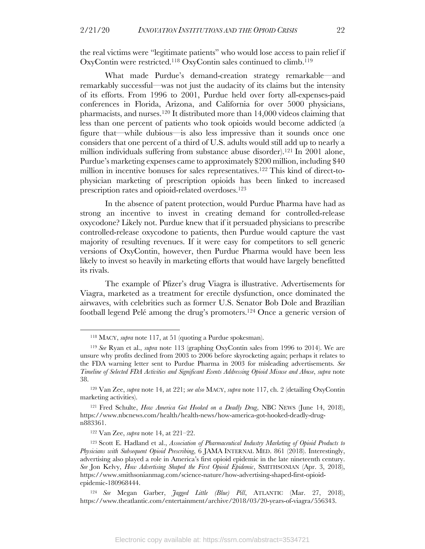the real victims were "legitimate patients" who would lose access to pain relief if OxyContin were restricted.118 OxyContin sales continued to climb.119

What made Purdue's demand-creation strategy remarkable—and remarkably successful—was not just the audacity of its claims but the intensity of its efforts. From 1996 to 2001, Purdue held over forty all-expenses-paid conferences in Florida, Arizona, and California for over 5000 physicians, pharmacists, and nurses.120 It distributed more than 14,000 videos claiming that less than one percent of patients who took opioids would become addicted (a figure that—while dubious—is also less impressive than it sounds once one considers that one percent of a third of U.S. adults would still add up to nearly a million individuals suffering from substance abuse disorder).121 In 2001 alone, Purdue's marketing expenses came to approximately \$200 million, including \$40 million in incentive bonuses for sales representatives.122 This kind of direct-tophysician marketing of prescription opioids has been linked to increased prescription rates and opioid-related overdoses.123

In the absence of patent protection, would Purdue Pharma have had as strong an incentive to invest in creating demand for controlled-release oxycodone? Likely not. Purdue knew that if it persuaded physicians to prescribe controlled-release oxycodone to patients, then Purdue would capture the vast majority of resulting revenues. If it were easy for competitors to sell generic versions of OxyContin, however, then Purdue Pharma would have been less likely to invest so heavily in marketing efforts that would have largely benefitted its rivals.

The example of Pfizer's drug Viagra is illustrative. Advertisements for Viagra, marketed as a treatment for erectile dysfunction, once dominated the airwaves, with celebrities such as former U.S. Senator Bob Dole and Brazilian football legend Pelé among the drug's promoters.124 Once a generic version of

<sup>118</sup> MACY, *supra* note 117, at 51 (quoting a Purdue spokesman).

<sup>119</sup> *See* Ryan et al., *supra* note 113 (graphing OxyContin sales from 1996 to 2014). We are unsure why profits declined from 2003 to 2006 before skyrocketing again; perhaps it relates to the FDA warning letter sent to Purdue Pharma in 2003 for misleading advertisements. *See Timeline of Selected FDA Activities and Significant Events Addressing Opioid Misuse and Abuse*, *supra* note 38.

<sup>120</sup> Van Zee, *supra* note 14, at 221; *see also* MACY, *supra* note 117, ch. 2 (detailing OxyContin marketing activities).

<sup>121</sup> Fred Schulte, *How America Got Hooked on a Deadly Drug*, NBC NEWS (June 14, 2018), https://www.nbcnews.com/health/health-news/how-america-got-hooked-deadly-drugn883361.

<sup>122</sup> Van Zee, *supra* note 14, at 221–22.

<sup>123</sup> Scott E. Hadland et al., *Association of Pharmaceutical Industry Marketing of Opioid Products to Physicians with Subsequent Opioid Prescribing*, 6 JAMA INTERNAL MED. 861 (2018). Interestingly, advertising also played a role in America's first opioid epidemic in the late nineteenth century. *See* Jon Kelvy, *How Advertising Shaped the First Opioid Epidemic*, SMITHSONIAN (Apr. 3, 2018), https://www.smithsonianmag.com/science-nature/how-advertising-shaped-first-opioidepidemic-180968444.

<sup>124</sup> *See* Megan Garber, *Jagged Little (Blue) Pill*, ATLANTIC (Mar. 27, 2018), https://www.theatlantic.com/entertainment/archive/2018/03/20-years-of-viagra/556343.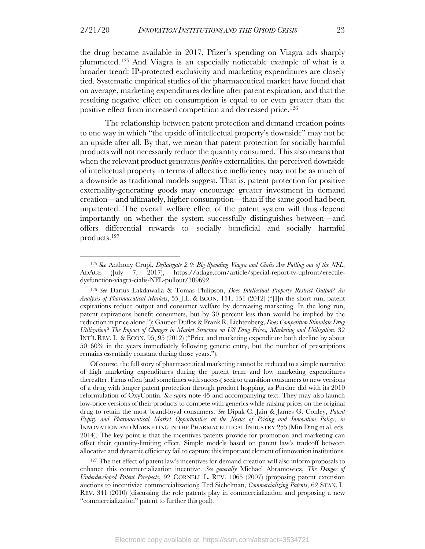the drug became available in 2017, Pfizer's spending on Viagra ads sharply plummeted.125 And Viagra is an especially noticeable example of what is a broader trend: IP-protected exclusivity and marketing expenditures are closely tied. Systematic empirical studies of the pharmaceutical market have found that on average, marketing expenditures decline after patent expiration, and that the resulting negative effect on consumption is equal to or even greater than the positive effect from increased competition and decreased price.126

The relationship between patent protection and demand creation points to one way in which "the upside of intellectual property's downside" may not be an upside after all. By that, we mean that patent protection for socially harmful products will not necessarily reduce the quantity consumed. This also means that when the relevant product generates *positive* externalities, the perceived downside of intellectual property in terms of allocative inefficiency may not be as much of a downside as traditional models suggest. That is, patent protection for positive externality-generating goods may encourage greater investment in demand creation—and ultimately, higher consumption—than if the same good had been unpatented. The overall welfare effect of the patent system will thus depend importantly on whether the system successfully distinguishes between—and offers differential rewards to—socially beneficial and socially harmful products.127

Of course, the full story of pharmaceutical marketing cannot be reduced to a simple narrative of high marketing expenditures during the patent term and low marketing expenditures thereafter. Firms often (and sometimes with success) seek to transition consumers to new versions of a drug with longer patent protection through product hopping, as Purdue did with its 2010 reformulation of OxyContin. *See supra* note 45 and accompanying text. They may also launch low-price versions of their products to compete with generics while raising prices on the original drug to retain the most brand-loyal consumers. *See* Dipak C. Jain & James G. Conley, *Patent Expiry and Pharmaceutical Market Opportunities at the Nexus of Pricing and Innovation Policy*, *in* INNOVATION AND MARKETING IN THE PHARMACEUTICAL INDUSTRY 255 (Min Ding et al. eds. 2014). The key point is that the incentives patents provide for promotion and marketing can offset their quantity-limiting effect. Simple models based on patent law's tradeoff between allocative and dynamic efficiency fail to capture this important element of innovation institutions.

 $127$  The net effect of patent law's incentives for demand creation will also inform proposals to enhance this commercialization incentive. *See generally* Michael Abramowicz, *The Danger of Underdeveloped Patent Prospects*, 92 CORNELL L. REV. 1065 (2007) (proposing patent extension auctions to incentivize commercialization); Ted Sichelman, *Commercializing Patents*, 62 STAN. L. REV. 341 (2010) (discussing the role patents play in commercialization and proposing a new "commercialization" patent to further this goal).

<sup>125</sup> *See* Anthony Crupi, *Deflategate 2.0: Big-Spending Viagra and Cialis Are Pulling out of the NFL*, ADAGE (July 7, 2017), https://adage.com/article/special-report-tv-upfront/erectiledysfunction-viagra-cialis-NFL-pullout/309692.

<sup>126</sup> *See* Darius Lakdawalla & Tomas Philipson, *Does Intellectual Property Restrict Output? An Analysis of Pharmaceutical Markets*, 55 J.L. & ECON. 151, 151 (2012) ("[I]n the short run, patent expirations reduce output and consumer welfare by decreasing marketing. In the long run, patent expirations benefit consumers, but by 30 percent less than would be implied by the reduction in price alone."); Gautier Duflos & Frank R. Lichtenberg, *Does Competition Stimulate Drug Utilization? The Impact of Changes in Market Structure on US Drug Prices, Marketing and Utilization*, 32 INT'L REV. L. & ECON. 95, 95 (2012) ("Price and marketing expenditure both decline by about 50–60% in the years immediately following generic entry, but the number of prescriptions remains essentially constant during those years.").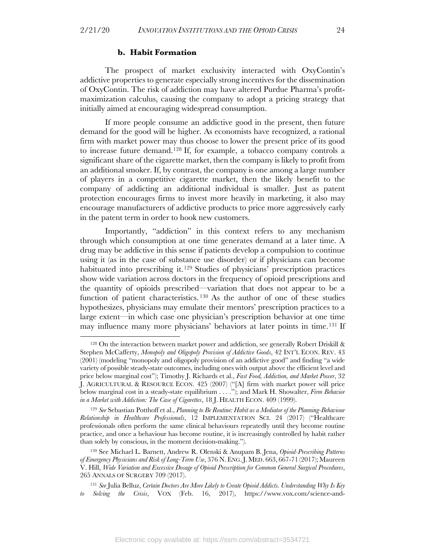#### **b. Habit Formation**

The prospect of market exclusivity interacted with OxyContin's addictive properties to generate especially strong incentives for the dissemination of OxyContin. The risk of addiction may have altered Purdue Pharma's profitmaximization calculus, causing the company to adopt a pricing strategy that initially aimed at encouraging widespread consumption.

If more people consume an addictive good in the present, then future demand for the good will be higher. As economists have recognized, a rational firm with market power may thus choose to lower the present price of its good to increase future demand.128 If, for example, a tobacco company controls a significant share of the cigarette market, then the company is likely to profit from an additional smoker. If, by contrast, the company is one among a large number of players in a competitive cigarette market, then the likely benefit to the company of addicting an additional individual is smaller. Just as patent protection encourages firms to invest more heavily in marketing, it also may encourage manufacturers of addictive products to price more aggressively early in the patent term in order to hook new customers.

Importantly, "addiction" in this context refers to any mechanism through which consumption at one time generates demand at a later time. A drug may be addictive in this sense if patients develop a compulsion to continue using it (as in the case of substance use disorder) or if physicians can become habituated into prescribing it.<sup>129</sup> Studies of physicians' prescription practices show wide variation across doctors in the frequency of opioid prescriptions and the quantity of opioids prescribed—variation that does not appear to be a function of patient characteristics. <sup>130</sup> As the author of one of these studies hypothesizes, physicians may emulate their mentors' prescription practices to a large extent—in which case one physician's prescription behavior at one time may influence many more physicians' behaviors at later points in time.131 If

 $128$  On the interaction between market power and addiction, see generally Robert Driskill & Stephen McCafferty, *Monopoly and Oligopoly Provision of Addictive Goods*, 42 INT'L ECON. REV. 43 (2001) (modeling "monopoly and oligopoly provision of an addictive good" and finding "a wide variety of possible steady-state outcomes, including ones with output above the efficient level and price below marginal cost"); Timothy J. Richards et al., *Fast Food, Addiction, and Market Power*, 32 J. AGRICULTURAL & RESOURCE ECON. 425 (2007) ("[A] firm with market power will price below marginal cost in a steady-state equilibrium . . . ."); and Mark H. Showalter, *Firm Behavior in a Market with Addiction: The Case of Cigarettes*, 18 J. HEALTH ECON. 409 (1999).

<sup>129</sup> *See* Sebastian Potthoff et al., *Planning to Be Routine: Habit as a Mediator of the Planning-Behaviour Relationship in Healthcare Professionals*, 12 IMPLEMENTATION SCI. 24 (2017) ("Healthcare professionals often perform the same clinical behaviours repeatedly until they become routine practice, and once a behaviour has become routine, it is increasingly controlled by habit rather than solely by conscious, in the moment decision-making.").

<sup>130</sup> See Michael L. Barnett, Andrew R. Olenski & Anupam B. Jena, *Opioid-Prescribing Patterns of Emergency Physicians and Risk of Long-Term Use*, 376 N. ENG.J. MED. 663, 667-71 (2017); Maureen V. Hill, *Wide Variation and Excessive Dosage of Opioid Prescription for Common General Surgical Procedures*, 265 ANNALS OF SURGERY 709 (2017).

<sup>131</sup> *See* Julia Belluz, *Certain Doctors Are More Likely to Create Opioid Addicts. Understanding Why Is Key to Solving the Crisis*, VOX (Feb. 16, 2017), https://www.vox.com/science-and-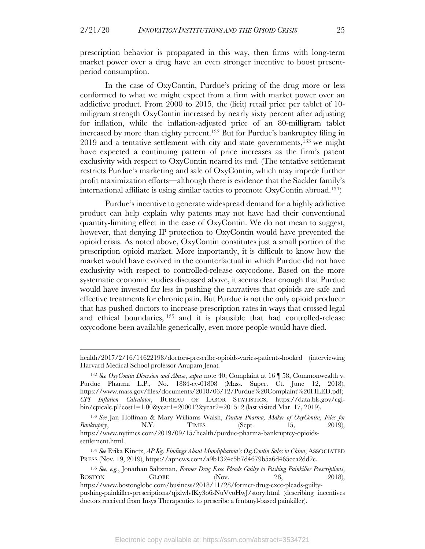prescription behavior is propagated in this way, then firms with long-term market power over a drug have an even stronger incentive to boost presentperiod consumption.

In the case of OxyContin, Purdue's pricing of the drug more or less conformed to what we might expect from a firm with market power over an addictive product. From 2000 to 2015, the (licit) retail price per tablet of 10 miligram strength OxyContin increased by nearly sixty percent after adjusting for inflation, while the inflation-adjusted price of an 80-milligram tablet increased by more than eighty percent.132 But for Purdue's bankruptcy filing in  $2019$  and a tentative settlement with city and state governments,<sup>133</sup> we might have expected a continuing pattern of price increases as the firm's patent exclusivity with respect to OxyContin neared its end. (The tentative settlement restricts Purdue's marketing and sale of OxyContin, which may impede further profit maximization efforts—although there is evidence that the Sackler family's international affiliate is using similar tactics to promote OxyContin abroad. 134)

Purdue's incentive to generate widespread demand for a highly addictive product can help explain why patents may not have had their conventional quantity-limiting effect in the case of OxyContin. We do not mean to suggest, however, that denying IP protection to OxyContin would have prevented the opioid crisis. As noted above, OxyContin constitutes just a small portion of the prescription opioid market. More importantly, it is difficult to know how the market would have evolved in the counterfactual in which Purdue did not have exclusivity with respect to controlled-release oxycodone. Based on the more systematic economic studies discussed above, it seems clear enough that Purdue would have invested far less in pushing the narratives that opioids are safe and effective treatments for chronic pain. But Purdue is not the only opioid producer that has pushed doctors to increase prescription rates in ways that crossed legal and ethical boundaries, <sup>135</sup> and it is plausible that had controlled-release oxycodone been available generically, even more people would have died.

health/2017/2/16/14622198/doctors-prescribe-opioids-varies-patients-hooked (interviewing Harvard Medical School professor Anupam Jena).

<sup>132</sup> *See OxyContin Diversion and Abuse*, *supra* note 40; Complaint at 16 ¶ 58, Commonwealth v. Purdue Pharma L.P., No. 1884-cv-01808 (Mass. Super. Ct. June 12, 2018), https://www.mass.gov/files/documents/2018/06/12/Purdue%20Complaint%20FILED.pdf; *CPI Inflation Calculator*, BUREAU OF LABOR STATISTICS, https://data.bls.gov/cgibin/cpicalc.pl?cost1=1.00&year1=200012&year2=201512 (last visited Mar. 17, 2019).

<sup>133</sup> *See* Jan Hoffman & Mary Williams Walsh, *Purdue Pharma, Maker of OxyContin, Files for Bankruptcy*, N.Y. TIMES (Sept. 15, 2019), https://www.nytimes.com/2019/09/15/health/purdue-pharma-bankruptcy-opioidssettlement.html.

<sup>134</sup> *See* Erika Kinetz, *AP Key Findings About Mundipharma's OxyContin Sales in China*, ASSOCIATED PRESS (Nov. 19, 2019), https://apnews.com/a9b1324e5b7d4679b5a6d465cea2dd2e.

<sup>135</sup> *See, e.g.*, Jonathan Saltzman, *Former Drug Exec Pleads Guilty to Pushing Painkiller Prescriptions*, BOSTON GLOBE (Nov. 28, 2018), https://www.bostonglobe.com/business/2018/11/28/former-drug-exec-pleads-guiltypushing-painkiller-prescriptions/qjxlwlvfKy3o6sNuVvoHwJ/story.html (describing incentives doctors received from Insys Therapeutics to prescribe a fentanyl-based painkiller).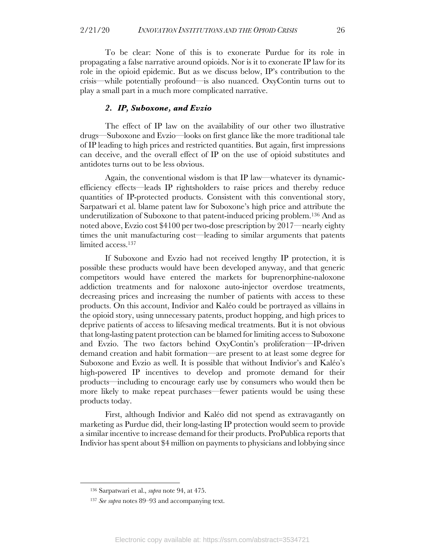To be clear: None of this is to exonerate Purdue for its role in propagating a false narrative around opioids. Nor is it to exonerate IP law for its role in the opioid epidemic. But as we discuss below, IP's contribution to the crisis—while potentially profound—is also nuanced. OxyContin turns out to play a small part in a much more complicated narrative.

#### *2. IP, Suboxone, and Evzio*

The effect of IP law on the availability of our other two illustrative drugs—Suboxone and Evzio—looks on first glance like the more traditional tale of IP leading to high prices and restricted quantities. But again, first impressions can deceive, and the overall effect of IP on the use of opioid substitutes and antidotes turns out to be less obvious.

Again, the conventional wisdom is that IP law—whatever its dynamicefficiency effects—leads IP rightsholders to raise prices and thereby reduce quantities of IP-protected products. Consistent with this conventional story, Sarpatwari et al. blame patent law for Suboxone's high price and attribute the underutilization of Suboxone to that patent-induced pricing problem. <sup>136</sup> And as noted above, Evzio cost \$4100 per two-dose prescription by 2017—nearly eighty times the unit manufacturing cost—leading to similar arguments that patents limited access. 137

If Suboxone and Evzio had not received lengthy IP protection, it is possible these products would have been developed anyway, and that generic competitors would have entered the markets for buprenorphine-naloxone addiction treatments and for naloxone auto-injector overdose treatments, decreasing prices and increasing the number of patients with access to these products. On this account, Indivior and Kaléo could be portrayed as villains in the opioid story, using unnecessary patents, product hopping, and high prices to deprive patients of access to lifesaving medical treatments. But it is not obvious that long-lasting patent protection can be blamed for limiting access to Suboxone and Evzio. The two factors behind OxyContin's proliferation—IP-driven demand creation and habit formation—are present to at least some degree for Suboxone and Evzio as well. It is possible that without Indivior's and Kaléo's high-powered IP incentives to develop and promote demand for their products—including to encourage early use by consumers who would then be more likely to make repeat purchases—fewer patients would be using these products today.

First, although Indivior and Kaléo did not spend as extravagantly on marketing as Purdue did, their long-lasting IP protection would seem to provide a similar incentive to increase demand for their products. ProPublica reports that Indivior has spent about \$4 million on payments to physicians and lobbying since

<sup>136</sup> Sarpatwari et al., *supra* note 94, at 475.

<sup>137</sup> *See supra* notes 89–93 and accompanying text.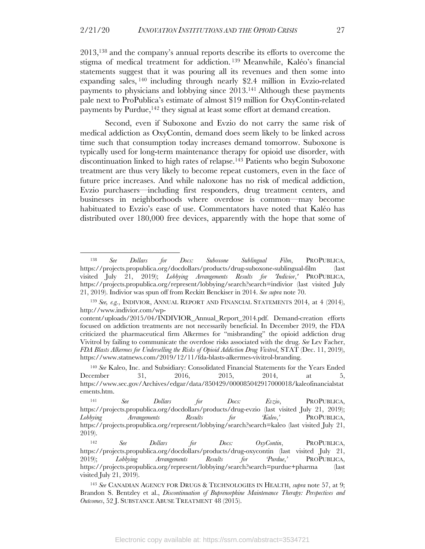2013,138 and the company's annual reports describe its efforts to overcome the stigma of medical treatment for addiction. <sup>139</sup> Meanwhile, Kaléo's financial statements suggest that it was pouring all its revenues and then some into expanding sales, <sup>140</sup> including through nearly \$2.4 million in Evzio-related payments to physicians and lobbying since 2013.141 Although these payments pale next to ProPublica's estimate of almost \$19 million for OxyContin-related payments by Purdue,<sup>142</sup> they signal at least some effort at demand creation.

Second, even if Suboxone and Evzio do not carry the same risk of medical addiction as OxyContin, demand does seem likely to be linked across time such that consumption today increases demand tomorrow. Suboxone is typically used for long-term maintenance therapy for opioid use disorder, with discontinuation linked to high rates of relapse.143 Patients who begin Suboxone treatment are thus very likely to become repeat customers, even in the face of future price increases. And while naloxone has no risk of medical addiction, Evzio purchasers—including first responders, drug treatment centers, and businesses in neighborhoods where overdose is common—may become habituated to Evzio's ease of use. Commentators have noted that Kaléo has distributed over 180,000 free devices, apparently with the hope that some of

<sup>138</sup> *See Dollars for Docs: Suboxone Sublingual Film*, PROPUBLICA, https://projects.propublica.org/docdollars/products/drug-suboxone-sublingual-film (last visited July 21, 2019); *Lobbying Arrangements Results for 'Indivior*,*'* PROPUBLICA, https://projects.propublica.org/represent/lobbying/search?search=indivior (last visited July 21, 2019). Indivior was spun off from Reckitt Benckiser in 2014. *See supra* note 70.

<sup>139</sup> *See, e.g.*, INDIVIOR, ANNUAL REPORT AND FINANCIAL STATEMENTS 2014, at 4 (2014), http://www.indivior.com/wp-

content/uploads/2015/04/INDIVIOR\_Annual\_Report\_2014.pdf. Demand-creation efforts focused on addiction treatments are not necessarily beneficial. In December 2019, the FDA criticized the pharmaceutical firm Alkermes for "misbranding" the opioid addiction drug Vivitrol by failing to communicate the overdose risks associated with the drug. *See* Lev Facher, *FDA Blasts Alkermes for Underselling the Risks of Opioid Addiction Drug Vivitrol*, STAT (Dec. 11, 2019), https://www.statnews.com/2019/12/11/fda-blasts-alkermes-vivitrol-branding.

<sup>140</sup> *See* Kaleo, Inc. and Subsidiary: Consolidated Financial Statements for the Years Ended December 31, 2016, 2015, 2014, at 5, https://www.sec.gov/Archives/edgar/data/850429/000085042917000018/kaleofinancialstat ements.htm.

<sup>141</sup> *See Dollars for Docs: Evzio*, PROPUBLICA, https://projects.propublica.org/docdollars/products/drug-evzio (last visited July 21, 2019); *Lobbying Arrangements Results for 'Kaleo*,*'* PROPUBLICA, https://projects.propublica.org/represent/lobbying/search?search=kaleo (last visited July 21, 2019).

<sup>142</sup> *See Dollars for Docs: OxyContin*, PROPUBLICA, https://projects.propublica.org/docdollars/products/drug-oxycontin (last visited July 21, 2019); *Lobbying Arrangements Results for 'Purdue*,*'* PROPUBLICA, https://projects.propublica.org/represent/lobbying/search?search=purdue+pharma (last visited July 21, 2019).

<sup>143</sup> *See* CANADIAN AGENCY FOR DRUGS & TECHNOLOGIES IN HEALTH, *supra* note 57, at 9; Brandon S. Bentzley et al., *Discontinuation of Buprenorphine Maintenance Therapy: Perspectives and Outcomes*, 52 J. SUBSTANCE ABUSE TREATMENT 48 (2015).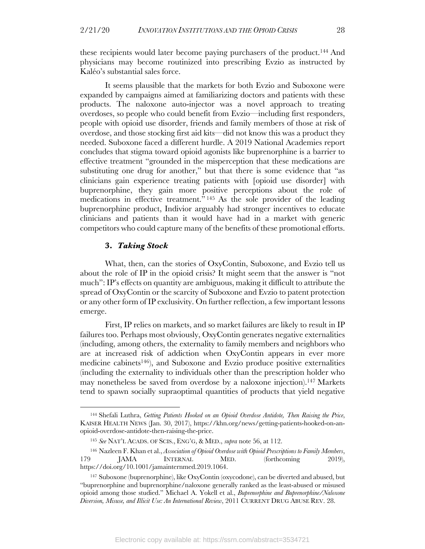these recipients would later become paying purchasers of the product. <sup>144</sup> And physicians may become routinized into prescribing Evzio as instructed by Kaléo's substantial sales force.

It seems plausible that the markets for both Evzio and Suboxone were expanded by campaigns aimed at familiarizing doctors and patients with these products. The naloxone auto-injector was a novel approach to treating overdoses, so people who could benefit from Evzio—including first responders, people with opioid use disorder, friends and family members of those at risk of overdose, and those stocking first aid kits—did not know this was a product they needed. Suboxone faced a different hurdle. A 2019 National Academies report concludes that stigma toward opioid agonists like buprenorphine is a barrier to effective treatment "grounded in the misperception that these medications are substituting one drug for another," but that there is some evidence that "as clinicians gain experience treating patients with [opioid use disorder] with buprenorphine, they gain more positive perceptions about the role of medications in effective treatment." <sup>145</sup> As the sole provider of the leading buprenorphine product, Indivior arguably had stronger incentives to educate clinicians and patients than it would have had in a market with generic competitors who could capture many of the benefits of these promotional efforts.

#### **3.** *Taking Stock*

What, then, can the stories of OxyContin, Suboxone, and Evzio tell us about the role of IP in the opioid crisis? It might seem that the answer is "not much": IP's effects on quantity are ambiguous, making it difficult to attribute the spread of OxyContin or the scarcity of Suboxone and Evzio to patent protection or any other form of IP exclusivity. On further reflection, a few important lessons emerge.

First, IP relies on markets, and so market failures are likely to result in IP failures too. Perhaps most obviously, OxyContin generates negative externalities (including, among others, the externality to family members and neighbors who are at increased risk of addiction when OxyContin appears in ever more medicine cabinets146), and Suboxone and Evzio produce positive externalities (including the externality to individuals other than the prescription holder who may nonetheless be saved from overdose by a naloxone injection).147 Markets tend to spawn socially supraoptimal quantities of products that yield negative

<sup>144</sup> Shefali Luthra, *Getting Patients Hooked on an Opioid Overdose Antidote, Then Raising the Price*, KAISER HEALTH NEWS (Jan. 30, 2017), https://khn.org/news/getting-patients-hooked-on-anopioid-overdose-antidote-then-raising-the-price.

<sup>145</sup> *See* NAT'L ACADS. OF SCIS., ENG'G, & MED., *supra* note 56, at 112.

<sup>146</sup> Nazleen F. Khan et al., *Association of Opioid Overdose with Opioid Prescriptions to Family Members*, 179 JAMA INTERNAL MED. (forthcoming 2019), https://doi.org/10.1001/jamainternmed.2019.1064.

<sup>147</sup> Suboxone (buprenorphine), like OxyContin (oxycodone), can be diverted and abused, but "buprenorphine and buprenorphine/naloxone generally ranked as the least-abused or misused opioid among those studied." Michael A. Yokell et al., *Buprenorphine and Buprenorphine/Naloxone Diversion, Misuse, and Illicit Use: An International Review*, 2011 CURRENT DRUG ABUSE REV. 28.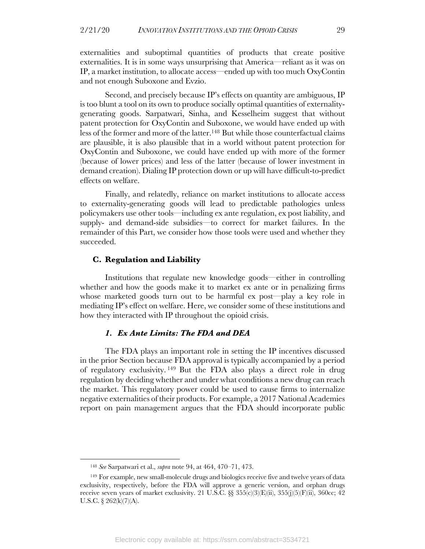externalities and suboptimal quantities of products that create positive externalities. It is in some ways unsurprising that America—reliant as it was on IP, a market institution, to allocate access—ended up with too much OxyContin and not enough Suboxone and Evzio.

Second, and precisely because IP's effects on quantity are ambiguous, IP is too blunt a tool on its own to produce socially optimal quantities of externalitygenerating goods. Sarpatwari, Sinha, and Kesselheim suggest that without patent protection for OxyContin and Suboxone, we would have ended up with less of the former and more of the latter.148 But while those counterfactual claims are plausible, it is also plausible that in a world without patent protection for OxyContin and Suboxone, we could have ended up with more of the former (because of lower prices) and less of the latter (because of lower investment in demand creation). Dialing IP protection down or up will have difficult-to-predict effects on welfare.

Finally, and relatedly, reliance on market institutions to allocate access to externality-generating goods will lead to predictable pathologies unless policymakers use other tools—including ex ante regulation, ex post liability, and supply- and demand-side subsidies—to correct for market failures. In the remainder of this Part, we consider how those tools were used and whether they succeeded.

#### **C. Regulation and Liability**

Institutions that regulate new knowledge goods—either in controlling whether and how the goods make it to market ex ante or in penalizing firms whose marketed goods turn out to be harmful ex post—play a key role in mediating IP's effect on welfare. Here, we consider some of these institutions and how they interacted with IP throughout the opioid crisis.

#### *1. Ex Ante Limits: The FDA and DEA*

The FDA plays an important role in setting the IP incentives discussed in the prior Section because FDA approval is typically accompanied by a period of regulatory exclusivity. <sup>149</sup> But the FDA also plays a direct role in drug regulation by deciding whether and under what conditions a new drug can reach the market. This regulatory power could be used to cause firms to internalize negative externalities of their products. For example, a 2017 National Academies report on pain management argues that the FDA should incorporate public

<sup>148</sup> *See* Sarpatwari et al., *supra* note 94, at 464, 470–71, 473.

<sup>149</sup> For example, new small-molecule drugs and biologics receive five and twelve years of data exclusivity, respectively, before the FDA will approve a generic version, and orphan drugs receive seven years of market exclusivity. 21 U.S.C.  $\S$  355(c)(3)(E)(ii), 355(j)(5)(F)(ii), 360cc; 42 U.S.C. § 262(k)(7)(A).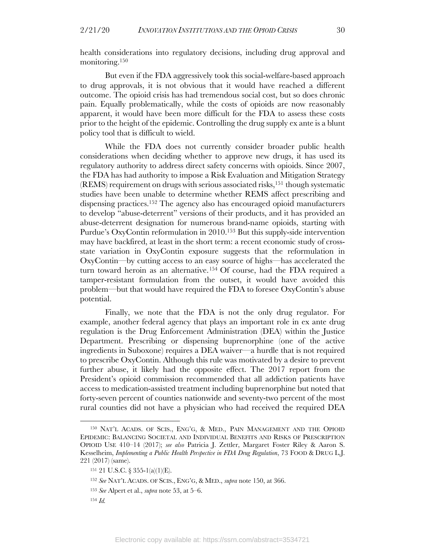health considerations into regulatory decisions, including drug approval and monitoring. 150

But even if the FDA aggressively took this social-welfare-based approach to drug approvals, it is not obvious that it would have reached a different outcome. The opioid crisis has had tremendous social cost, but so does chronic pain. Equally problematically, while the costs of opioids are now reasonably apparent, it would have been more difficult for the FDA to assess these costs prior to the height of the epidemic. Controlling the drug supply ex ante is a blunt policy tool that is difficult to wield.

While the FDA does not currently consider broader public health considerations when deciding whether to approve new drugs, it has used its regulatory authority to address direct safety concerns with opioids. Since 2007, the FDA has had authority to impose a Risk Evaluation and Mitigation Strategy  $(REMS)$  requirement on drugs with serious associated risks,<sup>151</sup> though systematic studies have been unable to determine whether REMS affect prescribing and dispensing practices.152 The agency also has encouraged opioid manufacturers to develop "abuse-deterrent" versions of their products, and it has provided an abuse-deterrent designation for numerous brand-name opioids, starting with Purdue's OxyContin reformulation in 2010.153 But this supply-side intervention may have backfired, at least in the short term: a recent economic study of crossstate variation in OxyContin exposure suggests that the reformulation in OxyContin—by cutting access to an easy source of highs—has accelerated the turn toward heroin as an alternative.154 Of course, had the FDA required a tamper-resistant formulation from the outset, it would have avoided this problem—but that would have required the FDA to foresee OxyContin's abuse potential.

Finally, we note that the FDA is not the only drug regulator. For example, another federal agency that plays an important role in ex ante drug regulation is the Drug Enforcement Administration (DEA) within the Justice Department. Prescribing or dispensing buprenorphine (one of the active ingredients in Suboxone) requires a DEA waiver—a hurdle that is not required to prescribe OxyContin. Although this rule was motivated by a desire to prevent further abuse, it likely had the opposite effect. The 2017 report from the President's opioid commission recommended that all addiction patients have access to medication-assisted treatment including buprenorphine but noted that forty-seven percent of counties nationwide and seventy-two percent of the most rural counties did not have a physician who had received the required DEA

<sup>150</sup> NAT'L ACADS. OF SCIS., ENG'G, & MED., PAIN MANAGEMENT AND THE OPIOID EPIDEMIC: BALANCING SOCIETAL AND INDIVIDUAL BENEFITS AND RISKS OF PRESCRIPTION OPIOID USE 410–14 (2017); *see also* Patricia J. Zettler, Margaret Foster Riley & Aaron S. Kesselheim, *Implementing a Public Health Perspective in FDA Drug Regulation*, 73 FOOD & DRUG L.J. 221 (2017) (same).

<sup>151</sup> 21 U.S.C. § 355-1(a)(1)(E).

<sup>152</sup> *See* NAT'L ACADS. OF SCIS., ENG'G, & MED., *supra* note 150, at 366.

<sup>153</sup> *See* Alpert et al., *supra* note 53, at 5–6.

<sup>154</sup> *Id.*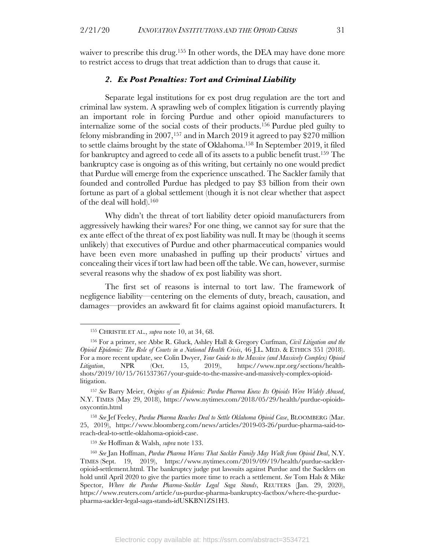waiver to prescribe this drug.155 In other words, the DEA may have done more to restrict access to drugs that treat addiction than to drugs that cause it.

#### *2. Ex Post Penalties: Tort and Criminal Liability*

Separate legal institutions for ex post drug regulation are the tort and criminal law system. A sprawling web of complex litigation is currently playing an important role in forcing Purdue and other opioid manufacturers to internalize some of the social costs of their products. <sup>156</sup> Purdue pled guilty to felony misbranding in 2007,157 and in March 2019 it agreed to pay \$270 million to settle claims brought by the state of Oklahoma.158 In September 2019, it filed for bankruptcy and agreed to cede all of its assets to a public benefit trust.159 The bankruptcy case is ongoing as of this writing, but certainly no one would predict that Purdue will emerge from the experience unscathed. The Sackler family that founded and controlled Purdue has pledged to pay \$3 billion from their own fortune as part of a global settlement (though it is not clear whether that aspect of the deal will hold).160

Why didn't the threat of tort liability deter opioid manufacturers from aggressively hawking their wares? For one thing, we cannot say for sure that the ex ante effect of the threat of ex post liability was null. It may be (though it seems unlikely) that executives of Purdue and other pharmaceutical companies would have been even more unabashed in puffing up their products' virtues and concealing their vices if tort law had been off the table. We can, however, surmise several reasons why the shadow of ex post liability was short.

The first set of reasons is internal to tort law. The framework of negligence liability—centering on the elements of duty, breach, causation, and damages—provides an awkward fit for claims against opioid manufacturers. It

<sup>159</sup> *See* Hoffman & Walsh, *supra* note 133.

<sup>155</sup> CHRISTIE ET AL., *supra* note 10, at 34, 68.

<sup>156</sup> For a primer, see Abbe R. Gluck, Ashley Hall & Gregory Curfman, *Civil Litigation and the Opioid Epidemic: The Role of Courts in a National Health Crisis*, 46 J.L. MED. & ETHICS 351 (2018). For a more recent update, see Colin Dwyer, *Your Guide to the Massive (and Massively Complex) Opioid Litigation*, NPR (Oct. 15, 2019), https://www.npr.org/sections/healthshots/2019/10/15/761537367/your-guide-to-the-massive-and-massively-complex-opioidlitigation.

<sup>157</sup> *See* Barry Meier, *Origins of an Epidemic: Purdue Pharma Knew Its Opioids Were Widely Abused*, N.Y. TIMES (May 29, 2018), https://www.nytimes.com/2018/05/29/health/purdue-opioidsoxycontin.html

<sup>158</sup> *See* Jef Feeley, *Purdue Pharma Reaches Deal to Settle Oklahoma Opioid Case*, BLOOMBERG (Mar. 25, 2019), https://www.bloomberg.com/news/articles/2019-03-26/purdue-pharma-said-toreach-deal-to-settle-oklahoma-opioid-case.

<sup>160</sup> *See* Jan Hoffman, *Purdue Pharma Warns That Sackler Family May Walk from Opioid Deal*, N.Y. TIMES (Sept. 19, 2019), https://www.nytimes.com/2019/09/19/health/purdue-sackleropioid-settlement.html. The bankruptcy judge put lawsuits against Purdue and the Sacklers on hold until April 2020 to give the parties more time to reach a settlement. *See* Tom Hals & Mike Spector, *Where the Purdue Pharma-Sackler Legal Saga Stands*, REUTERS (Jan. 29, 2020), https://www.reuters.com/article/us-purdue-pharma-bankruptcy-factbox/where-the-purduepharma-sackler-legal-saga-stands-idUSKBN1ZS1H3.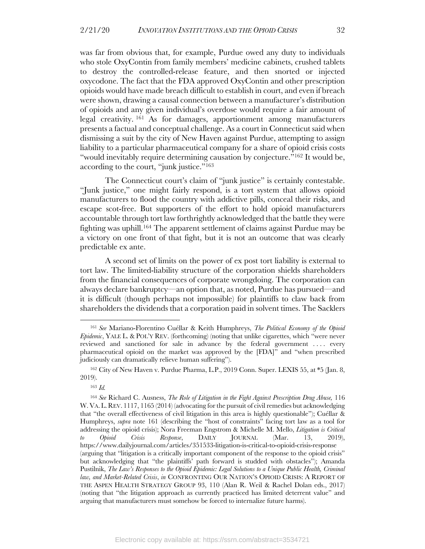was far from obvious that, for example, Purdue owed any duty to individuals who stole OxyContin from family members' medicine cabinets, crushed tablets to destroy the controlled-release feature, and then snorted or injected oxycodone. The fact that the FDA approved OxyContin and other prescription opioids would have made breach difficult to establish in court, and even if breach were shown, drawing a causal connection between a manufacturer's distribution of opioids and any given individual's overdose would require a fair amount of legal creativity. <sup>161</sup> As for damages, apportionment among manufacturers presents a factual and conceptual challenge. As a court in Connecticut said when dismissing a suit by the city of New Haven against Purdue, attempting to assign liability to a particular pharmaceutical company for a share of opioid crisis costs "would inevitably require determining causation by conjecture."162 It would be, according to the court, "junk justice."163

The Connecticut court's claim of "junk justice" is certainly contestable. "Junk justice," one might fairly respond, is a tort system that allows opioid manufacturers to flood the country with addictive pills, conceal their risks, and escape scot-free. But supporters of the effort to hold opioid manufacturers accountable through tort law forthrightly acknowledged that the battle they were fighting was uphill.164 The apparent settlement of claims against Purdue may be a victory on one front of that fight, but it is not an outcome that was clearly predictable ex ante.

A second set of limits on the power of ex post tort liability is external to tort law. The limited-liability structure of the corporation shields shareholders from the financial consequences of corporate wrongdoing. The corporation can always declare bankruptcy—an option that, as noted, Purdue has pursued—and it is difficult (though perhaps not impossible) for plaintiffs to claw back from shareholders the dividends that a corporation paid in solvent times. The Sacklers

<sup>161</sup> *See* Mariano-Florentino Cuéllar & Keith Humphreys, *The Political Economy of the Opioid Epidemic*, YALE L. & POL'Y REV. (forthcoming) (noting that unlike cigarettes, which "were never reviewed and sanctioned for sale in advance by the federal government .... every pharmaceutical opioid on the market was approved by the [FDA]" and "when prescribed judiciously can dramatically relieve human suffering").

<sup>162</sup> City of New Haven v. Purdue Pharma, L.P., 2019 Conn. Super. LEXIS 55, at \*5 (Jan. 8, 2019).

<sup>163</sup> *Id.*

<sup>164</sup> *See* Richard C. Ausness, *The Role of Litigation in the Fight Against Prescription Drug Abuse,* 116 W. VA.L. REV. 1117, 1165 (2014) (advocating for the pursuit of civil remedies but acknowledging that "the overall effectiveness of civil litigation in this area is highly questionable"); Cuéllar & Humphreys, *supra* note 161 (describing the "host of constraints" facing tort law as a tool for addressing the opioid crisis); Nora Freeman Engstrom & Michelle M. Mello, *Litigation is Critical to Opioid Crisis Response*, DAILY JOURNAL (Mar. 13, 2019), https://www.dailyjournal.com/articles/351533-litigation-is-critical-to-opioid-crisis-response (arguing that "litigation is a critically important component of the response to the opioid crisis" but acknowledging that "the plaintiffs' path forward is studded with obstacles"); Amanda Pustilnik, *The Law's Responses to the Opioid Epidemic: Legal Solutions to a Unique Public Health, Criminal law, and Market-Related Crisis*, *in* CONFRONTING OUR NATION'S OPIOID CRISIS: A REPORT OF THE ASPEN HEALTH STRATEGY GROUP 93, 110 (Alan R. Weil & Rachel Dolan eds., 2017) (noting that "the litigation approach as currently practiced has limited deterrent value" and arguing that manufacturers must somehow be forced to internalize future harms).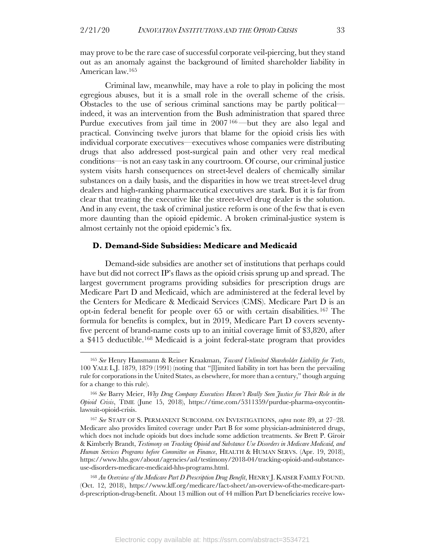may prove to be the rare case of successful corporate veil-piercing, but they stand out as an anomaly against the background of limited shareholder liability in American law.165

Criminal law, meanwhile, may have a role to play in policing the most egregious abuses, but it is a small role in the overall scheme of the crisis. Obstacles to the use of serious criminal sanctions may be partly political indeed, it was an intervention from the Bush administration that spared three Purdue executives from jail time in 2007 166—but they are also legal and practical. Convincing twelve jurors that blame for the opioid crisis lies with individual corporate executives—executives whose companies were distributing drugs that also addressed post-surgical pain and other very real medical conditions—is not an easy task in any courtroom. Of course, our criminal justice system visits harsh consequences on street-level dealers of chemically similar substances on a daily basis, and the disparities in how we treat street-level drug dealers and high-ranking pharmaceutical executives are stark. But it is far from clear that treating the executive like the street-level drug dealer is the solution. And in any event, the task of criminal justice reform is one of the few that is even more daunting than the opioid epidemic. A broken criminal-justice system is almost certainly not the opioid epidemic's fix.

#### **D. Demand-Side Subsidies: Medicare and Medicaid**

Demand-side subsidies are another set of institutions that perhaps could have but did not correct IP's flaws as the opioid crisis sprung up and spread. The largest government programs providing subsidies for prescription drugs are Medicare Part D and Medicaid, which are administered at the federal level by the Centers for Medicare & Medicaid Services (CMS). Medicare Part D is an opt-in federal benefit for people over 65 or with certain disabilities. <sup>167</sup> The formula for benefits is complex, but in 2019, Medicare Part D covers seventyfive percent of brand-name costs up to an initial coverage limit of \$3,820, after a \$415 deductible.168 Medicaid is a joint federal-state program that provides

<sup>165</sup> *See* Henry Hansmann & Reiner Kraakman, *Toward Unlimited Shareholder Liability for Torts*, 100 YALE L.J. 1879, 1879 (1991) (noting that "[l]imited liability in tort has been the prevailing rule for corporations in the United States, as elsewhere, for more than a century," though arguing for a change to this rule).

<sup>166</sup> *See* Barry Meier, *Why Drug Company Executives Haven't Really Seen Justice for Their Role in the Opioid Crisis*, TIME (June 15, 2018), https://time.com/5311359/purdue-pharma-oxycontinlawsuit-opioid-crisis.

<sup>167</sup> *See* STAFF OF S. PERMANENT SUBCOMM. ON INVESTIGATIONS, *supra* note 89, at 27–28. Medicare also provides limited coverage under Part B for some physician-administered drugs, which does not include opioids but does include some addiction treatments. *See* Brett P. Giroir & Kimberly Brandt, *Testimony on Tracking Opioid and Substance Use Disorders in Medicare Medicaid, and Human Services Programs before Committee on Finance*, HEALTH & HUMAN SERVS. (Apr. 19, 2018), https://www.hhs.gov/about/agencies/asl/testimony/2018-04/tracking-opioid-and-substanceuse-disorders-medicare-medicaid-hhs-programs.html.

<sup>168</sup> *An Overview of the Medicare Part D Prescription Drug Benefit*, HENRY J. KAISER FAMILY FOUND. (Oct. 12, 2018), https://www.kff.org/medicare/fact-sheet/an-overview-of-the-medicare-partd-prescription-drug-benefit. About 13 million out of 44 million Part D beneficiaries receive low-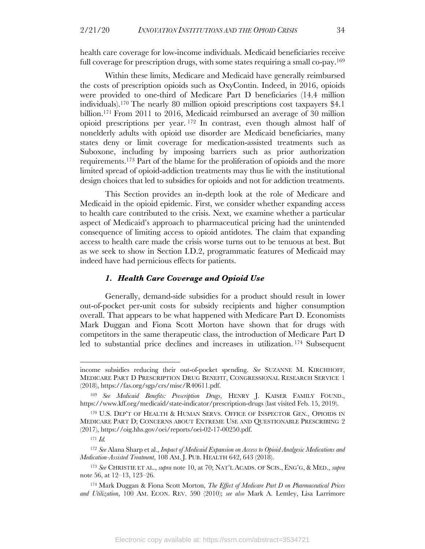health care coverage for low-income individuals. Medicaid beneficiaries receive full coverage for prescription drugs, with some states requiring a small co-pay.169

Within these limits, Medicare and Medicaid have generally reimbursed the costs of prescription opioids such as OxyContin. Indeed, in 2016, opioids were provided to one-third of Medicare Part D beneficiaries (14.4 million individuals).170 The nearly 80 million opioid prescriptions cost taxpayers \$4.1 billion.171 From 2011 to 2016, Medicaid reimbursed an average of 30 million opioid prescriptions per year. <sup>172</sup> In contrast, even though almost half of nonelderly adults with opioid use disorder are Medicaid beneficiaries, many states deny or limit coverage for medication-assisted treatments such as Suboxone, including by imposing barriers such as prior authorization requirements. <sup>173</sup> Part of the blame for the proliferation of opioids and the more limited spread of opioid-addiction treatments may thus lie with the institutional design choices that led to subsidies for opioids and not for addiction treatments.

This Section provides an in-depth look at the role of Medicare and Medicaid in the opioid epidemic. First, we consider whether expanding access to health care contributed to the crisis. Next, we examine whether a particular aspect of Medicaid's approach to pharmaceutical pricing had the unintended consequence of limiting access to opioid antidotes. The claim that expanding access to health care made the crisis worse turns out to be tenuous at best. But as we seek to show in Section I.D.2, programmatic features of Medicaid may indeed have had pernicious effects for patients.

#### *1. Health Care Coverage and Opioid Use*

Generally, demand-side subsidies for a product should result in lower out-of-pocket per-unit costs for subsidy recipients and higher consumption overall. That appears to be what happened with Medicare Part D. Economists Mark Duggan and Fiona Scott Morton have shown that for drugs with competitors in the same therapeutic class, the introduction of Medicare Part D led to substantial price declines and increases in utilization. <sup>174</sup> Subsequent

income subsidies reducing their out-of-pocket spending. *See* SUZANNE M. KIRCHHOFF, MEDICARE PART D PRESCRIPTION DRUG BENEFIT, CONGRESSIONAL RESEARCH SERVICE 1 (2018), https://fas.org/sgp/crs/misc/R40611.pdf.

<sup>169</sup> *See Medicaid Benefits: Prescription Drugs*, HENRY J. KAISER FAMILY FOUND., https://www.kff.org/medicaid/state-indicator/prescription-drugs (last visited Feb. 15, 2019).

<sup>170</sup> U.S. DEP'T OF HEALTH & HUMAN SERVS. OFFICE OF INSPECTOR GEN., OPIOIDS IN MEDICARE PART D; CONCERNS ABOUT EXTREME USE AND QUESTIONABLE PRESCRIBING 2 (2017), https://oig.hhs.gov/oei/reports/oei-02-17-00250.pdf.

<sup>171</sup> *Id.*

<sup>172</sup> *See* Alana Sharp et al., *Impact of Medicaid Expansion on Access to Opioid Analgesic Medications and Medication-Assisted Treatment*, 108 AM. J. PUB. HEALTH 642, 643 (2018).

<sup>173</sup> *See* CHRISTIE ET AL., *supra* note 10, at 70; NAT'L ACADS. OF SCIS., ENG'G, & MED., *supra* note 56, at 12–13, 123–26.

<sup>174</sup> Mark Duggan & Fiona Scott Morton, *The Effect of Medicare Part D on Pharmaceutical Prices and Utilization*, 100 AM. ECON. REV. 590 (2010); *see also* Mark A. Lemley, Lisa Larrimore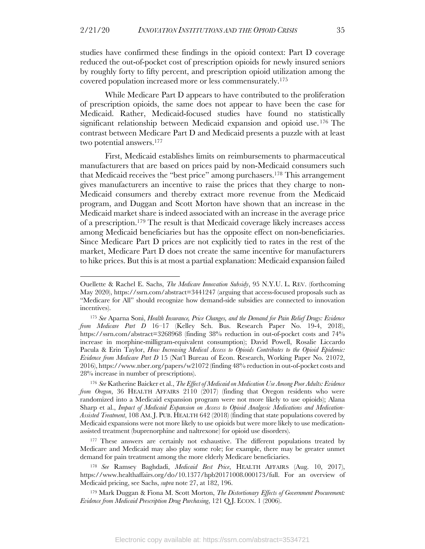studies have confirmed these findings in the opioid context: Part D coverage reduced the out-of-pocket cost of prescription opioids for newly insured seniors by roughly forty to fifty percent, and prescription opioid utilization among the covered population increased more or less commensurately.175

While Medicare Part D appears to have contributed to the proliferation of prescription opioids, the same does not appear to have been the case for Medicaid. Rather, Medicaid-focused studies have found no statistically significant relationship between Medicaid expansion and opioid use. <sup>176</sup> The contrast between Medicare Part D and Medicaid presents a puzzle with at least two potential answers.177

First, Medicaid establishes limits on reimbursements to pharmaceutical manufacturers that are based on prices paid by non-Medicaid consumers such that Medicaid receives the "best price" among purchasers. <sup>178</sup> This arrangement gives manufacturers an incentive to raise the prices that they charge to non-Medicaid consumers and thereby extract more revenue from the Medicaid program, and Duggan and Scott Morton have shown that an increase in the Medicaid market share is indeed associated with an increase in the average price of a prescription. <sup>179</sup> The result is that Medicaid coverage likely increases access among Medicaid beneficiaries but has the opposite effect on non-beneficiaries. Since Medicare Part D prices are not explicitly tied to rates in the rest of the market, Medicare Part D does not create the same incentive for manufacturers to hike prices. But this is at most a partial explanation: Medicaid expansion failed

<sup>177</sup> These answers are certainly not exhaustive. The different populations treated by Medicare and Medicaid may also play some role; for example, there may be greater unmet demand for pain treatment among the more elderly Medicare beneficiaries.

<sup>178</sup> *See* Ramsey Baghdadi, *Medicaid Best Price*, HEALTH AFFAIRS (Aug. 10, 2017), https://www.healthaffairs.org/do/10.1377/hpb20171008.000173/full. For an overview of Medicaid pricing, see Sachs, *supra* note 27, at 182, 196.

<sup>179</sup> Mark Duggan & Fiona M. Scott Morton, *The Distortionary Effects of Government Procurement: Evidence from Medicaid Prescription Drug Purchasing*, 121 Q.J. ECON. 1 (2006).

Ouellette & Rachel E. Sachs, *The Medicare Innovation Subsidy*, 95 N.Y.U. L. REV. (forthcoming May 2020), https://ssrn.com/abstract=3441247 (arguing that access-focused proposals such as "Medicare for All" should recognize how demand-side subsidies are connected to innovation incentives).

<sup>175</sup> *See* Aparna Soni, *Health Insurance, Price Changes, and the Demand for Pain Relief Drugs: Evidence from Medicare Part D* 16–17 (Kelley Sch. Bus. Research Paper No. 19-4, 2018), https://ssrn.com/abstract=3268968 (finding 38% reduction in out-of-pocket costs and 74% increase in morphine-milligram-equivalent consumption); David Powell, Rosalie Liccardo Pacula & Erin Taylor, *How Increasing Medical Access to Opioids Contributes to the Opioid Epidemic: Evidence from Medicare Part D* 15 (Nat'l Bureau of Econ. Research, Working Paper No. 21072, 2016), https://www.nber.org/papers/w21072 (finding 48% reduction in out-of-pocket costs and 28% increase in number of prescriptions).

<sup>176</sup> *See* Katherine Baicker et al., *The Effect of Medicaid on Medication Use Among Poor Adults: Evidence from Oregon*, 36 HEALTH AFFAIRS 2110 (2017) (finding that Oregon residents who were randomized into a Medicaid expansion program were not more likely to use opioids); Alana Sharp et al., *Impact of Medicaid Expansion on Access to Opioid Analgesic Medications and Medication-Assisted Treatment*, 108 AM. J. PUB. HEALTH 642 (2018) (finding that state populations covered by Medicaid expansions were not more likely to use opioids but were more likely to use medicationassisted treatment (buprenorphine and naltrexone) for opioid use disorders).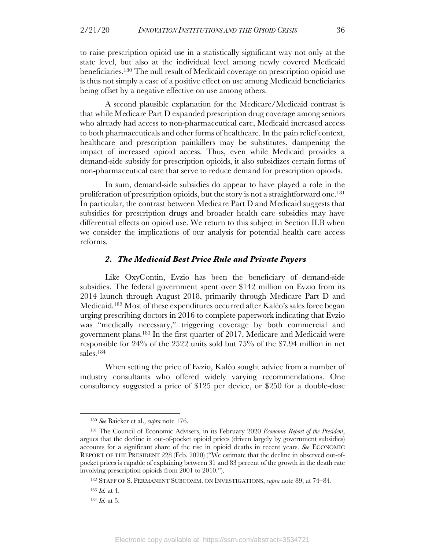to raise prescription opioid use in a statistically significant way not only at the state level, but also at the individual level among newly covered Medicaid beneficiaries.180 The null result of Medicaid coverage on prescription opioid use is thus not simply a case of a positive effect on use among Medicaid beneficiaries being offset by a negative effective on use among others.

A second plausible explanation for the Medicare/Medicaid contrast is that while Medicare Part D expanded prescription drug coverage among seniors who already had access to non-pharmaceutical care, Medicaid increased access to both pharmaceuticals and other forms of healthcare. In the pain relief context, healthcare and prescription painkillers may be substitutes, dampening the impact of increased opioid access. Thus, even while Medicaid provides a demand-side subsidy for prescription opioids, it also subsidizes certain forms of non-pharmaceutical care that serve to reduce demand for prescription opioids.

In sum, demand-side subsidies do appear to have played a role in the proliferation of prescription opioids, but the story is not a straightforward one.<sup>181</sup> In particular, the contrast between Medicare Part D and Medicaid suggests that subsidies for prescription drugs and broader health care subsidies may have differential effects on opioid use. We return to this subject in Section II.B when we consider the implications of our analysis for potential health care access reforms.

#### *2. The Medicaid Best Price Rule and Private Payers*

Like OxyContin, Evzio has been the beneficiary of demand-side subsidies. The federal government spent over \$142 million on Evzio from its 2014 launch through August 2018, primarily through Medicare Part D and Medicaid.182 Most of these expenditures occurred after Kaléo's sales force began urging prescribing doctors in 2016 to complete paperwork indicating that Evzio was "medically necessary," triggering coverage by both commercial and government plans.183 In the first quarter of 2017, Medicare and Medicaid were responsible for 24% of the 2522 units sold but 75% of the \$7.94 million in net sales.184

When setting the price of Evzio, Kaléo sought advice from a number of industry consultants who offered widely varying recommendations. One consultancy suggested a price of \$125 per device, or \$250 for a double-dose

<sup>180</sup> *See* Baicker et al., *supra* note 176.

<sup>181</sup> The Council of Economic Advisers, in its February 2020 *Economic Report of the President*, argues that the decline in out-of-pocket opioid prices (driven largely by government subsidies) accounts for a significant share of the rise in opioid deaths in recent years. *See* ECONOMIC REPORT OF THE PRESIDENT 228 (Feb. 2020) ("We estimate that the decline in observed out-ofpocket prices is capable of explaining between 31 and 83 percent of the growth in the death rate involving prescription opioids from 2001 to 2010.").

<sup>182</sup> STAFF OF S. PERMANENT SUBCOMM. ON INVESTIGATIONS, *supra* note 89, at 74–84.

<sup>183</sup> *Id.* at 4.

<sup>184</sup> *Id.* at 5.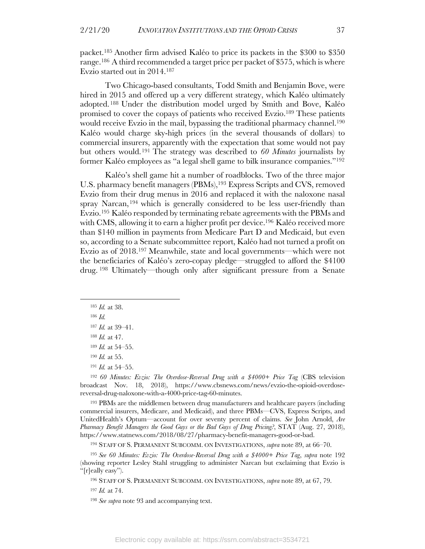packet.185 Another firm advised Kaléo to price its packets in the \$300 to \$350 range.186 A third recommended a target price per packet of \$575, which is where Evzio started out in 2014.187

Two Chicago-based consultants, Todd Smith and Benjamin Bove, were hired in 2015 and offered up a very different strategy, which Kaléo ultimately adopted. <sup>188</sup> Under the distribution model urged by Smith and Bove, Kaléo promised to cover the copays of patients who received Evzio.189 These patients would receive Evzio in the mail, bypassing the traditional pharmacy channel.<sup>190</sup> Kaléo would charge sky-high prices (in the several thousands of dollars) to commercial insurers, apparently with the expectation that some would not pay but others would.191 The strategy was described to *60 Minutes* journalists by former Kaléo employees as "a legal shell game to bilk insurance companies."192

Kaléo's shell game hit a number of roadblocks. Two of the three major U.S. pharmacy benefit managers (PBMs),<sup>193</sup> Express Scripts and CVS, removed Evzio from their drug menus in 2016 and replaced it with the naloxone nasal spray Narcan, <sup>194</sup> which is generally considered to be less user-friendly than Evzio.195 Kaléo responded by terminating rebate agreements with the PBMs and with CMS, allowing it to earn a higher profit per device.<sup>196</sup> Kaléo received more than \$140 million in payments from Medicare Part D and Medicaid, but even so, according to a Senate subcommittee report, Kaléo had not turned a profit on Evzio as of 2018.197 Meanwhile, state and local governments—which were not the beneficiaries of Kaléo's zero-copay pledge—struggled to afford the \$4100 drug. <sup>198</sup> Ultimately—though only after significant pressure from a Senate

<sup>192</sup> *60 Minutes: Evzio: The Overdose-Reversal Drug with a \$4000+ Price Tag* (CBS television broadcast Nov. 18, 2018), https://www.cbsnews.com/news/evzio-the-opioid-overdosereversal-drug-naloxone-with-a-4000-price-tag-60-minutes.

<sup>193</sup> PBMs are the middlemen between drug manufacturers and healthcare payers (including commercial insurers, Medicare, and Medicaid), and three PBMs—CVS, Express Scripts, and UnitedHealth's Optum—account for over seventy percent of claims. *See* John Arnold, *Are Pharmacy Benefit Managers the Good Guys or the Bad Guys of Drug Pricing?*, STAT (Aug. 27, 2018), https://www.statnews.com/2018/08/27/pharmacy-benefit-managers-good-or-bad.

<sup>194</sup> STAFF OF S. PERMANENT SUBCOMM. ON INVESTIGATIONS, *supra* note 89, at 66–70.

<sup>195</sup> *See 60 Minutes: Evzio: The Overdose-Reversal Drug with a \$4000+ Price Tag*, *supra* note 192 (showing reporter Lesley Stahl struggling to administer Narcan but exclaiming that Evzio is "[r]eally easy").

<sup>196</sup> STAFF OF S. PERMANENT SUBCOMM. ON INVESTIGATIONS, *supra* note 89, at 67, 79.

<sup>197</sup> *Id.* at 74.

<sup>198</sup> *See supra* note 93 and accompanying text.

<sup>185</sup> *Id.* at 38.

<sup>186</sup> *Id.*

<sup>187</sup> *Id.* at 39–41.

<sup>188</sup> *Id.* at 47.

<sup>189</sup> *Id.* at 54–55.

<sup>190</sup> *Id.* at 55.

<sup>191</sup> *Id.* at 54–55.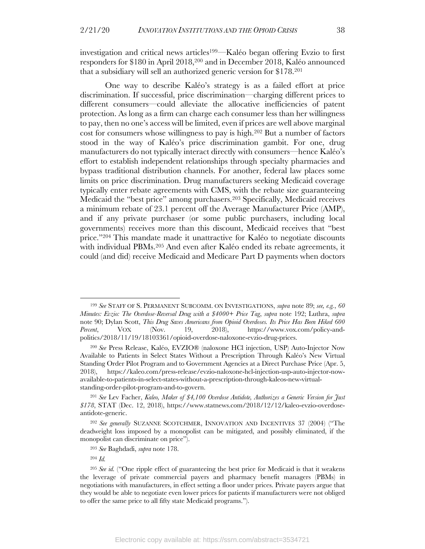investigation and critical news articles199—Kaléo began offering Evzio to first responders for \$180 in April 2018,200 and in December 2018, Kaléo announced that a subsidiary will sell an authorized generic version for \$178.201

One way to describe Kaléo's strategy is as a failed effort at price discrimination. If successful, price discrimination—charging different prices to different consumers—could alleviate the allocative inefficiencies of patent protection. As long as a firm can charge each consumer less than her willingness to pay, then no one's access will be limited, even if prices are well above marginal cost for consumers whose willingness to pay is high.202 But a number of factors stood in the way of Kaléo's price discrimination gambit. For one, drug manufacturers do not typically interact directly with consumers—hence Kaléo's effort to establish independent relationships through specialty pharmacies and bypass traditional distribution channels. For another, federal law places some limits on price discrimination. Drug manufacturers seeking Medicaid coverage typically enter rebate agreements with CMS, with the rebate size guaranteeing Medicaid the "best price" among purchasers.203 Specifically, Medicaid receives a minimum rebate of 23.1 percent off the Average Manufacturer Price (AMP), and if any private purchaser (or some public purchasers, including local governments) receives more than this discount, Medicaid receives that "best price."204 This mandate made it unattractive for Kaléo to negotiate discounts with individual PBMs.<sup>205</sup> And even after Kaléo ended its rebate agreements, it could (and did) receive Medicaid and Medicare Part D payments when doctors

<sup>199</sup> *See* STAFF OF S. PERMANENT SUBCOMM. ON INVESTIGATIONS, *supra* note 89; *see, e.g.*, *60 Minutes: Evzio: The Overdose-Reversal Drug with a \$4000+ Price Tag*, *supra* note 192; Luthra, *supra* note 90; Dylan Scott, *This Drug Saves Americans from Opioid Overdoses. Its Price Has Been Hiked 600 Percent*, VOX (Nov. 19, 2018), https://www.vox.com/policy-andpolitics/2018/11/19/18103361/opioid-overdose-naloxone-evzio-drug-prices.

<sup>200</sup> *See* Press Release, Kaléo, EVZIO® (naloxone HCl injection, USP) Auto-Injector Now Available to Patients in Select States Without a Prescription Through Kaléo's New Virtual Standing Order Pilot Program and to Government Agencies at a Direct Purchase Price (Apr. 5, 2018), https://kaleo.com/press-release/evzio-naloxone-hcl-injection-usp-auto-injector-nowavailable-to-patients-in-select-states-without-a-prescription-through-kaleos-new-virtualstanding-order-pilot-program-and-to-govern.

<sup>201</sup> *See* Lev Facher, *Kaleo, Maker of \$4,100 Overdose Antidote, Authorizes a Generic Version for Just \$178*, STAT (Dec. 12, 2018), https://www.statnews.com/2018/12/12/kaleo-evzio-overdoseantidote-generic.

<sup>202</sup> *See generally* SUZANNE SCOTCHMER, INNOVATION AND INCENTIVES 37 (2004) ("The deadweight loss imposed by a monopolist can be mitigated, and possibly eliminated, if the monopolist can discriminate on price").

<sup>203</sup> *See* Baghdadi, *supra* note 178.

<sup>204</sup> *Id.*

<sup>205</sup> *See id.* ("One ripple effect of guaranteeing the best price for Medicaid is that it weakens the leverage of private commercial payers and pharmacy benefit managers (PBMs) in negotiations with manufacturers, in effect setting a floor under prices. Private payers argue that they would be able to negotiate even lower prices for patients if manufacturers were not obliged to offer the same price to all fifty state Medicaid programs.").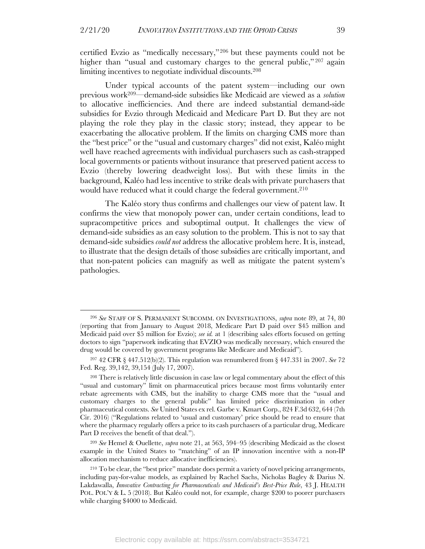certified Evzio as "medically necessary,"206 but these payments could not be higher than "usual and customary charges to the general public,"<sup>207</sup> again limiting incentives to negotiate individual discounts.<sup>208</sup>

Under typical accounts of the patent system—including our own previous work209—demand-side subsidies like Medicaid are viewed as a *solution* to allocative inefficiencies. And there are indeed substantial demand-side subsidies for Evzio through Medicaid and Medicare Part D. But they are not playing the role they play in the classic story; instead, they appear to be exacerbating the allocative problem. If the limits on charging CMS more than the "best price" or the "usual and customary charges" did not exist, Kaléo might well have reached agreements with individual purchasers such as cash-strapped local governments or patients without insurance that preserved patient access to Evzio (thereby lowering deadweight loss). But with these limits in the background, Kaléo had less incentive to strike deals with private purchasers that would have reduced what it could charge the federal government.<sup>210</sup>

The Kaléo story thus confirms and challenges our view of patent law. It confirms the view that monopoly power can, under certain conditions, lead to supracompetitive prices and suboptimal output. It challenges the view of demand-side subsidies as an easy solution to the problem. This is not to say that demand-side subsidies *could not* address the allocative problem here. It is, instead, to illustrate that the design details of those subsidies are critically important, and that non-patent policies can magnify as well as mitigate the patent system's pathologies.

<sup>206</sup> *See* STAFF OF S. PERMANENT SUBCOMM. ON INVESTIGATIONS, *supra* note 89, at 74, 80 (reporting that from January to August 2018, Medicare Part D paid over \$45 million and Medicaid paid over \$5 million for Evzio); *see id.* at 1 (describing sales efforts focused on getting doctors to sign "paperwork indicating that EVZIO was medically necessary, which ensured the drug would be covered by government programs like Medicare and Medicaid").

<sup>207</sup> 42 CFR § 447.512(b)(2). This regulation was renumbered from § 447.331 in 2007. *See* 72 Fed. Reg. 39,142, 39,154 (July 17, 2007).

<sup>208</sup> There is relatively little discussion in case law or legal commentary about the effect of this "usual and customary" limit on pharmaceutical prices because most firms voluntarily enter rebate agreements with CMS, but the inability to charge CMS more that the "usual and customary charges to the general public" has limited price discrimination in other pharmaceutical contexts. *See* United States ex rel. Garbe v. Kmart Corp., 824 F.3d 632, 644 (7th Cir. 2016) ("Regulations related to 'usual and customary' price should be read to ensure that where the pharmacy regularly offers a price to its cash purchasers of a particular drug, Medicare Part D receives the benefit of that deal.").

<sup>209</sup> *See* Hemel & Ouellette, *supra* note 21, at 563, 594–95 (describing Medicaid as the closest example in the United States to "matching" of an IP innovation incentive with a non-IP allocation mechanism to reduce allocative inefficiencies).

<sup>210</sup> To be clear, the "best price" mandate does permit a variety of novel pricing arrangements, including pay-for-value models, as explained by Rachel Sachs, Nicholas Bagley & Darius N. Lakdawalla, *Innovative Contracting for Pharmaceuticals and Medicaid's Best-Price Rule*, 43 J. HEALTH POL. POL'Y & L. 5 (2018). But Kaléo could not, for example, charge \$200 to poorer purchasers while charging \$4000 to Medicaid.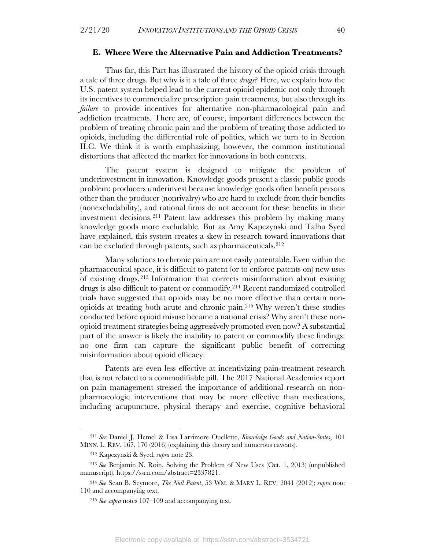#### **E. Where Were the Alternative Pain and Addiction Treatments?**

Thus far, this Part has illustrated the history of the opioid crisis through a tale of three drugs. But why is it a tale of three *drugs*? Here, we explain how the U.S. patent system helped lead to the current opioid epidemic not only through its incentives to commercialize prescription pain treatments, but also through its *failure* to provide incentives for alternative non-pharmacological pain and addiction treatments. There are, of course, important differences between the problem of treating chronic pain and the problem of treating those addicted to opioids, including the differential role of politics, which we turn to in Section II.C. We think it is worth emphasizing, however, the common institutional distortions that affected the market for innovations in both contexts.

The patent system is designed to mitigate the problem of underinvestment in innovation. Knowledge goods present a classic public goods problem: producers underinvest because knowledge goods often benefit persons other than the producer (nonrivalry) who are hard to exclude from their benefits (nonexcludability), and rational firms do not account for these benefits in their investment decisions.211 Patent law addresses this problem by making many knowledge goods more excludable. But as Amy Kapczynski and Talha Syed have explained, this system creates a skew in research toward innovations that can be excluded through patents, such as pharmaceuticals.212

Many solutions to chronic pain are not easily patentable. Even within the pharmaceutical space, it is difficult to patent (or to enforce patents on) new uses of existing drugs. <sup>213</sup> Information that corrects misinformation about existing drugs is also difficult to patent or commodify.214 Recent randomized controlled trials have suggested that opioids may be no more effective than certain nonopioids at treating both acute and chronic pain.215 Why weren't these studies conducted before opioid misuse became a national crisis? Why aren't these nonopioid treatment strategies being aggressively promoted even now? A substantial part of the answer is likely the inability to patent or commodify these findings: no one firm can capture the significant public benefit of correcting misinformation about opioid efficacy.

Patents are even less effective at incentivizing pain-treatment research that is not related to a commodifiable pill. The 2017 National Academies report on pain management stressed the importance of additional research on nonpharmacologic interventions that may be more effective than medications, including acupuncture, physical therapy and exercise, cognitive behavioral

<sup>211</sup> *See* Daniel J. Hemel & Lisa Larrimore Ouellette, *Knowledge Goods and Nation-States*, 101 MINN. L. REV. 167, 170 (2016) (explaining this theory and numerous caveats).

<sup>212</sup> Kapczynski & Syed, *supra* note 23.

<sup>213</sup> *See* Benjamin N. Roin, Solving the Problem of New Uses (Oct. 1, 2013) (unpublished manuscript), https://ssrn.com/abstract=2337821.

<sup>214</sup> *See* Sean B. Seymore, *The Null Patent*, 53 WM. & MARY L. REV. 2041 (2012); *supra* note 110 and accompanying text.

<sup>215</sup> *See supra* notes 107–109 and accompanying text.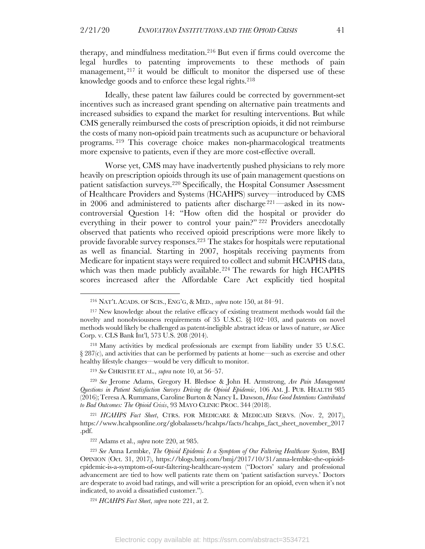therapy, and mindfulness meditation.216 But even if firms could overcome the legal hurdles to patenting improvements to these methods of pain management,  $2^{17}$  it would be difficult to monitor the dispersed use of these knowledge goods and to enforce these legal rights.<sup>218</sup>

Ideally, these patent law failures could be corrected by government-set incentives such as increased grant spending on alternative pain treatments and increased subsidies to expand the market for resulting interventions. But while CMS generally reimbursed the costs of prescription opioids, it did not reimburse the costs of many non-opioid pain treatments such as acupuncture or behavioral programs. <sup>219</sup> This coverage choice makes non-pharmacological treatments more expensive to patients, even if they are more cost-effective overall.

Worse yet, CMS may have inadvertently pushed physicians to rely more heavily on prescription opioids through its use of pain management questions on patient satisfaction surveys.220 Specifically, the Hospital Consumer Assessment of Healthcare Providers and Systems (HCAHPS) survey—introduced by CMS in 2006 and administered to patients after discharge 221—asked in its nowcontroversial Question 14: "How often did the hospital or provider do everything in their power to control your pain?" <sup>222</sup> Providers anecdotally observed that patients who received opioid prescriptions were more likely to provide favorable survey responses.223 The stakes for hospitals were reputational as well as financial. Starting in 2007, hospitals receiving payments from Medicare for inpatient stays were required to collect and submit HCAPHS data, which was then made publicly available.<sup>224</sup> The rewards for high HCAPHS scores increased after the Affordable Care Act explicitly tied hospital

<sup>221</sup> *HCAHPS Fact Sheet*, CTRS. FOR MEDICARE & MEDICAID SERVS. (Nov. 2, 2017), https://www.hcahpsonline.org/globalassets/hcahps/facts/hcahps\_fact\_sheet\_november\_2017 .pdf.

<sup>216</sup> NAT'L ACADS. OF SCIS., ENG'G, & MED., *supra* note 150, at 84–91.

<sup>217</sup> New knowledge about the relative efficacy of existing treatment methods would fail the novelty and nonobviousness requirements of 35 U.S.C. §§ 102–103, and patents on novel methods would likely be challenged as patent-ineligible abstract ideas or laws of nature, *see* Alice Corp. v. CLS Bank Int'l, 573 U.S. 208 (2014).

<sup>218</sup> Many activities by medical professionals are exempt from liability under 35 U.S.C. § 287(c), and activities that can be performed by patients at home—such as exercise and other healthy lifestyle changes—would be very difficult to monitor.

<sup>219</sup> *See* CHRISTIE ET AL., *supra* note 10, at 56–57.

<sup>220</sup> *See* Jerome Adams, Gregory H. Bledsoe & John H. Armstrong, *Are Pain Management Questions in Patient Satisfaction Surveys Driving the Opioid Epidemic*, 106 AM. J. PUB. HEALTH 985 (2016);Teresa A. Rummans, Caroline Burton & Nancy L. Dawson, *How Good Intentions Contributed to Bad Outcomes: The Opioid Crisis*, 93 MAYO CLINIC PROC. 344 (2018).

<sup>222</sup> Adams et al., *supra* note 220, at 985.

<sup>223</sup> *See* Anna Lembke, *The Opioid Epidemic Is a Symptom of Our Faltering Healthcare System*, BMJ OPINION (Oct. 31, 2017), https://blogs.bmj.com/bmj/2017/10/31/anna-lembke-the-opioidepidemic-is-a-symptom-of-our-faltering-healthcare-system ("Doctors' salary and professional advancement are tied to how well patients rate them on 'patient satisfaction surveys.' Doctors are desperate to avoid bad ratings, and will write a prescription for an opioid, even when it's not indicated, to avoid a dissatisfied customer.").

<sup>224</sup> *HCAHPS Fact Sheet*, *supra* note 221, at 2.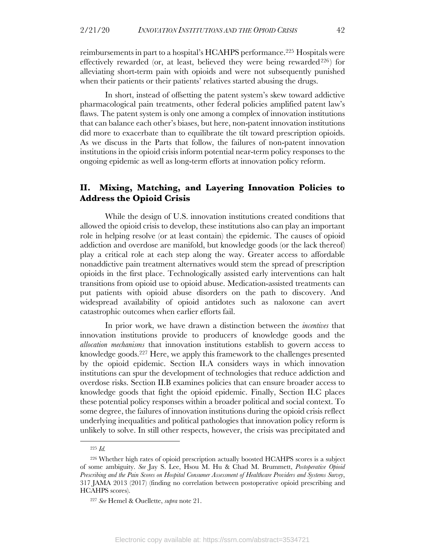reimbursements in part to a hospital's HCAHPS performance. <sup>225</sup> Hospitals were effectively rewarded (or, at least, believed they were being rewarded<sup>226</sup>) for alleviating short-term pain with opioids and were not subsequently punished when their patients or their patients' relatives started abusing the drugs.

In short, instead of offsetting the patent system's skew toward addictive pharmacological pain treatments, other federal policies amplified patent law's flaws. The patent system is only one among a complex of innovation institutions that can balance each other's biases, but here, non-patent innovation institutions did more to exacerbate than to equilibrate the tilt toward prescription opioids. As we discuss in the Parts that follow, the failures of non-patent innovation institutions in the opioid crisis inform potential near-term policy responses to the ongoing epidemic as well as long-term efforts at innovation policy reform.

#### **II. Mixing, Matching, and Layering Innovation Policies to Address the Opioid Crisis**

While the design of U.S. innovation institutions created conditions that allowed the opioid crisis to develop, these institutions also can play an important role in helping resolve (or at least contain) the epidemic. The causes of opioid addiction and overdose are manifold, but knowledge goods (or the lack thereof) play a critical role at each step along the way. Greater access to affordable nonaddictive pain treatment alternatives would stem the spread of prescription opioids in the first place. Technologically assisted early interventions can halt transitions from opioid use to opioid abuse. Medication-assisted treatments can put patients with opioid abuse disorders on the path to discovery. And widespread availability of opioid antidotes such as naloxone can avert catastrophic outcomes when earlier efforts fail.

In prior work, we have drawn a distinction between the *incentives* that innovation institutions provide to producers of knowledge goods and the *allocation mechanisms* that innovation institutions establish to govern access to knowledge goods.227 Here, we apply this framework to the challenges presented by the opioid epidemic. Section II.A considers ways in which innovation institutions can spur the development of technologies that reduce addiction and overdose risks. Section II.B examines policies that can ensure broader access to knowledge goods that fight the opioid epidemic. Finally, Section II.C places these potential policy responses within a broader political and social context. To some degree, the failures of innovation institutions during the opioid crisis reflect underlying inequalities and political pathologies that innovation policy reform is unlikely to solve. In still other respects, however, the crisis was precipitated and

<sup>225</sup> *Id.*

<sup>226</sup> Whether high rates of opioid prescription actually boosted HCAHPS scores is a subject of some ambiguity. *See* Jay S. Lee, Hsou M. Hu & Chad M. Brummett, *Postoperative Opioid Prescribing and the Pain Scores on Hospital Consumer Assessment of Healthcare Providers and Systems Survey*, 317 JAMA 2013 (2017) (finding no correlation between postoperative opioid prescribing and HCAHPS scores).

<sup>227</sup> *See* Hemel & Ouellette, *supra* note 21.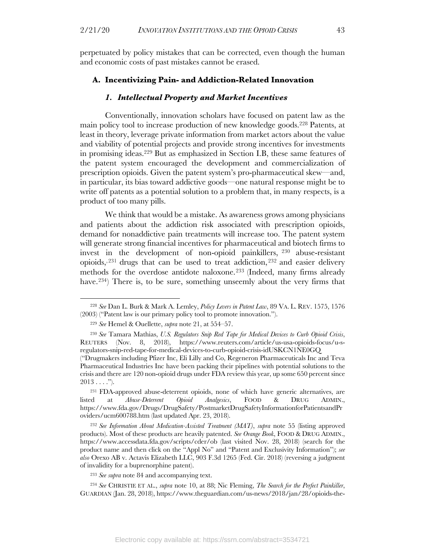perpetuated by policy mistakes that can be corrected, even though the human and economic costs of past mistakes cannot be erased.

#### **A. Incentivizing Pain- and Addiction-Related Innovation**

#### *1. Intellectual Property and Market Incentives*

Conventionally, innovation scholars have focused on patent law as the main policy tool to increase production of new knowledge goods.228 Patents, at least in theory, leverage private information from market actors about the value and viability of potential projects and provide strong incentives for investments in promising ideas. <sup>229</sup> But as emphasized in Section I.B, these same features of the patent system encouraged the development and commercialization of prescription opioids. Given the patent system's pro-pharmaceutical skew—and, in particular, its bias toward addictive goods—one natural response might be to write off patents as a potential solution to a problem that, in many respects, is a product of too many pills.

We think that would be a mistake. As awareness grows among physicians and patients about the addiction risk associated with prescription opioids, demand for nonaddictive pain treatments will increase too. The patent system will generate strong financial incentives for pharmaceutical and biotech firms to invest in the development of non-opioid painkillers, <sup>230</sup> abuse-resistant opioids,  $231$  drugs that can be used to treat addiction,  $232$  and easier delivery methods for the overdose antidote naloxone.233 (Indeed, many firms already have.234) There is, to be sure, something unseemly about the very firms that

<sup>232</sup> *See Information About Medication-Assisted Treatment (MAT)*, *supra* note 55 (listing approved products). Most of these products are heavily patented. *See Orange Book*, FOOD & DRUG ADMIN., https://www.accessdata.fda.gov/scripts/cder/ob (last visited Nov. 28, 2018) (search for the product name and then click on the "Appl No" and "Patent and Exclusivity Information"); *see also* Orexo AB v. Actavis Elizabeth LLC, 903 F.3d 1265 (Fed. Cir. 2018) (reversing a judgment of invalidity for a buprenorphine patent).

<sup>233</sup> *See supra* note 84 and accompanying text.

<sup>234</sup> *See* CHRISTIE ET AL., *supra* note 10, at 88; Nic Fleming, *The Search for the Perfect Painkiller*, GUARDIAN (Jan. 28, 2018), https://www.theguardian.com/us-news/2018/jan/28/opioids-the-

<sup>228</sup> *See* Dan L. Burk & Mark A. Lemley, *Policy Levers in Patent Law*, 89 VA. L. REV. 1575, 1576 (2003) ("Patent law is our primary policy tool to promote innovation.").

<sup>229</sup> *See* Hemel & Ouellette, *supra* note 21, at 554–57.

<sup>230</sup> *See* Tamara Mathias, *U.S. Regulators Snip Red Tape for Medical Devices to Curb Opioid Crisis*, REUTERS (Nov. 8, 2018), https://www.reuters.com/article/us-usa-opioids-focus/u-sregulators-snip-red-tape-for-medical-devices-to-curb-opioid-crisis-idUSKCN1NE0GQ ("Drugmakers including Pfizer Inc, Eli Lilly and Co, Regeneron Pharmaceuticals Inc and Teva Pharmaceutical Industries Inc have been packing their pipelines with potential solutions to the crisis and there are 120 non-opioid drugs under FDA review this year, up some 650 percent since  $2013...$ ").

<sup>231</sup> FDA-approved abuse-deterrent opioids, none of which have generic alternatives, are listed at *Abuse-Deterrent Opioid Analgesics*, FOOD & DRUG ADMIN., https://www.fda.gov/Drugs/DrugSafety/PostmarketDrugSafetyInformationforPatientsandPr oviders/ucm600788.htm (last updated Apr. 23, 2018).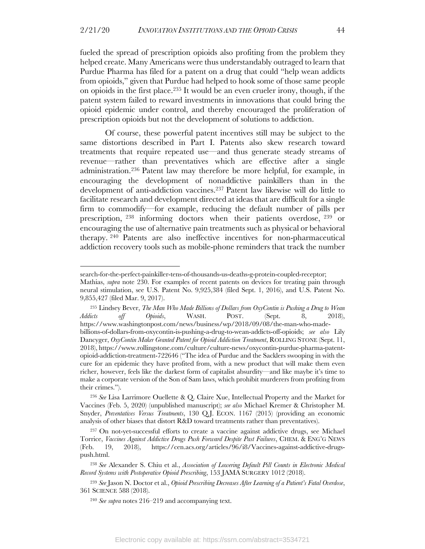fueled the spread of prescription opioids also profiting from the problem they helped create. Many Americans were thus understandably outraged to learn that Purdue Pharma has filed for a patent on a drug that could "help wean addicts from opioids," given that Purdue had helped to hook some of those same people on opioids in the first place. <sup>235</sup> It would be an even crueler irony, though, if the patent system failed to reward investments in innovations that could bring the opioid epidemic under control, and thereby encouraged the proliferation of prescription opioids but not the development of solutions to addiction.

Of course, these powerful patent incentives still may be subject to the same distortions described in Part I. Patents also skew research toward treatments that require repeated use—and thus generate steady streams of revenue—rather than preventatives which are effective after a single administration.236 Patent law may therefore be more helpful, for example, in encouraging the development of nonaddictive painkillers than in the development of anti-addiction vaccines.237 Patent law likewise will do little to facilitate research and development directed at ideas that are difficult for a single firm to commodify—for example, reducing the default number of pills per prescription, <sup>238</sup> informing doctors when their patients overdose, <sup>239</sup> or encouraging the use of alternative pain treatments such as physical or behavioral therapy. <sup>240</sup> Patents are also ineffective incentives for non-pharmaceutical addiction recovery tools such as mobile-phone reminders that track the number

search-for-the-perfect-painkiller-tens-of-thousands-us-deaths-g-protein-coupled-receptor;

Mathias, *supra* note 230. For examples of recent patents on devices for treating pain through neural stimulation, see U.S. Patent No. 9,925,384 (filed Sept. 1, 2016), and U.S. Patent No. 9,855,427 (filed Mar. 9, 2017).

<sup>235</sup> Lindsey Bever, *The Man Who Made Billions of Dollars from OxyContin is Pushing a Drug to Wean Addicts off Opioids*, WASH. POST. (Sept. 8, 2018), https://www.washingtonpost.com/news/business/wp/2018/09/08/the-man-who-madebillions-of-dollars-from-oxycontin-is-pushing-a-drug-to-wean-addicts-off-opioids; *see also* Lily Dancyger, *OxyContin Maker Granted Patent for Opioid Addiction Treatment*, ROLLING STONE (Sept. 11, 2018), https://www.rollingstone.com/culture/culture-news/oxycontin-purdue-pharma-patentopioid-addiction-treatment-722646 ("The idea of Purdue and the Sacklers swooping in with the cure for an epidemic they have profited from, with a new product that will make them even richer, however, feels like the darkest form of capitalist absurdity—and like maybe it's time to make a corporate version of the Son of Sam laws, which prohibit murderers from profiting from their crimes.").

<sup>236</sup> *See* Lisa Larrimore Ouellette & Q. Claire Xue, Intellectual Property and the Market for Vaccines (Feb. 5, 2020) (unpublished manuscript); *see also* Michael Kremer & Christopher M. Snyder, *Preventatives Versus Treatments*, 130 Q.J. ECON. 1167 (2015) (providing an economic analysis of other biases that distort R&D toward treatments rather than preventatives).

<sup>237</sup> On not-yet-successful efforts to create a vaccine against addictive drugs, see Michael Torrice, *Vaccines Against Addictive Drugs Push Forward Despite Past Failures*, CHEM. & ENG'G NEWS (Feb. 19, 2018), https://cen.acs.org/articles/96/i8/Vaccines-against-addictive-drugspush.html.

<sup>238</sup> *See* Alexander S. Chiu et al., *Association of Lowering Default Pill Counts in Electronic Medical Record Systems with Postoperative Opioid Prescribing*, 153 JAMA SURGERY 1012 (2018).

<sup>239</sup> *See* Jason N. Doctor et al., *Opioid Prescribing Decreases After Learning of a Patient's Fatal Overdose*, 361 SCIENCE 588 (2018).

<sup>240</sup> *See supra* notes 216–219 and accompanying text.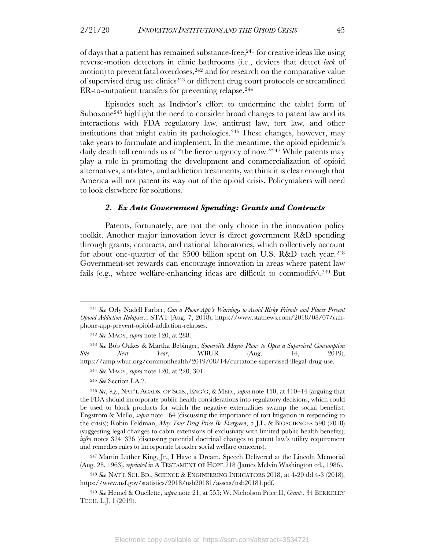of days that a patient has remained substance-free, <sup>241</sup> for creative ideas like using reverse-motion detectors in clinic bathrooms (i.e., devices that detect *lack* of motion) to prevent fatal overdoses,  $242$  and for research on the comparative value of supervised drug use clinics243 or different drug court protocols or streamlined ER-to-outpatient transfers for preventing relapse.<sup>244</sup>

Episodes such as Indivior's effort to undermine the tablet form of Suboxone<sup>245</sup> highlight the need to consider broad changes to patent law and its interactions with FDA regulatory law, antitrust law, tort law, and other institutions that might cabin its pathologies.246 These changes, however, may take years to formulate and implement. In the meantime, the opioid epidemic's daily death toll reminds us of "the fierce urgency of now."247 While patents may play a role in promoting the development and commercialization of opioid alternatives, antidotes, and addiction treatments, we think it is clear enough that America will not patent its way out of the opioid crisis. Policymakers will need to look elsewhere for solutions.

#### *2. Ex Ante Government Spending: Grants and Contracts*

Patents, fortunately, are not the only choice in the innovation policy toolkit. Another major innovation lever is direct government R&D spending through grants, contracts, and national laboratories, which collectively account for about one-quarter of the \$500 billion spent on U.S. R&D each year.248 Government-set rewards can encourage innovation in areas where patent law fails (e.g., where welfare-enhancing ideas are difficult to commodify).<sup>249</sup> But

<sup>243</sup> *See* Bob Oakes & Martha Bebinger, *Somerville Mayor Plans to Open a Supervised Consumption Site Next Year*, WBUR (Aug. 14, 2019), https://amp.wbur.org/commonhealth/2019/08/14/curtatone-supervised-illegal-drug-use.

<sup>247</sup> Martin Luther King, Jr., I Have a Dream, Speech Delivered at the Lincoln Memorial (Aug. 28, 1963), *reprinted in* A TESTAMENT OF HOPE 218 (James Melvin Washington ed., 1986).

<sup>248</sup> *See* NAT'L SCI. BD., SCIENCE & ENGINEERING INDICATORS 2018, at 4-20 tbl.4-3 (2018), https://www.nsf.gov/statistics/2018/nsb20181/assets/nsb20181.pdf.

<sup>249</sup> *See* Hemel & Ouellette, *supra* note 21, at 555; W. Nicholson Price II, *Grants*, 34 BERKELEY TECH. L.J. 1 (2019).

<sup>241</sup> *See* Orly Nadell Farber, *Can a Phone App's Warnings to Avoid Risky Friends and Places Prevent Opioid Addiction Relapses?*, STAT (Aug. 7, 2018), https://www.statnews.com/2018/08/07/canphone-app-prevent-opioid-addiction-relapses.

<sup>242</sup> *See* MACY, *supra* note 120, at 288.

<sup>244</sup> *See* MACY, *supra* note 120, at 220, 301.

<sup>245</sup> *See* Section I.A.2.

<sup>246</sup> *See, e.g.*, NAT'L ACADS. OF SCIS., ENG'G, & MED., *supra* note 150, at 410–14 (arguing that the FDA should incorporate public health considerations into regulatory decisions, which could be used to block products for which the negative externalities swamp the social benefits); Engstrom & Mello, *supra* note 164 (discussing the importance of tort litigation in responding to the crisis); Robin Feldman, *May Your Drug Price Be Evergreen*, 5 J.L. & BIOSCIENCES 590 (2018) (suggesting legal changes to cabin extensions of exclusivity with limited public health benefits); *infra* notes 324–326 (discussing potential doctrinal changes to patent law's utility requirement and remedies rules to incorporate broader social welfare concerns).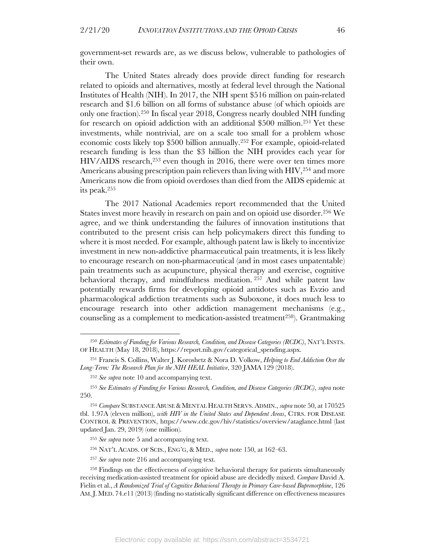government-set rewards are, as we discuss below, vulnerable to pathologies of their own.

The United States already does provide direct funding for research related to opioids and alternatives, mostly at federal level through the National Institutes of Health (NIH). In 2017, the NIH spent \$516 million on pain-related research and \$1.6 billion on all forms of substance abuse (of which opioids are only one fraction).250 In fiscal year 2018, Congress nearly doubled NIH funding for research on opioid addiction with an additional \$500 million.251 Yet these investments, while nontrivial, are on a scale too small for a problem whose economic costs likely top \$500 billion annually.252 For example, opioid-related research funding is less than the \$3 billion the NIH provides each year for HIV/AIDS research,253 even though in 2016, there were over ten times more Americans abusing prescription pain relievers than living with HIV, 254 and more Americans now die from opioid overdoses than died from the AIDS epidemic at its peak.255

The 2017 National Academies report recommended that the United States invest more heavily in research on pain and on opioid use disorder.<sup>256</sup> We agree, and we think understanding the failures of innovation institutions that contributed to the present crisis can help policymakers direct this funding to where it is most needed. For example, although patent law is likely to incentivize investment in new non-addictive pharmaceutical pain treatments, it is less likely to encourage research on non-pharmaceutical (and in most cases unpatentable) pain treatments such as acupuncture, physical therapy and exercise, cognitive behavioral therapy, and mindfulness meditation. <sup>257</sup> And while patent law potentially rewards firms for developing opioid antidotes such as Evzio and pharmacological addiction treatments such as Suboxone, it does much less to encourage research into other addiction management mechanisms (e.g., counseling as a complement to medication-assisted treatment<sup>258</sup>). Grantmaking

<sup>250</sup> *Estimates of Funding for Various Research, Condition, and Disease Categories (RCDC)*, NAT'L INSTS. OF HEALTH (May 18, 2018), https://report.nih.gov/categorical\_spending.aspx.

<sup>251</sup> Francis S. Collins, Walter J. Koroshetz & Nora D. Volkow, *Helping to End Addiction Over the Long-Term: The Research Plan for the NIH HEAL Initiative*, 320 JAMA 129 (2018).

<sup>252</sup> *See supra* note 10 and accompanying text.

<sup>253</sup> *See Estimates of Funding for Various Research, Condition, and Disease Categories (RCDC)*, *supra* note 250.

<sup>&</sup>lt;sup>254</sup> Compare SUBSTANCE ABUSE & MENTAL HEALTH SERVS. ADMIN., *supra* note 50, at 170525 tbl. 1.97A (eleven million), *with HIV in the United States and Dependent Areas*, CTRS. FOR DISEASE CONTROL & PREVENTION, https://www.cdc.gov/hiv/statistics/overview/ataglance.html (last updated Jan. 29, 2019) (one million).

<sup>255</sup> *See supra* note 5 and accompanying text.

<sup>256</sup> NAT'L ACADS. OF SCIS., ENG'G, & MED., *supra* note 150, at 162–63.

<sup>257</sup> *See supra* note 216 and accompanying text.

<sup>258</sup> Findings on the effectiveness of cognitive behavioral therapy for patients simultaneously receiving medication-assisted treatment for opioid abuse are decidedly mixed. *Compare* David A. Fielin et al., *A Randomized Trial of Cognitive Behavioral Therapy in Primary Care-based Buprenorphine*, 126 AM.J. MED. 74.e11 (2013) (finding no statistically significant difference on effectiveness measures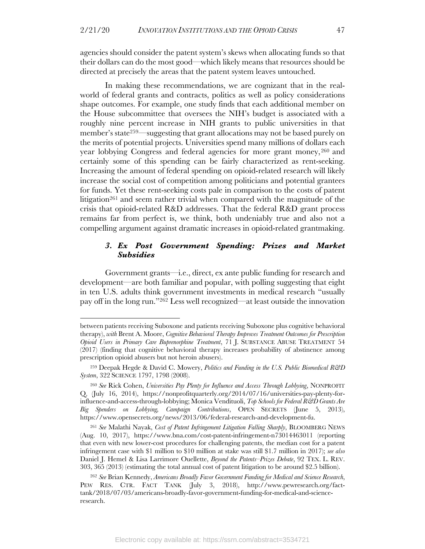agencies should consider the patent system's skews when allocating funds so that their dollars can do the most good—which likely means that resources should be directed at precisely the areas that the patent system leaves untouched.

In making these recommendations, we are cognizant that in the realworld of federal grants and contracts, politics as well as policy considerations shape outcomes. For example, one study finds that each additional member on the House subcommittee that oversees the NIH's budget is associated with a roughly nine percent increase in NIH grants to public universities in that member's state259—suggesting that grant allocations may not be based purely on the merits of potential projects. Universities spend many millions of dollars each year lobbying Congress and federal agencies for more grant money,  $260$  and certainly some of this spending can be fairly characterized as rent-seeking. Increasing the amount of federal spending on opioid-related research will likely increase the social cost of competition among politicians and potential grantees for funds. Yet these rent-seeking costs pale in comparison to the costs of patent litigation<sup>261</sup> and seem rather trivial when compared with the magnitude of the crisis that opioid-related R&D addresses. That the federal R&D grant process remains far from perfect is, we think, both undeniably true and also not a compelling argument against dramatic increases in opioid-related grantmaking.

#### *3. Ex Post Government Spending: Prizes and Market Subsidies*

Government grants—i.e., direct, ex ante public funding for research and development—are both familiar and popular, with polling suggesting that eight in ten U.S. adults think government investments in medical research "usually pay off in the long run."262 Less well recognized—at least outside the innovation

between patients receiving Suboxone and patients receiving Suboxone plus cognitive behavioral therapy), *with* Brent A. Moore, *Cognitive Behavioral Therapy Improves Treatment Outcomes for Prescription Opioid Users in Primary Care Buprenorphine Treatment*, 71 J. SUBSTANCE ABUSE TREATMENT 54 (2017) (finding that cognitive behavioral therapy increases probability of abstinence among prescription opioid abusers but not heroin abusers).

<sup>259</sup> Deepak Hegde & David C. Mowery, *Politics and Funding in the U.S. Public Biomedical R&D System*, 322 SCIENCE 1797, 1798 (2008).

<sup>260</sup> *See* Rick Cohen, *Universities Pay Plenty for Influence and Access Through Lobbying*, NONPROFIT Q. (July 16, 2014), https://nonprofitquarterly.org/2014/07/16/universities-pay-plenty-forinfluence-and-access-through-lobbying; Monica Vendituoli, *Top Schools for Federal R&D Grants Are Big Spenders on Lobbying, Campaign Contributions*, OPEN SECRETS (June 5, 2013), https://www.opensecrets.org/news/2013/06/federal-research-and-development-fu.

<sup>261</sup> *See* Malathi Nayak, *Cost of Patent Infringement Litigation Falling Sharply*, BLOOMBERG NEWS (Aug. 10, 2017), https://www.bna.com/cost-patent-infringement-n73014463011 (reporting that even with new lower-cost procedures for challenging patents, the median cost for a patent infringement case with \$1 million to \$10 million at stake was still \$1.7 million in 2017); *see also* Daniel J. Hemel & Lisa Larrimore Ouellette, *Beyond the Patents–Prizes Debate*, 92 TEX. L. REV. 303, 365 (2013) (estimating the total annual cost of patent litigation to be around \$2.5 billion).

<sup>262</sup> *See* Brian Kennedy, *Americans Broadly Favor Government Funding for Medical and Science Research*, PEW RES. CTR. FACT TANK (July 3, 2018), http://www.pewresearch.org/facttank/2018/07/03/americans-broadly-favor-government-funding-for-medical-and-scienceresearch.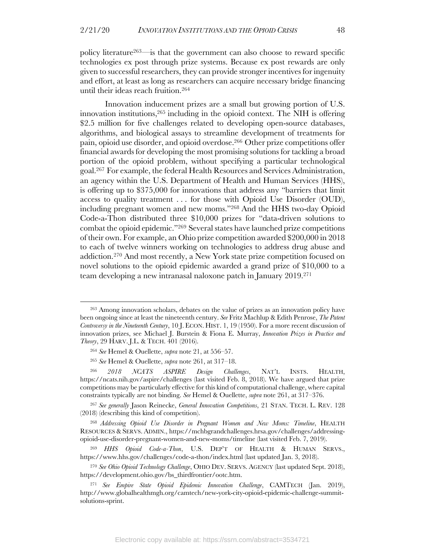policy literature263—is that the government can also choose to reward specific technologies ex post through prize systems. Because ex post rewards are only given to successful researchers, they can provide stronger incentives for ingenuity and effort, at least as long as researchers can acquire necessary bridge financing until their ideas reach fruition. 264

Innovation inducement prizes are a small but growing portion of U.S. innovation institutions, <sup>265</sup> including in the opioid context. The NIH is offering \$2.5 million for five challenges related to developing open-source databases, algorithms, and biological assays to streamline development of treatments for pain, opioid use disorder, and opioid overdose.266 Other prize competitions offer financial awards for developing the most promising solutions for tackling a broad portion of the opioid problem, without specifying a particular technological goal.267 For example, the federal Health Resources and Services Administration, an agency within the U.S. Department of Health and Human Services (HHS), is offering up to \$375,000 for innovations that address any "barriers that limit access to quality treatment . . . for those with Opioid Use Disorder (OUD), including pregnant women and new moms."268 And the HHS two-day Opioid Code-a-Thon distributed three \$10,000 prizes for "data-driven solutions to combat the opioid epidemic."269 Several states have launched prize competitions of their own. For example, an Ohio prize competition awarded \$200,000 in 2018 to each of twelve winners working on technologies to address drug abuse and addiction.270 And most recently, a New York state prize competition focused on novel solutions to the opioid epidemic awarded a grand prize of \$10,000 to a team developing a new intranasal naloxone patch in January 2019. 271

<sup>263</sup> Among innovation scholars, debates on the value of prizes as an innovation policy have been ongoing since at least the nineteenth century. *See* Fritz Machlup & Edith Penrose, *The Patent Controversy in the Nineteenth Century*, 10 J. ECON. HIST. 1, 19 (1950). For a more recent discussion of innovation prizes, see Michael J. Burstein & Fiona E. Murray, *Innovation Prizes in Practice and Theory*, 29 HARV. J.L. & TECH. 401 (2016).

<sup>264</sup> *See* Hemel & Ouellette, *supra* note 21, at 556–57.

<sup>265</sup> *See* Hemel & Ouellette, *supra* note 261, at 317–18.

<sup>266</sup> *2018 NCATS ASPIRE Design Challenges*, NAT'L INSTS. HEALTH, https://ncats.nih.gov/aspire/challenges (last visited Feb. 8, 2018). We have argued that prize competitions may be particularly effective for this kind of computational challenge, where capital constraints typically are not binding. *See* Hemel & Ouellette, *supra* note 261, at 317–376.

<sup>267</sup> *See generally* Jason Reinecke, *General Innovation Competitions*, 21 STAN. TECH. L. REV. 128 (2018) (describing this kind of competition).

<sup>268</sup> *Addressing Opioid Use Disorder in Pregnant Women and New Moms: Timeline*, HEALTH RESOURCES & SERVS. ADMIN., https://mchbgrandchallenges.hrsa.gov/challenges/addressingopioid-use-disorder-pregnant-women-and-new-moms/timeline (last visited Feb. 7, 2019).

<sup>269</sup> *HHS Opioid Code-a-Thon*, U.S. DEP'T OF HEALTH & HUMAN SERVS., https://www.hhs.gov/challenges/code-a-thon/index.html (last updated Jan. 3, 2018).

<sup>270</sup> *See Ohio Opioid Technology Challenge*, OHIO DEV. SERVS. AGENCY (last updated Sept. 2018), https://development.ohio.gov/bs\_thirdfrontier/ootc.htm.

<sup>271</sup> *See Empire State Opioid Epidemic Innovation Challenge*, CAMTECH (Jan. 2019), http://www.globalhealthmgh.org/camtech/new-york-city-opioid-epidemic-challenge-summitsolutions-sprint.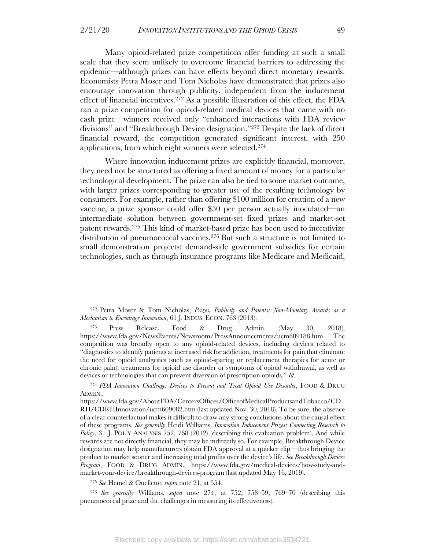Many opioid-related prize competitions offer funding at such a small scale that they seem unlikely to overcome financial barriers to addressing the epidemic—although prizes can have effects beyond direct monetary rewards. Economists Petra Moser and Tom Nicholas have demonstrated that prizes also encourage innovation through publicity, independent from the inducement effect of financial incentives.272 As a possible illustration of this effect, the FDA ran a prize competition for opioid-related medical devices that came with no cash prize—winners received only "enhanced interactions with FDA review divisions" and "Breakthrough Device designation."273 Despite the lack of direct financial reward, the competition generated significant interest, with 250 applications, from which eight winners were selected.274

Where innovation inducement prizes are explicitly financial, moreover, they need not be structured as offering a fixed amount of money for a particular technological development. The prize can also be tied to some market outcome, with larger prizes corresponding to greater use of the resulting technology by consumers. For example, rather than offering \$100 million for creation of a new vaccine, a prize sponsor could offer \$50 per person actually inoculated—an intermediate solution between government-set fixed prizes and market-set patent rewards. <sup>275</sup> This kind of market-based prize has been used to incentivize distribution of pneumococcal vaccines.<sup>276</sup> But such a structure is not limited to small demonstration projects: demand-side government subsidies for certain technologies, such as through insurance programs like Medicare and Medicaid,

<sup>272</sup> Petra Moser & Tom Nicholas, *Prizes, Publicity and Patents: Non-Monetary Awards as a Mechanism to Encourage Innovation*, 61 J. INDUS. ECON. 763 (2013).

<sup>273</sup> Press Release, Food & Drug Admin. (May 30, 2018), https://www.fda.gov/NewsEvents/Newsroom/PressAnnouncements/ucm609188.htm. The competition was broadly open to any opioid-related devices, including devices related to "diagnostics to identify patients at increased risk for addiction, treatments for pain that eliminate the need for opioid analgesics (such as opioid-sparing or replacement therapies for acute or chronic pain), treatments for opioid use disorder or symptoms of opioid withdrawal, as well as devices or technologies that can prevent diversion of prescription opioids." *Id.*

<sup>274</sup> *FDA Innovation Challenge: Devices to Prevent and Treat Opioid Use Disorder*, FOOD & DRUG ADMIN.,

https://www.fda.gov/AboutFDA/CentersOffices/OfficeofMedicalProductsandTobacco/CD RH/CDRHInnovation/ucm609082.htm (last updated Nov. 30, 2018). To be sure, the absence of a clear counterfactual makes it difficult to draw any strong conclusions about the causal effect of these programs. *See generally* Heidi Williams, *Innovation Inducement Prizes: Connecting Research to Policy*, 31 J. POL'Y ANALYSIS 752, 768 (2012) (describing this evaluation problem). And while rewards are not directly financial, they may be indirectly so. For example, Breakthrough Device designation may help manufacturers obtain FDA approval at a quicker clip—thus bringing the product to market sooner and increasing total profits over the device's life. *See Breakthrough Devices Program*, FOOD & DRUG ADMIN., https://www.fda.gov/medical-devices/how-study-andmarket-your-device/breakthrough-devices-program (last updated May 16, 2019).

<sup>275</sup> *See* Hemel & Ouellette, *supra* note 21, at 554.

<sup>276</sup> *See generally* Williams, *supra* note 274, at 752, 758–59, 769–70 (describing this pneumococcal prize and the challenges in measuring its effectiveness).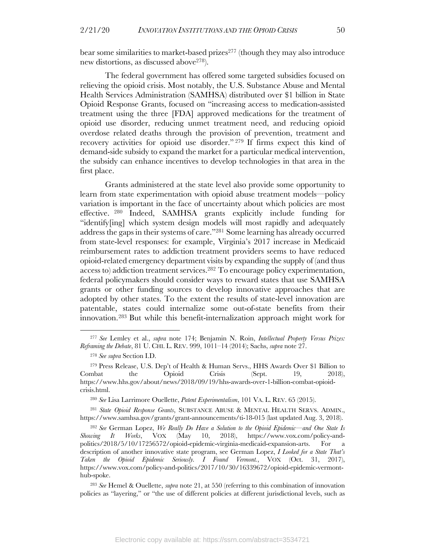bear some similarities to market-based prizes277 (though they may also introduce new distortions, as discussed above278).

The federal government has offered some targeted subsidies focused on relieving the opioid crisis. Most notably, the U.S. Substance Abuse and Mental Health Services Administration (SAMHSA) distributed over \$1 billion in State Opioid Response Grants, focused on "increasing access to medication-assisted treatment using the three [FDA] approved medications for the treatment of opioid use disorder, reducing unmet treatment need, and reducing opioid overdose related deaths through the provision of prevention, treatment and recovery activities for opioid use disorder." <sup>279</sup> If firms expect this kind of demand-side subsidy to expand the market for a particular medical intervention, the subsidy can enhance incentives to develop technologies in that area in the first place.

Grants administered at the state level also provide some opportunity to learn from state experimentation with opioid abuse treatment models—policy variation is important in the face of uncertainty about which policies are most effective. <sup>280</sup> Indeed, SAMHSA grants explicitly include funding for "identify[ing] which system design models will most rapidly and adequately address the gaps in their systems of care."281 Some learning has already occurred from state-level responses: for example, Virginia's 2017 increase in Medicaid reimbursement rates to addiction treatment providers seems to have reduced opioid-related emergency department visits by expanding the supply of (and thus access to) addiction treatment services. <sup>282</sup> To encourage policy experimentation, federal policymakers should consider ways to reward states that use SAMHSA grants or other funding sources to develop innovative approaches that are adopted by other states. To the extent the results of state-level innovation are patentable, states could internalize some out-of-state benefits from their innovation.283 But while this benefit-internalization approach might work for

<sup>281</sup> *State Opioid Response Grants*, SUBSTANCE ABUSE & MENTAL HEALTH SERVS. ADMIN., https://www.samhsa.gov/grants/grant-announcements/ti-18-015 (last updated Aug. 3, 2018).

<sup>277</sup> *See* Lemley et al., *supra* note 174; Benjamin N. Roin, *Intellectual Property Versus Prizes: Reframing the Debate*, 81 U. CHI. L. REV. 999, 1011–14 (2014); Sachs, *supra* note 27.

<sup>278</sup> *See supra* Section I.D.

<sup>279</sup> Press Release, U.S. Dep't of Health & Human Servs., HHS Awards Over \$1 Billion to Combat the Opioid Crisis (Sept. 19, 2018), https://www.hhs.gov/about/news/2018/09/19/hhs-awards-over-1-billion-combat-opioidcrisis.html.

<sup>280</sup> *See* Lisa Larrimore Ouellette, *Patent Experimentalism*, 101 VA. L. REV. 65 (2015).

<sup>282</sup> *See* German Lopez, *We Really Do Have a Solution to the Opioid Epidemic—and One State Is Showing It Works*, VOX (May 10, 2018), https://www.vox.com/policy-andpolitics/2018/5/10/17256572/opioid-epidemic-virginia-medicaid-expansion-arts. For a description of another innovative state program, see German Lopez, *I Looked for a State That's Taken the Opioid Epidemic Seriously. I Found Vermont.*, VOX (Oct. 31, 2017), https://www.vox.com/policy-and-politics/2017/10/30/16339672/opioid-epidemic-vermonthub-spoke.

<sup>283</sup> *See* Hemel & Ouellette, *supra* note 21, at 550 (referring to this combination of innovation policies as "layering," or "the use of different policies at different jurisdictional levels, such as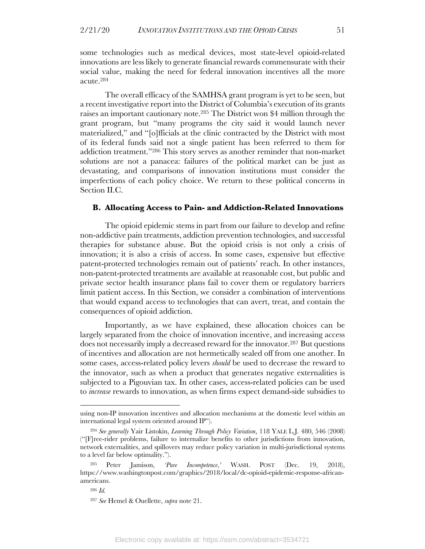some technologies such as medical devices, most state-level opioid-related innovations are less likely to generate financial rewards commensurate with their social value, making the need for federal innovation incentives all the more

The overall efficacy of the SAMHSA grant program is yet to be seen, but a recent investigative report into the District of Columbia's execution of its grants raises an important cautionary note.285 The District won \$4 million through the grant program, but "many programs the city said it would launch never materialized," and "[o]fficials at the clinic contracted by the District with most of its federal funds said not a single patient has been referred to them for addiction treatment."286 This story serves as another reminder that non-market solutions are not a panacea: failures of the political market can be just as devastating, and comparisons of innovation institutions must consider the imperfections of each policy choice. We return to these political concerns in Section II.C.

#### **B. Allocating Access to Pain- and Addiction-Related Innovations**

The opioid epidemic stems in part from our failure to develop and refine non-addictive pain treatments, addiction prevention technologies, and successful therapies for substance abuse. But the opioid crisis is not only a crisis of innovation; it is also a crisis of access. In some cases, expensive but effective patent-protected technologies remain out of patients' reach. In other instances, non-patent-protected treatments are available at reasonable cost, but public and private sector health insurance plans fail to cover them or regulatory barriers limit patient access. In this Section, we consider a combination of interventions that would expand access to technologies that can avert, treat, and contain the consequences of opioid addiction.

Importantly, as we have explained, these allocation choices can be largely separated from the choice of innovation incentive, and increasing access does not necessarily imply a decreased reward for the innovator.287 But questions of incentives and allocation are not hermetically sealed off from one another. In some cases, access-related policy levers *should* be used to decrease the reward to the innovator, such as when a product that generates negative externalities is subjected to a Pigouvian tax. In other cases, access-related policies can be used to *increase* rewards to innovation, as when firms expect demand-side subsidies to

acute. 284

using non-IP innovation incentives and allocation mechanisms at the domestic level within an international legal system oriented around IP").

<sup>284</sup> *See generally* Yair Listokin, *Learning Through Policy Variation*, 118 YALE L.J. 480, 546 (2008) ("[F]ree-rider problems, failure to internalize benefits to other jurisdictions from innovation, network externalities, and spillovers may reduce policy variation in multi-jurisdictional systems to a level far below optimality.").

Peter Jamison, *'Pure Incompetence*,' WASH. POST (Dec. 19, 2018), https://www.washingtonpost.com/graphics/2018/local/dc-opioid-epidemic-response-africanamericans.

<sup>286</sup> *Id.*

<sup>287</sup> *See* Hemel & Ouellette, *supra* note 21.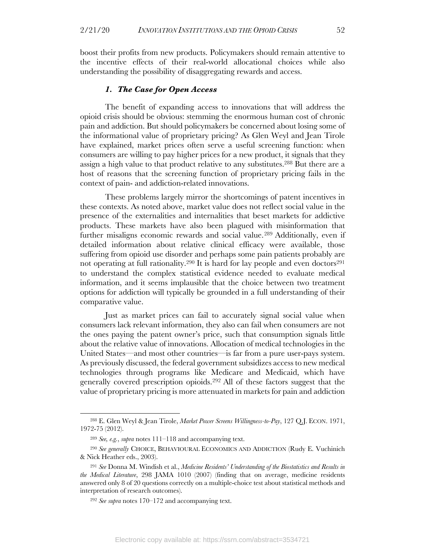boost their profits from new products. Policymakers should remain attentive to the incentive effects of their real-world allocational choices while also understanding the possibility of disaggregating rewards and access.

#### *1. The Case for Open Access*

The benefit of expanding access to innovations that will address the opioid crisis should be obvious: stemming the enormous human cost of chronic pain and addiction. But should policymakers be concerned about losing some of the informational value of proprietary pricing? As Glen Weyl and Jean Tirole have explained, market prices often serve a useful screening function: when consumers are willing to pay higher prices for a new product, it signals that they assign a high value to that product relative to any substitutes.288 But there are a host of reasons that the screening function of proprietary pricing fails in the context of pain- and addiction-related innovations.

These problems largely mirror the shortcomings of patent incentives in these contexts. As noted above, market value does not reflect social value in the presence of the externalities and internalities that beset markets for addictive products. These markets have also been plagued with misinformation that further misaligns economic rewards and social value.289 Additionally, even if detailed information about relative clinical efficacy were available, those suffering from opioid use disorder and perhaps some pain patients probably are not operating at full rationality.<sup>290</sup> It is hard for lay people and even doctors<sup>291</sup> to understand the complex statistical evidence needed to evaluate medical information, and it seems implausible that the choice between two treatment options for addiction will typically be grounded in a full understanding of their comparative value.

Just as market prices can fail to accurately signal social value when consumers lack relevant information, they also can fail when consumers are not the ones paying the patent owner's price, such that consumption signals little about the relative value of innovations. Allocation of medical technologies in the United States—and most other countries—is far from a pure user-pays system. As previously discussed, the federal government subsidizes access to new medical technologies through programs like Medicare and Medicaid, which have generally covered prescription opioids.292 All of these factors suggest that the value of proprietary pricing is more attenuated in markets for pain and addiction

<sup>288</sup> E. Glen Weyl & Jean Tirole, *Market Power Screens Willingness-to-Pay*, 127 Q.J. ECON. 1971, 1972-75 (2012).

<sup>289</sup> *See, e.g.*, *supra* notes 111–118 and accompanying text.

<sup>290</sup> *See generally* CHOICE, BEHAVIOURAL ECONOMICS AND ADDICTION (Rudy E. Vuchinich & Nick Heather eds., 2003).

<sup>291</sup> *See* Donna M. Windish et al., *Medicine Residents' Understanding of the Biostatistics and Results in the Medical Literature*, 298 JAMA 1010 (2007) (finding that on average, medicine residents answered only 8 of 20 questions correctly on a multiple-choice test about statistical methods and interpretation of research outcomes).

<sup>292</sup> *See supra* notes 170–172 and accompanying text.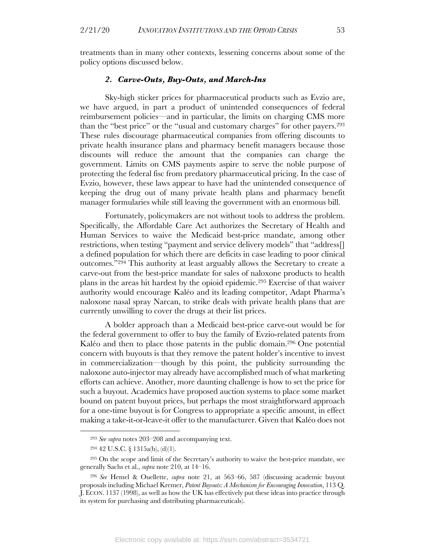treatments than in many other contexts, lessening concerns about some of the policy options discussed below.

#### *2. Carve-Outs, Buy-Outs, and March-Ins*

Sky-high sticker prices for pharmaceutical products such as Evzio are, we have argued, in part a product of unintended consequences of federal reimbursement policies—and in particular, the limits on charging CMS more than the "best price" or the "usual and customary charges" for other payers.<sup>293</sup> These rules discourage pharmaceutical companies from offering discounts to private health insurance plans and pharmacy benefit managers because those discounts will reduce the amount that the companies can charge the government. Limits on CMS payments aspire to serve the noble purpose of protecting the federal fisc from predatory pharmaceutical pricing. In the case of Evzio, however, these laws appear to have had the unintended consequence of keeping the drug out of many private health plans and pharmacy benefit manager formularies while still leaving the government with an enormous bill.

Fortunately, policymakers are not without tools to address the problem. Specifically, the Affordable Care Act authorizes the Secretary of Health and Human Services to waive the Medicaid best-price mandate, among other restrictions, when testing "payment and service delivery models" that "address[] a defined population for which there are deficits in case leading to poor clinical outcomes."294 This authority at least arguably allows the Secretary to create a carve-out from the best-price mandate for sales of naloxone products to health plans in the areas hit hardest by the opioid epidemic.295 Exercise of that waiver authority would encourage Kaléo and its leading competitor, Adapt Pharma's naloxone nasal spray Narcan, to strike deals with private health plans that are currently unwilling to cover the drugs at their list prices.

A bolder approach than a Medicaid best-price carve-out would be for the federal government to offer to buy the family of Evzio-related patents from Kaléo and then to place those patents in the public domain.296 One potential concern with buyouts is that they remove the patent holder's incentive to invest in commercialization—though by this point, the publicity surrounding the naloxone auto-injector may already have accomplished much of what marketing efforts can achieve. Another, more daunting challenge is how to set the price for such a buyout. Academics have proposed auction systems to place some market bound on patent buyout prices, but perhaps the most straightforward approach for a one-time buyout is for Congress to appropriate a specific amount, in effect making a take-it-or-leave-it offer to the manufacturer. Given that Kaléo does not

<sup>293</sup> *See supra* notes 203–208 and accompanying text.

<sup>294</sup> 42 U.S.C. § 1315a(b), (d)(1).

<sup>295</sup> On the scope and limit of the Secretary's authority to waive the best-price mandate, see generally Sachs et al., *supra* note 210, at 14–16.

<sup>296</sup> *See* Hemel & Ouellette, *supra* note 21, at 563–66, 587 (discussing academic buyout proposals including Michael Kremer, *Patent Buyouts: A Mechanism for Encouraging Innovation*, 113 Q. J. ECON. 1137 (1998), as well as how the UK has effectively put these ideas into practice through its system for purchasing and distributing pharmaceuticals).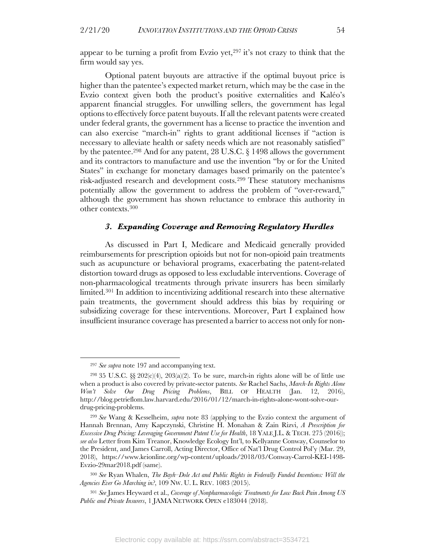appear to be turning a profit from Evzio yet, $297$  it's not crazy to think that the firm would say yes.

Optional patent buyouts are attractive if the optimal buyout price is higher than the patentee's expected market return, which may be the case in the Evzio context given both the product's positive externalities and Kaléo's apparent financial struggles. For unwilling sellers, the government has legal options to effectively force patent buyouts. If all the relevant patents were created under federal grants, the government has a license to practice the invention and can also exercise "march-in" rights to grant additional licenses if "action is necessary to alleviate health or safety needs which are not reasonably satisfied" by the patentee.298 And for any patent, 28 U.S.C. § 1498 allows the government and its contractors to manufacture and use the invention "by or for the United States" in exchange for monetary damages based primarily on the patentee's risk-adjusted research and development costs.299 These statutory mechanisms potentially allow the government to address the problem of "over-reward," although the government has shown reluctance to embrace this authority in other contexts.300

#### *3. Expanding Coverage and Removing Regulatory Hurdles*

As discussed in Part I, Medicare and Medicaid generally provided reimbursements for prescription opioids but not for non-opioid pain treatments such as acupuncture or behavioral programs, exacerbating the patent-related distortion toward drugs as opposed to less excludable interventions. Coverage of non-pharmacological treatments through private insurers has been similarly limited.301 In addition to incentivizing additional research into these alternative pain treatments, the government should address this bias by requiring or subsidizing coverage for these interventions. Moreover, Part I explained how insufficient insurance coverage has presented a barrier to access not only for non-

<sup>297</sup> *See supra* note 197 and accompanying text.

<sup>&</sup>lt;sup>298</sup> 35 U.S.C. §§ 202(c)(4), 203(a)(2). To be sure, march-in rights alone will be of little use when a product is also covered by private-sector patents. *See* Rachel Sachs, *March-In Rights Alone Won't Solve Our Drug Pricing Problems*, BILL OF HEALTH (Jan. 12, 2016), http://blog.petrieflom.law.harvard.edu/2016/01/12/march-in-rights-alone-wont-solve-ourdrug-pricing-problems.

<sup>299</sup> *See* Wang & Kesselheim, *supra* note 83 (applying to the Evzio context the argument of Hannah Brennan, Amy Kapczynski, Christine H. Monahan & Zain Rizvi, *A Prescription for Excessive Drug Pricing: Leveraging Government Patent Use for Health*, 18 YALE J.L. & TECH. 275 (2016)); *see also* Letter from Kim Treanor, Knowledge Ecology Int'l, to Kellyanne Conway, Counselor to the President, and James Carroll, Acting Director, Office of Nat'l Drug Control Pol'y (Mar. 29, 2018), https://www.keionline.org/wp-content/uploads/2018/03/Conway-Carrol-KEI-1498- Evzio-29mar2018.pdf (same).

<sup>300</sup> *See* Ryan Whalen, *The Bayh–Dole Act and Public Rights in Federally Funded Inventions: Will the Agencies Ever Go Marching in?*, 109 NW. U. L. REV. 1083 (2015).

<sup>301</sup> *See* James Heyward et al., *Coverage of Nonpharmacologic Treatments for Low Back Pain Among US Public and Private Insurers*, 1 JAMA NETWORK OPEN e183044 (2018).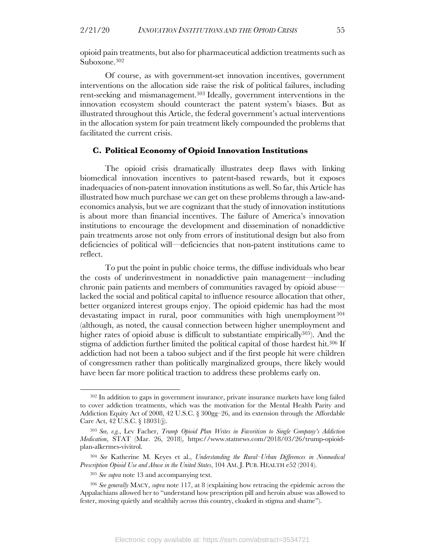opioid pain treatments, but also for pharmaceutical addiction treatments such as Suboxone. 302

Of course, as with government-set innovation incentives, government interventions on the allocation side raise the risk of political failures, including rent-seeking and mismanagement.303 Ideally, government interventions in the innovation ecosystem should counteract the patent system's biases. But as illustrated throughout this Article, the federal government's actual interventions in the allocation system for pain treatment likely compounded the problems that facilitated the current crisis.

#### **C. Political Economy of Opioid Innovation Institutions**

The opioid crisis dramatically illustrates deep flaws with linking biomedical innovation incentives to patent-based rewards, but it exposes inadequacies of non-patent innovation institutions as well. So far, this Article has illustrated how much purchase we can get on these problems through a law-andeconomics analysis, but we are cognizant that the study of innovation institutions is about more than financial incentives. The failure of America's innovation institutions to encourage the development and dissemination of nonaddictive pain treatments arose not only from errors of institutional design but also from deficiencies of political will—deficiencies that non-patent institutions came to reflect.

To put the point in public choice terms, the diffuse individuals who bear the costs of underinvestment in nonaddictive pain management—including chronic pain patients and members of communities ravaged by opioid abuse lacked the social and political capital to influence resource allocation that other, better organized interest groups enjoy. The opioid epidemic has had the most devastating impact in rural, poor communities with high unemployment <sup>304</sup> (although, as noted, the causal connection between higher unemployment and higher rates of opioid abuse is difficult to substantiate empirically<sup>305</sup>). And the stigma of addiction further limited the political capital of those hardest hit.306 If addiction had not been a taboo subject and if the first people hit were children of congressmen rather than politically marginalized groups, there likely would have been far more political traction to address these problems early on.

<sup>302</sup> In addition to gaps in government insurance, private insurance markets have long failed to cover addiction treatments, which was the motivation for the Mental Health Parity and Addiction Equity Act of 2008, 42 U.S.C. § 300gg–26, and its extension through the Affordable Care Act, 42 U.S.C. § 18031(j).

<sup>303</sup> *See, e.g.*, Lev Facher, *Trump Opioid Plan Writes in Favoritism to Single Company's Addiction Medication*, STAT (Mar. 26, 2018), https://www.statnews.com/2018/03/26/trump-opioidplan-alkermes-vivitrol.

<sup>304</sup> *See* Katherine M. Keyes et al., *Understanding the Rural–Urban Differences in Nonmedical Prescription Opioid Use and Abuse in the United States*, 104 AM. J. PUB. HEALTH e52 (2014).

<sup>305</sup> *See supra* note 13 and accompanying text.

<sup>306</sup> *See generally* MACY, *supra* note 117, at 8 (explaining how retracing the epidemic across the Appalachians allowed her to "understand how prescription pill and heroin abuse was allowed to fester, moving quietly and stealthily across this country, cloaked in stigma and shame").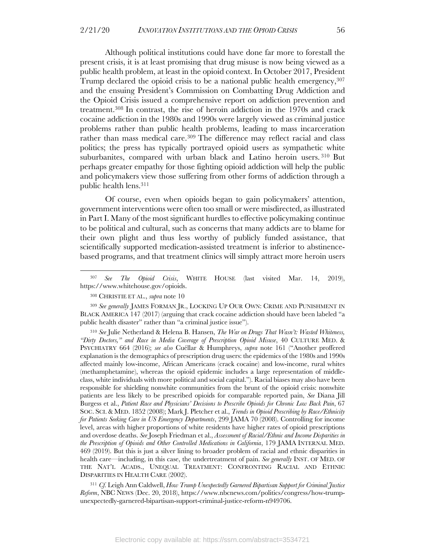Although political institutions could have done far more to forestall the present crisis, it is at least promising that drug misuse is now being viewed as a public health problem, at least in the opioid context. In October 2017, President Trump declared the opioid crisis to be a national public health emergency,  $307$ and the ensuing President's Commission on Combatting Drug Addiction and the Opioid Crisis issued a comprehensive report on addiction prevention and treatment.308 In contrast, the rise of heroin addiction in the 1970s and crack cocaine addiction in the 1980s and 1990s were largely viewed as criminal justice problems rather than public health problems, leading to mass incarceration rather than mass medical care.309 The difference may reflect racial and class politics; the press has typically portrayed opioid users as sympathetic white suburbanites, compared with urban black and Latino heroin users. <sup>310</sup> But perhaps greater empathy for those fighting opioid addiction will help the public and policymakers view those suffering from other forms of addiction through a public health lens.311

Of course, even when opioids began to gain policymakers' attention, government interventions were often too small or were misdirected, as illustrated in Part I. Many of the most significant hurdles to effective policymaking continue to be political and cultural, such as concerns that many addicts are to blame for their own plight and thus less worthy of publicly funded assistance, that scientifically supported medication-assisted treatment is inferior to abstinencebased programs, and that treatment clinics will simply attract more heroin users

<sup>310</sup> *See* Julie Netherland & Helena B. Hansen, *The War on Drugs That Wasn't: Wasted Whiteness, "Dirty Doctors," and Race in Media Coverage of Prescription Opioid Misuse*, 40 CULTURE MED. & PSYCHIATRY 664 (2016); *see also* Cuéllar & Humphreys, *supra* note 161 ("Another proffered explanation is the demographics of prescription drug users: the epidemics of the 1980s and 1990s affected mainly low-income, African Americans (crack cocaine) and low-income, rural whites (methamphetamine), whereas the opioid epidemic includes a large representation of middleclass, white individuals with more political and social capital."). Racial biases may also have been responsible for shielding nonwhite communities from the brunt of the opioid crisis: nonwhite patients are less likely to be prescribed opioids for comparable reported pain, *See* Diana Jill Burgess et al., *Patient Race and Physicians' Decisions to Prescribe Opioids for Chronic Low Back Pain*, 67 SOC. SCI. & MED. 1852 (2008); Mark J. Pletcher et al., *Trends in Opioid Prescribing by Race/Ethnicity for Patients Seeking Care in US Emergency Departments*, 299 JAMA 70 (2008). Controlling for income level, areas with higher proportions of white residents have higher rates of opioid prescriptions and overdose deaths. *See* Joseph Friedman et al., *Assessment of Racial/Ethnic and Income Disparities in the Prescription of Opioids and Other Controlled Medications in California*, 179 JAMA INTERNAL MED. 469 (2019). But this is just a silver lining to broader problem of racial and ethnic disparities in health care—including, in this case, the undertreatment of pain. *See generally* INST. OF MED. OF THE NAT'L ACADS., UNEQUAL TREATMENT: CONFRONTING RACIAL AND ETHNIC DISPARITIES IN HEALTH CARE (2002).

<sup>311</sup> *Cf.* Leigh Ann Caldwell, *How Trump Unexpectedly Garnered Bipartisan Support for Criminal Justice Reform*, NBC NEWS (Dec. 20, 2018), https://www.nbcnews.com/politics/congress/how-trumpunexpectedly-garnered-bipartisan-support-criminal-justice-reform-n949706.

<sup>307</sup> *See The Opioid Crisis*, WHITE HOUSE (last visited Mar. 14, 2019), https://www.whitehouse.gov/opioids.

<sup>308</sup> CHRISTIE ET AL., *supra* note 10

<sup>309</sup> *See generally* JAMES FORMAN JR., LOCKING UP OUR OWN: CRIME AND PUNISHMENT IN BLACK AMERICA 147 (2017) (arguing that crack cocaine addiction should have been labeled "a public health disaster" rather than "a criminal justice issue").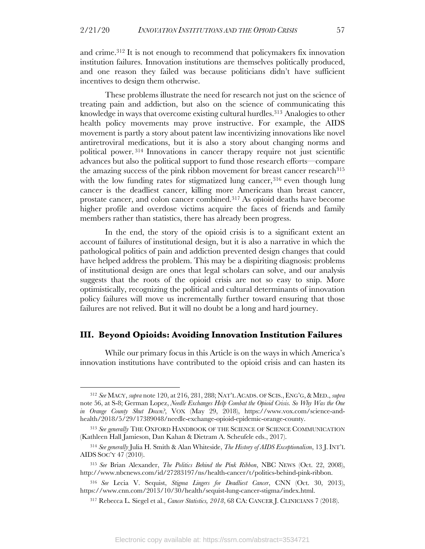and crime.312 It is not enough to recommend that policymakers fix innovation institution failures. Innovation institutions are themselves politically produced, and one reason they failed was because politicians didn't have sufficient incentives to design them otherwise.

These problems illustrate the need for research not just on the science of treating pain and addiction, but also on the science of communicating this knowledge in ways that overcome existing cultural hurdles. <sup>313</sup> Analogies to other health policy movements may prove instructive. For example, the AIDS movement is partly a story about patent law incentivizing innovations like novel antiretroviral medications, but it is also a story about changing norms and political power. <sup>314</sup> Innovations in cancer therapy require not just scientific advances but also the political support to fund those research efforts—compare the amazing success of the pink ribbon movement for breast cancer research<sup>315</sup> with the low funding rates for stigmatized lung cancer,  $316$  even though lung cancer is the deadliest cancer, killing more Americans than breast cancer, prostate cancer, and colon cancer combined.317 As opioid deaths have become higher profile and overdose victims acquire the faces of friends and family members rather than statistics, there has already been progress.

In the end, the story of the opioid crisis is to a significant extent an account of failures of institutional design, but it is also a narrative in which the pathological politics of pain and addiction prevented design changes that could have helped address the problem. This may be a dispiriting diagnosis: problems of institutional design are ones that legal scholars can solve, and our analysis suggests that the roots of the opioid crisis are not so easy to snip. More optimistically, recognizing the political and cultural determinants of innovation policy failures will move us incrementally further toward ensuring that those failures are not relived. But it will no doubt be a long and hard journey.

#### **III. Beyond Opioids: Avoiding Innovation Institution Failures**

While our primary focus in this Article is on the ways in which America's innovation institutions have contributed to the opioid crisis and can hasten its

<sup>312</sup> *See* MACY, *supra* note 120, at 216, 281, 288; NAT'L ACADS. OF SCIS., ENG'G,& MED., *supra* note 56, at S-8; German Lopez, *Needle Exchanges Help Combat the Opioid Crisis. So Why Was the One in Orange County Shut Down?*, VOX (May 29, 2018), https://www.vox.com/science-andhealth/2018/5/29/17389048/needle-exchange-opioid-epidemic-orange-county.

<sup>313</sup> *See generally* THE OXFORD HANDBOOK OF THE SCIENCE OF SCIENCE COMMUNICATION (Kathleen Hall Jamieson, Dan Kahan & Dietram A. Scheufele eds., 2017).

<sup>314</sup> *See generally* Julia H. Smith & Alan Whiteside, *The History of AIDS Exceptionalism*, 13 J. INT'L AIDS SOC'Y 47 (2010).

<sup>315</sup> *See* Brian Alexander, *The Politics Behind the Pink Ribbon*, NBC NEWS (Oct. 22, 2008), http://www.nbcnews.com/id/27283197/ns/health-cancer/t/politics-behind-pink-ribbon.

<sup>316</sup> *See* Lecia V. Sequist, *Stigma Lingers for Deadliest Cancer*, CNN (Oct. 30, 2013), https://www.cnn.com/2013/10/30/health/sequist-lung-cancer-stigma/index.html.

<sup>317</sup> Rebecca L. Siegel et al., *Cancer Statistics, 2018*, 68 CA: CANCER J. CLINICIANS 7 (2018).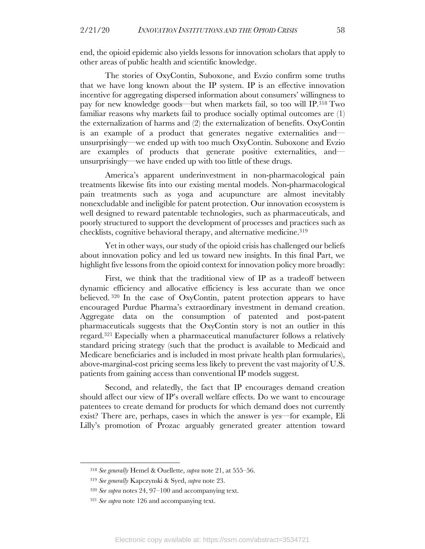end, the opioid epidemic also yields lessons for innovation scholars that apply to other areas of public health and scientific knowledge.

The stories of OxyContin, Suboxone, and Evzio confirm some truths that we have long known about the IP system. IP is an effective innovation incentive for aggregating dispersed information about consumers' willingness to pay for new knowledge goods—but when markets fail, so too will IP. <sup>318</sup> Two familiar reasons why markets fail to produce socially optimal outcomes are (1) the externalization of harms and (2) the externalization of benefits. OxyContin is an example of a product that generates negative externalities and unsurprisingly—we ended up with too much OxyContin. Suboxone and Evzio are examples of products that generate positive externalities, and unsurprisingly—we have ended up with too little of these drugs.

America's apparent underinvestment in non-pharmacological pain treatments likewise fits into our existing mental models. Non-pharmacological pain treatments such as yoga and acupuncture are almost inevitably nonexcludable and ineligible for patent protection. Our innovation ecosystem is well designed to reward patentable technologies, such as pharmaceuticals, and poorly structured to support the development of processes and practices such as checklists, cognitive behavioral therapy, and alternative medicine.319

Yet in other ways, our study of the opioid crisis has challenged our beliefs about innovation policy and led us toward new insights. In this final Part, we highlight five lessons from the opioid context for innovation policy more broadly:

First, we think that the traditional view of IP as a tradeoff between dynamic efficiency and allocative efficiency is less accurate than we once believed. <sup>320</sup> In the case of OxyContin, patent protection appears to have encouraged Purdue Pharma's extraordinary investment in demand creation. Aggregate data on the consumption of patented and post-patent pharmaceuticals suggests that the OxyContin story is not an outlier in this regard.321 Especially when a pharmaceutical manufacturer follows a relatively standard pricing strategy (such that the product is available to Medicaid and Medicare beneficiaries and is included in most private health plan formularies), above-marginal-cost pricing seems less likely to prevent the vast majority of U.S. patients from gaining access than conventional IP models suggest.

Second, and relatedly, the fact that IP encourages demand creation should affect our view of IP's overall welfare effects. Do we want to encourage patentees to create demand for products for which demand does not currently exist? There are, perhaps, cases in which the answer is yes—for example, Eli Lilly's promotion of Prozac arguably generated greater attention toward

<sup>318</sup> *See generally* Hemel & Ouellette, *supra* note 21, at 555–56.

<sup>319</sup> *See generally* Kapczynski & Syed, *supra* note 23.

<sup>320</sup> *See supra* notes 24, 97–100 and accompanying text.

<sup>321</sup> *See supra* note 126 and accompanying text.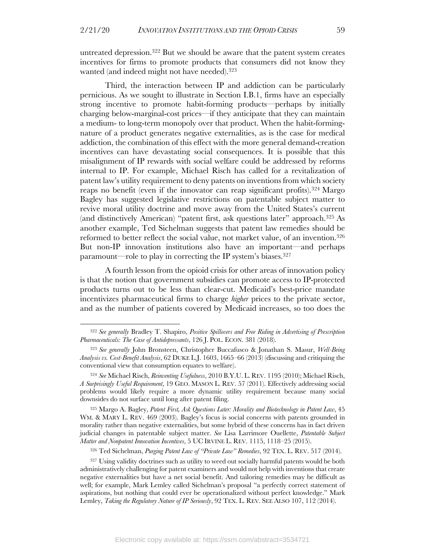untreated depression.322 But we should be aware that the patent system creates incentives for firms to promote products that consumers did not know they wanted (and indeed might not have needed).323

Third, the interaction between IP and addiction can be particularly pernicious. As we sought to illustrate in Section I.B.1, firms have an especially strong incentive to promote habit-forming products—perhaps by initially charging below-marginal-cost prices—if they anticipate that they can maintain a medium- to long-term monopoly over that product. When the habit-formingnature of a product generates negative externalities, as is the case for medical addiction, the combination of this effect with the more general demand-creation incentives can have devastating social consequences. It is possible that this misalignment of IP rewards with social welfare could be addressed by reforms internal to IP. For example, Michael Risch has called for a revitalization of patent law's utility requirement to deny patents on inventions from which society reaps no benefit (even if the innovator can reap significant profits).<sup>324</sup> Margo Bagley has suggested legislative restrictions on patentable subject matter to revive moral utility doctrine and move away from the United States's current (and distinctively American) "patent first, ask questions later" approach.325 As another example, Ted Sichelman suggests that patent law remedies should be reformed to better reflect the social value, not market value, of an invention.326 But non-IP innovation institutions also have an important—and perhaps paramount—role to play in correcting the IP system's biases.327

A fourth lesson from the opioid crisis for other areas of innovation policy is that the notion that government subsidies can promote access to IP-protected products turns out to be less than clear-cut. Medicaid's best-price mandate incentivizes pharmaceutical firms to charge *higher* prices to the private sector, and as the number of patients covered by Medicaid increases, so too does the

<sup>325</sup> Margo A. Bagley, *Patent First, Ask Questions Later: Morality and Biotechnology in Patent Law*, 45 WM. & MARY L. REV. 469 (2003). Bagley's focus is social concerns with patents grounded in morality rather than negative externalities, but some hybrid of these concerns has in fact driven judicial changes in patentable subject matter. *See* Lisa Larrimore Ouellette, *Patentable Subject Matter and Nonpatent Innovation Incentives*, 5 UC IRVINE L. REV. 1115, 1118–25 (2015).

<sup>326</sup> Ted Sichelman, *Purging Patent Law of "Private Law" Remedies*, 92 TEX. L. REV. 517 (2014).

<sup>322</sup> *See generally* Bradley T. Shapiro, *Positive Spillovers and Free Riding in Advertising of Prescription Pharmaceuticals: The Case of Antidepressants*, 126 J. POL. ECON. 381 (2018).

<sup>323</sup> *See generally* John Bronsteen, Christopher Buccafusco & Jonathan S. Masur, *Well-Being Analysis vs. Cost-Benefit Analysis*, 62 DUKE L.J. 1603, 1665–66 (2013) (discussing and critiquing the conventional view that consumption equates to welfare).

<sup>324</sup> *See* Michael Risch, *Reinventing Usefulness*, 2010 B.Y.U. L. REV. 1195 (2010); Michael Risch, *A Surprisingly Useful Requirement*, 19 GEO. MASON L. REV. 57 (2011). Effectively addressing social problems would likely require a more dynamic utility requirement because many social downsides do not surface until long after patent filing.

<sup>&</sup>lt;sup>327</sup> Using validity doctrines such as utility to weed out socially harmful patents would be both administratively challenging for patent examiners and would not help with inventions that create negative externalities but have a net social benefit. And tailoring remedies may be difficult as well; for example, Mark Lemley called Sichelman's proposal "a perfectly correct statement of aspirations, but nothing that could ever be operationalized without perfect knowledge." Mark Lemley, *Taking the Regulatory Nature of IP Seriously*, 92 TEX. L. REV. SEE ALSO 107, 112 (2014).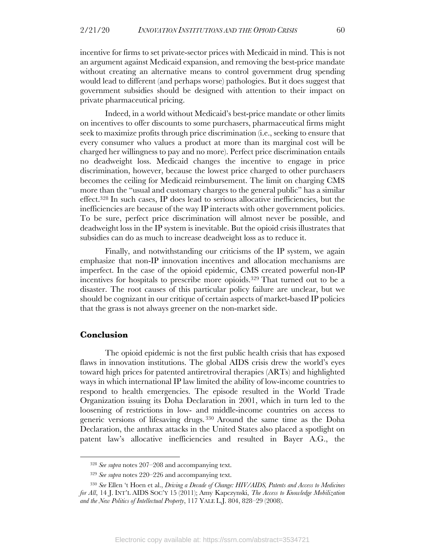incentive for firms to set private-sector prices with Medicaid in mind. This is not an argument against Medicaid expansion, and removing the best-price mandate without creating an alternative means to control government drug spending would lead to different (and perhaps worse) pathologies. But it does suggest that government subsidies should be designed with attention to their impact on private pharmaceutical pricing.

Indeed, in a world without Medicaid's best-price mandate or other limits on incentives to offer discounts to some purchasers, pharmaceutical firms might seek to maximize profits through price discrimination (i.e., seeking to ensure that every consumer who values a product at more than its marginal cost will be charged her willingness to pay and no more). Perfect price discrimination entails no deadweight loss. Medicaid changes the incentive to engage in price discrimination, however, because the lowest price charged to other purchasers becomes the ceiling for Medicaid reimbursement. The limit on charging CMS more than the "usual and customary charges to the general public" has a similar effect.328 In such cases, IP does lead to serious allocative inefficiencies, but the inefficiencies are because of the way IP interacts with other government policies. To be sure, perfect price discrimination will almost never be possible, and deadweight loss in the IP system is inevitable. But the opioid crisis illustrates that subsidies can do as much to increase deadweight loss as to reduce it.

Finally, and notwithstanding our criticisms of the IP system, we again emphasize that non-IP innovation incentives and allocation mechanisms are imperfect. In the case of the opioid epidemic, CMS created powerful non-IP incentives for hospitals to prescribe more opioids.329 That turned out to be a disaster. The root causes of this particular policy failure are unclear, but we should be cognizant in our critique of certain aspects of market-based IP policies that the grass is not always greener on the non-market side.

#### **Conclusion**

The opioid epidemic is not the first public health crisis that has exposed flaws in innovation institutions. The global AIDS crisis drew the world's eyes toward high prices for patented antiretroviral therapies (ARTs) and highlighted ways in which international IP law limited the ability of low-income countries to respond to health emergencies. The episode resulted in the World Trade Organization issuing its Doha Declaration in 2001, which in turn led to the loosening of restrictions in low- and middle-income countries on access to generic versions of lifesaving drugs. <sup>330</sup> Around the same time as the Doha Declaration, the anthrax attacks in the United States also placed a spotlight on patent law's allocative inefficiencies and resulted in Bayer A.G., the

<sup>328</sup> *See supra* notes 207–208 and accompanying text.

<sup>329</sup> *See supra* notes 220–226 and accompanying text.

<sup>330</sup> *See* Ellen 't Hoen et al., *Driving a Decade of Change: HIV/AIDS, Patents and Access to Medicines for All*, 14 J. INT'L AIDS SOC'Y 15 (2011); Amy Kapczynski, *The Access to Knowledge Mobilization and the New Politics of Intellectual Property*, 117 YALE L.J. 804, 828–29 (2008).